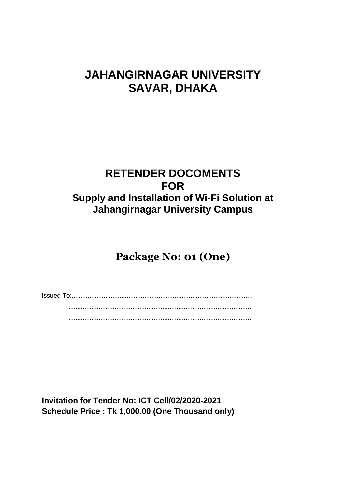# **JAHANGIRNAGAR UNIVERSITY SAVAR, DHAKA**

### **RETENDER DOCOMENTS FOR Supply and Installation of Wi-Fi Solution at Jahangirnagar University Campus**

## **Package No: 01 (One)**

Issued To:...................................................................................................... ....................................................................................................... ........................................................................................................

**Invitation for Tender No: ICT Cell/02/2020-2021 Schedule Price : Tk 1,000.00 (One Thousand only)**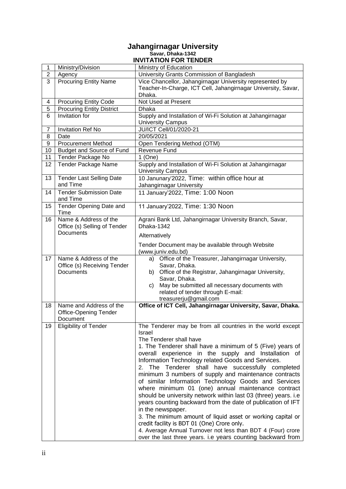#### **Jahangirnagar University Savar, Dhaka-1342 INVITATION FOR TENDER**

| 1              | Ministry/Division                                                        | Ministry of Education                                                                                                                                                                                                                                                                                                                                                                                                                                                                                                                                                                                                                                                                                                                                                                                                                                                                                    |
|----------------|--------------------------------------------------------------------------|----------------------------------------------------------------------------------------------------------------------------------------------------------------------------------------------------------------------------------------------------------------------------------------------------------------------------------------------------------------------------------------------------------------------------------------------------------------------------------------------------------------------------------------------------------------------------------------------------------------------------------------------------------------------------------------------------------------------------------------------------------------------------------------------------------------------------------------------------------------------------------------------------------|
| $\overline{2}$ | Agency                                                                   | University Grants Commission of Bangladesh                                                                                                                                                                                                                                                                                                                                                                                                                                                                                                                                                                                                                                                                                                                                                                                                                                                               |
| 3              | <b>Procuring Entity Name</b>                                             | Vice Chancellor, Jahangirnagar University represented by<br>Teacher-In-Charge, ICT Cell, Jahangirnagar University, Savar,<br>Dhaka.                                                                                                                                                                                                                                                                                                                                                                                                                                                                                                                                                                                                                                                                                                                                                                      |
| 4              | <b>Procuring Entity Code</b>                                             | Not Used at Present                                                                                                                                                                                                                                                                                                                                                                                                                                                                                                                                                                                                                                                                                                                                                                                                                                                                                      |
| 5              | <b>Procuring Entity District</b>                                         | Dhaka                                                                                                                                                                                                                                                                                                                                                                                                                                                                                                                                                                                                                                                                                                                                                                                                                                                                                                    |
| 6              | Invitation for                                                           | Supply and Installation of Wi-Fi Solution at Jahangirnagar<br><b>University Campus</b>                                                                                                                                                                                                                                                                                                                                                                                                                                                                                                                                                                                                                                                                                                                                                                                                                   |
| 7              | <b>Invitation Ref No</b>                                                 | JU/ICT Cell/01/2020-21                                                                                                                                                                                                                                                                                                                                                                                                                                                                                                                                                                                                                                                                                                                                                                                                                                                                                   |
| 8              | Date                                                                     | 20/05/2021                                                                                                                                                                                                                                                                                                                                                                                                                                                                                                                                                                                                                                                                                                                                                                                                                                                                                               |
| 9              | <b>Procurement Method</b>                                                | Open Tendering Method (OTM)                                                                                                                                                                                                                                                                                                                                                                                                                                                                                                                                                                                                                                                                                                                                                                                                                                                                              |
| 10             | Budget and Source of Fund                                                | Revenue Fund                                                                                                                                                                                                                                                                                                                                                                                                                                                                                                                                                                                                                                                                                                                                                                                                                                                                                             |
| 11             | Tender Package No                                                        | $1$ (One)                                                                                                                                                                                                                                                                                                                                                                                                                                                                                                                                                                                                                                                                                                                                                                                                                                                                                                |
| 12             | <b>Tender Package Name</b>                                               | Supply and Installation of Wi-Fi Solution at Jahangirnagar<br><b>University Campus</b>                                                                                                                                                                                                                                                                                                                                                                                                                                                                                                                                                                                                                                                                                                                                                                                                                   |
| 13             | <b>Tender Last Selling Date</b><br>and Time                              | 10 Janunary'2022, Time: within office hour at<br>Jahangirnagar University                                                                                                                                                                                                                                                                                                                                                                                                                                                                                                                                                                                                                                                                                                                                                                                                                                |
| 14             | <b>Tender Submission Date</b><br>and Time                                | 11 January'2022, Time: 1:00 Noon                                                                                                                                                                                                                                                                                                                                                                                                                                                                                                                                                                                                                                                                                                                                                                                                                                                                         |
| 15             | Tender Opening Date and<br>Time                                          | 11 January'2022, Time: 1:30 Noon                                                                                                                                                                                                                                                                                                                                                                                                                                                                                                                                                                                                                                                                                                                                                                                                                                                                         |
| 16             | Name & Address of the<br>Office (s) Selling of Tender<br>Documents       | Agrani Bank Ltd, Jahangirnagar University Branch, Savar,<br>Dhaka-1342<br>Alternatively<br>Tender Document may be available through Website<br>(www.juniv.edu.bd)                                                                                                                                                                                                                                                                                                                                                                                                                                                                                                                                                                                                                                                                                                                                        |
| 17             | Name & Address of the<br>Office (s) Receiving Tender<br><b>Documents</b> | Office of the Treasurer, Jahangirnagar University,<br>a)<br>Savar, Dhaka.<br>b) Office of the Registrar, Jahangirnagar University,<br>Savar, Dhaka.<br>May be submitted all necessary documents with<br>C)<br>related of tender through E-mail:<br>treasurerju@gmail.com                                                                                                                                                                                                                                                                                                                                                                                                                                                                                                                                                                                                                                 |
| 18             | Name and Address of the<br><b>Office-Opening Tender</b><br>Document      | Office of ICT Cell, Jahangirnagar University, Savar, Dhaka.                                                                                                                                                                                                                                                                                                                                                                                                                                                                                                                                                                                                                                                                                                                                                                                                                                              |
| 19             | <b>Eligibility of Tender</b>                                             | The Tenderer may be from all countries in the world except<br>Israel<br>The Tenderer shall have<br>1. The Tenderer shall have a minimum of 5 (Five) years of<br>overall experience in the supply and Installation of<br>Information Technology related Goods and Services.<br>2. The Tenderer shall have successfully completed<br>minimum 3 numbers of supply and maintenance contracts<br>of similar Information Technology Goods and Services<br>where minimum 01 (one) annual maintenance contract<br>should be university network within last 03 (three) years. i.e<br>years counting backward from the date of publication of IFT<br>in the newspaper.<br>3. The minimum amount of liquid asset or working capital or<br>credit facility is BDT 01 (One) Crore only.<br>4. Average Annual Turnover not less than BDT 4 (Four) crore<br>over the last three years. i.e years counting backward from |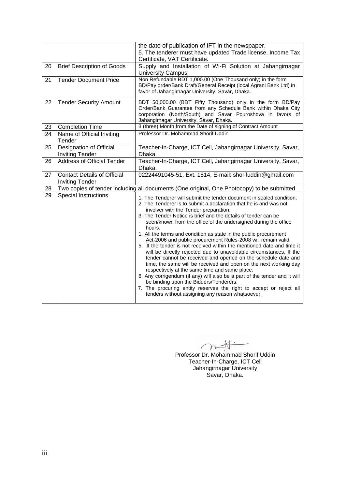|    |                                                              | the date of publication of IFT in the newspaper.                                                                                                                                                                                                                                                                                                                                                                                                                                                                                                                                                                                                                                                                                                                                                                                                                                                                                                                                                                                                               |
|----|--------------------------------------------------------------|----------------------------------------------------------------------------------------------------------------------------------------------------------------------------------------------------------------------------------------------------------------------------------------------------------------------------------------------------------------------------------------------------------------------------------------------------------------------------------------------------------------------------------------------------------------------------------------------------------------------------------------------------------------------------------------------------------------------------------------------------------------------------------------------------------------------------------------------------------------------------------------------------------------------------------------------------------------------------------------------------------------------------------------------------------------|
|    |                                                              | 5. The tenderer must have updated Trade license, Income Tax<br>Certificate, VAT Certificate.                                                                                                                                                                                                                                                                                                                                                                                                                                                                                                                                                                                                                                                                                                                                                                                                                                                                                                                                                                   |
| 20 | <b>Brief Description of Goods</b>                            | Supply and Installation of Wi-Fi Solution at Jahangirnagar<br><b>University Campus</b>                                                                                                                                                                                                                                                                                                                                                                                                                                                                                                                                                                                                                                                                                                                                                                                                                                                                                                                                                                         |
| 21 | <b>Tender Document Price</b>                                 | Non Refundable BDT 1,000.00 (One Thousand only) in the form<br>BD/Pay order/Bank Draft/General Receipt (local Agrani Bank Ltd) in<br>favor of Jahangirnagar University, Savar, Dhaka.                                                                                                                                                                                                                                                                                                                                                                                                                                                                                                                                                                                                                                                                                                                                                                                                                                                                          |
| 22 | <b>Tender Security Amount</b>                                | BDT 50,000.00 (BDT Fifty Thousand) only in the form BD/Pay<br>Order/Bank Guarantee from any Schedule Bank within Dhaka City<br>corporation (North/South) and Savar Pouroshova in favors of<br>Jahangirnagar University, Savar, Dhaka.                                                                                                                                                                                                                                                                                                                                                                                                                                                                                                                                                                                                                                                                                                                                                                                                                          |
| 23 | <b>Completion Time</b>                                       | 3 (three) Month from the Date of signing of Contract Amount                                                                                                                                                                                                                                                                                                                                                                                                                                                                                                                                                                                                                                                                                                                                                                                                                                                                                                                                                                                                    |
| 24 | Name of Official Inviting<br>Tender                          | Professor Dr. Mohammad Shorif Uddin                                                                                                                                                                                                                                                                                                                                                                                                                                                                                                                                                                                                                                                                                                                                                                                                                                                                                                                                                                                                                            |
| 25 | Designation of Official<br><b>Inviting Tender</b>            | Teacher-In-Charge, ICT Cell, Jahangirnagar University, Savar,<br>Dhaka.                                                                                                                                                                                                                                                                                                                                                                                                                                                                                                                                                                                                                                                                                                                                                                                                                                                                                                                                                                                        |
| 26 | <b>Address of Official Tender</b>                            | Teacher-In-Charge, ICT Cell, Jahangirnagar University, Savar,<br>Dhaka.                                                                                                                                                                                                                                                                                                                                                                                                                                                                                                                                                                                                                                                                                                                                                                                                                                                                                                                                                                                        |
| 27 | <b>Contact Details of Official</b><br><b>Inviting Tender</b> | 02224491045-51, Ext. 1814, E-mail: shorifuddin@gmail.com                                                                                                                                                                                                                                                                                                                                                                                                                                                                                                                                                                                                                                                                                                                                                                                                                                                                                                                                                                                                       |
| 28 |                                                              | Two copies of tender including all documents (One original, One Photocopy) to be submitted                                                                                                                                                                                                                                                                                                                                                                                                                                                                                                                                                                                                                                                                                                                                                                                                                                                                                                                                                                     |
| 29 | <b>Special Instructions</b>                                  | 1. The Tenderer will submit the tender document in sealed condition.<br>2. The Tenderer is to submit a declaration that he is and was not<br>involver with the Tender preparation.<br>3. The Tender Notice is brief and the details of tender can be<br>seen/known from the office of the undersigned during the office<br>hours.<br>1. All the terms and condition as state in the public procurement<br>Act-2006 and public procurement Rules-2008 will remain valid.<br>5. If the tender is not received within the mentioned date and time it<br>will be directly rejected due to unavoidable circumstances, If the<br>tender cannot be received and opened on the schedule date and<br>time, the same will be received and open on the next working day<br>respectively at the same time and same place.<br>6. Any corrigendum (if any) will also be a part of the tender and it will<br>be binding upon the Bidders/Tenderers.<br>7. The procuring entity reserves the right to accept or reject all<br>tenders without assigning any reason whatsoever. |

 $\overline{\mathcal{A}}$  $\tilde{\mathbf{A}}$  $\rightarrow$  $\diagup$ m

Professor Dr. Mohammad Shorif Uddin Teacher-In-Charge, ICT Cell Jahangirnagar University Savar, Dhaka.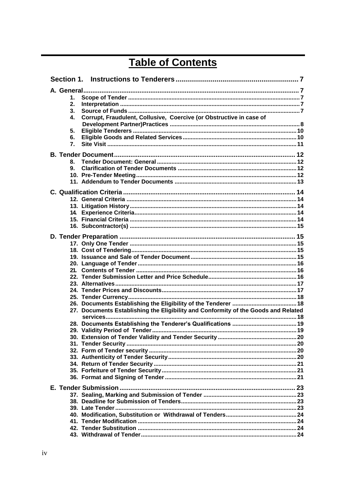# **Table of Contents**

| 1.<br>2.<br>3.<br>Corrupt, Fraudulent, Collusive, Coercive (or Obstructive in case of<br>4.<br>5.<br>6.<br>7.<br>8.<br>9.<br>27. Documents Establishing the Eligibility and Conformity of the Goods and Related |  |  |
|-----------------------------------------------------------------------------------------------------------------------------------------------------------------------------------------------------------------|--|--|
|                                                                                                                                                                                                                 |  |  |
|                                                                                                                                                                                                                 |  |  |
|                                                                                                                                                                                                                 |  |  |
|                                                                                                                                                                                                                 |  |  |
|                                                                                                                                                                                                                 |  |  |
|                                                                                                                                                                                                                 |  |  |
|                                                                                                                                                                                                                 |  |  |
|                                                                                                                                                                                                                 |  |  |
|                                                                                                                                                                                                                 |  |  |
|                                                                                                                                                                                                                 |  |  |
|                                                                                                                                                                                                                 |  |  |
|                                                                                                                                                                                                                 |  |  |
|                                                                                                                                                                                                                 |  |  |
|                                                                                                                                                                                                                 |  |  |
|                                                                                                                                                                                                                 |  |  |
|                                                                                                                                                                                                                 |  |  |
|                                                                                                                                                                                                                 |  |  |
|                                                                                                                                                                                                                 |  |  |
|                                                                                                                                                                                                                 |  |  |
|                                                                                                                                                                                                                 |  |  |
|                                                                                                                                                                                                                 |  |  |
|                                                                                                                                                                                                                 |  |  |
|                                                                                                                                                                                                                 |  |  |
|                                                                                                                                                                                                                 |  |  |
|                                                                                                                                                                                                                 |  |  |
|                                                                                                                                                                                                                 |  |  |
|                                                                                                                                                                                                                 |  |  |
|                                                                                                                                                                                                                 |  |  |
|                                                                                                                                                                                                                 |  |  |
|                                                                                                                                                                                                                 |  |  |
|                                                                                                                                                                                                                 |  |  |
|                                                                                                                                                                                                                 |  |  |
|                                                                                                                                                                                                                 |  |  |
|                                                                                                                                                                                                                 |  |  |
|                                                                                                                                                                                                                 |  |  |
|                                                                                                                                                                                                                 |  |  |
|                                                                                                                                                                                                                 |  |  |
|                                                                                                                                                                                                                 |  |  |
|                                                                                                                                                                                                                 |  |  |
|                                                                                                                                                                                                                 |  |  |
|                                                                                                                                                                                                                 |  |  |
|                                                                                                                                                                                                                 |  |  |
|                                                                                                                                                                                                                 |  |  |
|                                                                                                                                                                                                                 |  |  |
|                                                                                                                                                                                                                 |  |  |
|                                                                                                                                                                                                                 |  |  |
|                                                                                                                                                                                                                 |  |  |
|                                                                                                                                                                                                                 |  |  |
|                                                                                                                                                                                                                 |  |  |
|                                                                                                                                                                                                                 |  |  |
|                                                                                                                                                                                                                 |  |  |
|                                                                                                                                                                                                                 |  |  |
|                                                                                                                                                                                                                 |  |  |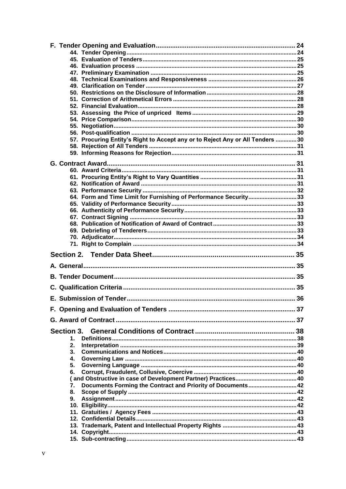| 57. Procuring Entity's Right to Accept any or to Reject Any or All Tenders  30 |  |
|--------------------------------------------------------------------------------|--|
|                                                                                |  |
|                                                                                |  |
|                                                                                |  |
|                                                                                |  |
|                                                                                |  |
|                                                                                |  |
|                                                                                |  |
| 64. Form and Time Limit for Furnishing of Performance Security33               |  |
|                                                                                |  |
|                                                                                |  |
|                                                                                |  |
|                                                                                |  |
|                                                                                |  |
|                                                                                |  |
|                                                                                |  |
|                                                                                |  |
|                                                                                |  |
|                                                                                |  |
|                                                                                |  |
|                                                                                |  |
|                                                                                |  |
|                                                                                |  |
|                                                                                |  |
|                                                                                |  |
| Section 3.                                                                     |  |
| 1.                                                                             |  |
| 2.                                                                             |  |
| 3.                                                                             |  |
| 4.<br>5.                                                                       |  |
| 6.                                                                             |  |
|                                                                                |  |
| Documents Forming the Contract and Priority of Documents 42<br>7.              |  |
| 8.                                                                             |  |
| 9.                                                                             |  |
|                                                                                |  |
|                                                                                |  |
|                                                                                |  |
|                                                                                |  |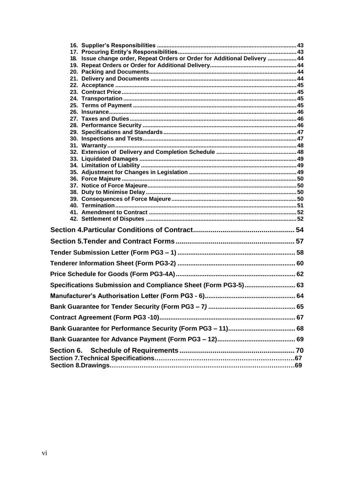| 18. Issue change order, Repeat Orders or Order for Additional Delivery  44 |  |
|----------------------------------------------------------------------------|--|
|                                                                            |  |
|                                                                            |  |
|                                                                            |  |
|                                                                            |  |
|                                                                            |  |
|                                                                            |  |
|                                                                            |  |
|                                                                            |  |
|                                                                            |  |
|                                                                            |  |
|                                                                            |  |
|                                                                            |  |
|                                                                            |  |
|                                                                            |  |
|                                                                            |  |
|                                                                            |  |
|                                                                            |  |
|                                                                            |  |
|                                                                            |  |
|                                                                            |  |
|                                                                            |  |
|                                                                            |  |
|                                                                            |  |
|                                                                            |  |
|                                                                            |  |
|                                                                            |  |
|                                                                            |  |
|                                                                            |  |
| Specifications Submission and Compliance Sheet (Form PG3-5) 63             |  |
|                                                                            |  |
|                                                                            |  |
|                                                                            |  |
|                                                                            |  |
|                                                                            |  |
| Section 6.                                                                 |  |
|                                                                            |  |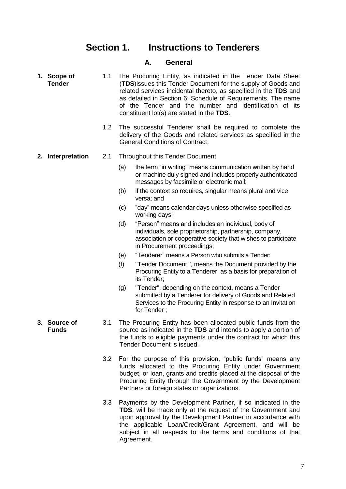#### **Section 1. Instructions to Tenderers**

#### **A. General**

- <span id="page-6-2"></span><span id="page-6-1"></span><span id="page-6-0"></span>**1. Scope of Tender** 1.1 The Procuring Entity, as indicated in the Tender Data Sheet (**TDS**)issues this Tender Document for the supply of Goods and related services incidental thereto, as specified in the **TDS** and as detailed in Section 6: Schedule of Requirements. The name of the Tender and the number and identification of its constituent lot(s) are stated in the **TDS**.
	- 1.2 The successful Tenderer shall be required to complete the delivery of the Goods and related services as specified in the General Conditions of Contract.
- <span id="page-6-3"></span>**2. Interpretation** 2.1 Throughout this Tender Document
	- (a) the term "in writing" means communication written by hand or machine duly signed and includes properly authenticated messages by facsimile or electronic mail;
	- (b) if the context so requires, singular means plural and vice versa; and
	- (c) "day" means calendar days unless otherwise specified as working days;
	- (d) "Person" means and includes an individual, body of individuals, sole proprietorship, partnership, company, association or cooperative society that wishes to participate in Procurement proceedings;
	- (e) "Tenderer" means a Person who submits a Tender;
	- (f) "Tender Document ", means the Document provided by the Procuring Entity to a Tenderer as a basis for preparation of its Tender;
	- (g) "Tender", depending on the context, means a Tender submitted by a Tenderer for delivery of Goods and Related Services to the Procuring Entity in response to an Invitation for Tender ;
	- 3.1 The Procuring Entity has been allocated public funds from the source as indicated in the **TDS** and intends to apply a portion of the funds to eligible payments under the contract for which this Tender Document is issued.
		- 3.2 For the purpose of this provision, "public funds" means any funds allocated to the Procuring Entity under Government budget, or loan, grants and credits placed at the disposal of the Procuring Entity through the Government by the Development Partners or foreign states or organizations.
		- 3.3 Payments by the Development Partner, if so indicated in the **TDS**, will be made only at the request of the Government and upon approval by the Development Partner in accordance with the applicable Loan/Credit/Grant Agreement, and will be subject in all respects to the terms and conditions of that Agreement.

<span id="page-6-4"></span>**3. Source of Funds**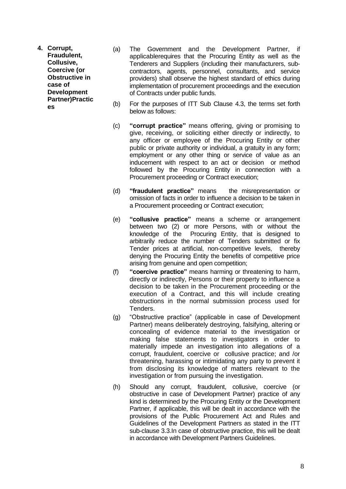- <span id="page-7-0"></span>**4. Corrupt, Fraudulent, Collusive, Coercive (or Obstructive in case of Development Partner)Practic es**
- (a) The Government and the Development Partner, if applicablerequires that the Procuring Entity as well as the Tenderers and Suppliers (including their manufacturers, subcontractors, agents, personnel, consultants, and service providers) shall observe the highest standard of ethics during implementation of procurement proceedings and the execution of Contracts under public funds.
- (b) For the purposes of ITT Sub Clause 4.3, the terms set forth below as follows:
- (c) **"corrupt practice"** means offering, giving or promising to give, receiving, or soliciting either directly or indirectly, to any officer or employee of the Procuring Entity or other public or private authority or individual, a gratuity in any form; employment or any other thing or service of value as an inducement with respect to an act or decision or method followed by the Procuring Entity in connection with a Procurement proceeding or Contract execution;
- (d) **"fraudulent practice"** means the misrepresentation or omission of facts in order to influence a decision to be taken in a Procurement proceeding or Contract execution;
- (e) **"collusive practice"** means a scheme or arrangement between two (2) or more Persons, with or without the knowledge of the Procuring Entity, that is designed to arbitrarily reduce the number of Tenders submitted or fix Tender prices at artificial, non-competitive levels, thereby denying the Procuring Entity the benefits of competitive price arising from genuine and open competition;
- (f) **"coercive practice"** means harming or threatening to harm, directly or indirectly, Persons or their property to influence a decision to be taken in the Procurement proceeding or the execution of a Contract, and this will include creating obstructions in the normal submission process used for Tenders.
- (g) "Obstructive practice" (applicable in case of Development Partner) means deliberately destroying, falsifying, altering or concealing of evidence material to the investigation or making false statements to investigators in order to materially impede an investigation into allegations of a corrupt, fraudulent, coercive or collusive practice; and /or threatening, harassing or intimidating any party to prevent it from disclosing its knowledge of matters relevant to the investigation or from pursuing the investigation.
- (h) Should any corrupt, fraudulent, collusive, coercive (or obstructive in case of Development Partner) practice of any kind is determined by the Procuring Entity or the Development Partner, if applicable, this will be dealt in accordance with the provisions of the Public Procurement Act and Rules and Guidelines of the Development Partners as stated in the ITT sub-clause 3.3.In case of obstructive practice, this will be dealt in accordance with Development Partners Guidelines.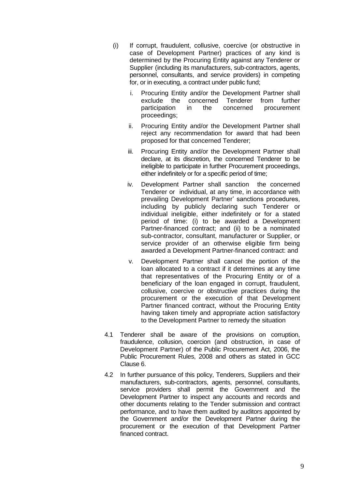- (i) If corrupt, fraudulent, collusive, coercive (or obstructive in case of Development Partner) practices of any kind is determined by the Procuring Entity against any Tenderer or Supplier (including its manufacturers, sub-contractors, agents, personnel, consultants, and service providers) in competing for, or in executing, a contract under public fund;
	- i. Procuring Entity and/or the Development Partner shall exclude the concerned Tenderer from further participation in the concerned procurement proceedings;
	- ii. Procuring Entity and/or the Development Partner shall reject any recommendation for award that had been proposed for that concerned Tenderer;
	- iii. Procuring Entity and/or the Development Partner shall declare, at its discretion, the concerned Tenderer to be ineligible to participate in further Procurement proceedings, either indefinitely or for a specific period of time;
	- iv. Development Partner shall sanction the concerned Tenderer or individual, at any time, in accordance with prevailing Development Partner' sanctions procedures, including by publicly declaring such Tenderer or individual ineligible, either indefinitely or for a stated period of time: (i) to be awarded a Development Partner-financed contract; and (ii) to be a nominated sub-contractor, consultant, manufacturer or Supplier, or service provider of an otherwise eligible firm being awarded a Development Partner-financed contract: and
	- v. Development Partner shall cancel the portion of the loan allocated to a contract if it determines at any time that representatives of the Procuring Entity or of a beneficiary of the loan engaged in corrupt, fraudulent, collusive, coercive or obstructive practices during the procurement or the execution of that Development Partner financed contract, without the Procuring Entity having taken timely and appropriate action satisfactory to the Development Partner to remedy the situation
- 4.1 Tenderer shall be aware of the provisions on corruption, fraudulence, collusion, coercion (and obstruction, in case of Development Partner) of the Public Procurement Act, 2006, the Public Procurement Rules, 2008 and others as stated in GCC Clause 6.
- 4.2 In further pursuance of this policy, Tenderers, Suppliers and their manufacturers, sub-contractors, agents, personnel, consultants, service providers shall permit the Government and the Development Partner to inspect any accounts and records and other documents relating to the Tender submission and contract performance, and to have them audited by auditors appointed by the Government and/or the Development Partner during the procurement or the execution of that Development Partner financed contract.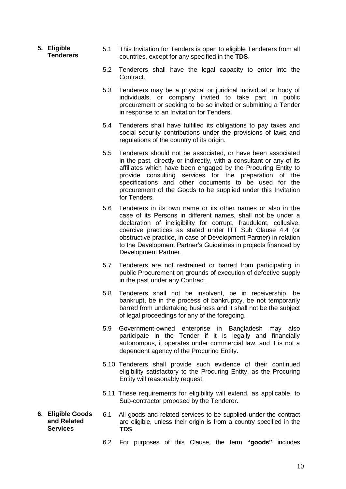- <span id="page-9-0"></span>**5. Eligible Tenderers**
- 5.1 This Invitation for Tenders is open to eligible Tenderers from all countries, except for any specified in the **TDS**.
- 5.2 Tenderers shall have the legal capacity to enter into the Contract.
- 5.3 Tenderers may be a physical or juridical individual or body of individuals, or company invited to take part in public procurement or seeking to be so invited or submitting a Tender in response to an Invitation for Tenders.
- 5.4 Tenderers shall have fulfilled its obligations to pay taxes and social security contributions under the provisions of laws and regulations of the country of its origin.
- 5.5 Tenderers should not be associated, or have been associated in the past, directly or indirectly, with a consultant or any of its affiliates which have been engaged by the Procuring Entity to provide consulting services for the preparation of the specifications and other documents to be used for the procurement of the Goods to be supplied under this Invitation for Tenders.
- 5.6 Tenderers in its own name or its other names or also in the case of its Persons in different names, shall not be under a declaration of ineligibility for corrupt, fraudulent, collusive, coercive practices as stated under ITT Sub Clause 4.4 (or obstructive practice, in case of Development Partner) in relation to the Development Partner's Guidelines in projects financed by Development Partner.
- 5.7 Tenderers are not restrained or barred from participating in public Procurement on grounds of execution of defective supply in the past under any Contract.
- 5.8 Tenderers shall not be insolvent, be in receivership, be bankrupt, be in the process of bankruptcy, be not temporarily barred from undertaking business and it shall not be the subject of legal proceedings for any of the foregoing.
- 5.9 Government-owned enterprise in Bangladesh may also participate in the Tender if it is legally and financially autonomous, it operates under commercial law, and it is not a dependent agency of the Procuring Entity.
- 5.10 Tenderers shall provide such evidence of their continued eligibility satisfactory to the Procuring Entity, as the Procuring Entity will reasonably request.
- 5.11 These requirements for eligibility will extend, as applicable, to Sub-contractor proposed by the Tenderer.
- <span id="page-9-1"></span>**6. Eligible Goods and Related Services** 6.1 All goods and related services to be supplied under the contract are eligible, unless their origin is from a country specified in the **TDS**.
	- 6.2 For purposes of this Clause, the term **"goods"** includes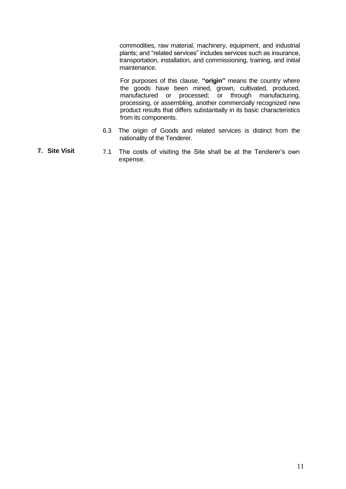commodities, raw material, machinery, equipment, and industrial plants; and "related services" includes services such as insurance, transportation, installation, and commissioning, training, and initial maintenance.

For purposes of this clause, **"origin"** means the country where the goods have been mined, grown, cultivated, produced, manufactured or processed; or through manufacturing, processing, or assembling, another commercially recognized new product results that differs substantially in its basic characteristics from its components.

- 6.3 The origin of Goods and related services is distinct from the nationality of the Tenderer.
- <span id="page-10-0"></span>**7. Site Visit** 7.1 The costs of visiting the Site shall be at the Tenderer's own expense.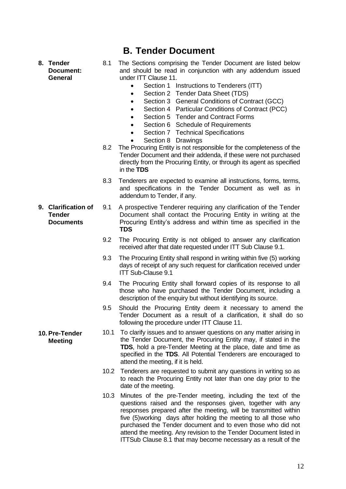<span id="page-11-1"></span><span id="page-11-0"></span>**8. Tender Document: General**

- **B. Tender Document**
- 8.1 The Sections comprising the Tender Document are listed below and should be read in conjunction with any addendum issued under ITT Clause 11.
	- Section 1 Instructions to Tenderers (ITT)
	- Section 2 Tender Data Sheet (TDS)
	- Section 3 General Conditions of Contract (GCC)
		- Section 4 Particular Conditions of Contract (PCC)
	- Section 5 Tender and Contract Forms
	- Section 6 Schedule of Requirements
		- Section 7 Technical Specifications
	- Section 8 Drawings
- 8.2 The Procuring Entity is not responsible for the completeness of the Tender Document and their addenda, if these were not purchased directly from the Procuring Entity, or through its agent as specified in the **TDS**
- 8.3 Tenderers are expected to examine all instructions, forms, terms, and specifications in the Tender Document as well as in addendum to Tender, if any.
- <span id="page-11-2"></span>**9. Clarification of Tender Documents** 9.1 A prospective Tenderer requiring any clarification of the Tender Document shall contact the Procuring Entity in writing at the Procuring Entity's address and within time as specified in the **TDS**
	- 9.2 The Procuring Entity is not obliged to answer any clarification received after that date requested under ITT Sub Clause 9.1.
	- 9.3 The Procuring Entity shall respond in writing within five (5) working days of receipt of any such request for clarification received under ITT Sub-Clause 9.1
	- 9.4 The Procuring Entity shall forward copies of its response to all those who have purchased the Tender Document, including a description of the enquiry but without identifying its source.
	- 9.5 Should the Procuring Entity deem it necessary to amend the Tender Document as a result of a clarification, it shall do so following the procedure under ITT Clause 11.
	- 10.1 To clarify issues and to answer questions on any matter arising in the Tender Document, the Procuring Entity may, if stated in the **TDS**, hold a pre-Tender Meeting at the place, date and time as specified in the **TDS**. All Potential Tenderers are encouraged to attend the meeting, if it is held.
		- 10.2 Tenderers are requested to submit any questions in writing so as to reach the Procuring Entity not later than one day prior to the date of the meeting.
		- 10.3 Minutes of the pre-Tender meeting, including the text of the questions raised and the responses given, together with any responses prepared after the meeting, will be transmitted within five (5)working days after holding the meeting to all those who purchased the Tender document and to even those who did not attend the meeting. Any revision to the Tender Document listed in ITTSub Clause 8.1 that may become necessary as a result of the

<span id="page-11-3"></span>**10. Pre-Tender Meeting**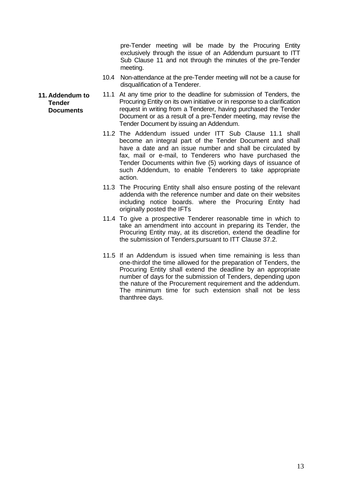pre-Tender meeting will be made by the Procuring Entity exclusively through the issue of an Addendum pursuant to ITT Sub Clause 11 and not through the minutes of the pre-Tender meeting.

- 10.4 Non-attendance at the pre-Tender meeting will not be a cause for disqualification of a Tenderer.
- 11.1 At any time prior to the deadline for submission of Tenders, the Procuring Entity on its own initiative or in response to a clarification request in writing from a Tenderer, having purchased the Tender Document or as a result of a pre-Tender meeting, may revise the Tender Document by issuing an Addendum.
	- 11.2 The Addendum issued under ITT Sub Clause 11.1 shall become an integral part of the Tender Document and shall have a date and an issue number and shall be circulated by fax, mail or e-mail, to Tenderers who have purchased the Tender Documents within five (5) working days of issuance of such Addendum, to enable Tenderers to take appropriate action.
	- 11.3 The Procuring Entity shall also ensure posting of the relevant addenda with the reference number and date on their websites including notice boards. where the Procuring Entity had originally posted the IFTs
	- 11.4 To give a prospective Tenderer reasonable time in which to take an amendment into account in preparing its Tender, the Procuring Entity may, at its discretion, extend the deadline for the submission of Tenders,pursuant to ITT Clause 37.2.
	- 11.5 If an Addendum is issued when time remaining is less than one-thirdof the time allowed for the preparation of Tenders, the Procuring Entity shall extend the deadline by an appropriate number of days for the submission of Tenders, depending upon the nature of the Procurement requirement and the addendum. The minimum time for such extension shall not be less thanthree days.

<span id="page-12-0"></span>**11. Addendum to Tender Documents**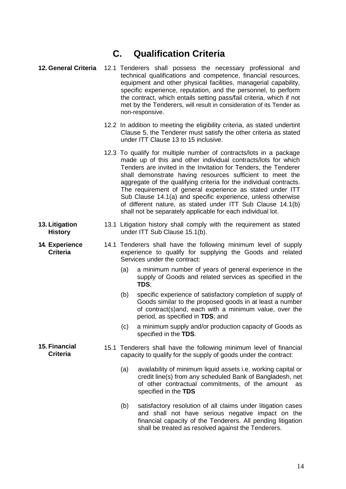### **C. Qualification Criteria**

- <span id="page-13-1"></span><span id="page-13-0"></span>**12. General Criteria** 12.1 Tenderers shall possess the necessary professional and technical qualifications and competence, financial resources, equipment and other physical facilities, managerial capability, specific experience, reputation, and the personnel, to perform the contract, which entails setting pass/fail criteria, which if not met by the Tenderers, will result in consideration of its Tender as non-responsive.
	- 12.2 In addition to meeting the eligibility criteria, as stated undertint Clause 5, the Tenderer must satisfy the other criteria as stated under ITT Clause 13 to 15 inclusive.
	- 12.3 To qualify for multiple number of contracts/lots in a package made up of this and other individual contracts/lots for which Tenders are invited in the Invitation for Tenders, the Tenderer shall demonstrate having resources sufficient to meet the aggregate of the qualifying criteria for the individual contracts. The requirement of general experience as stated under ITT Sub Clause 14.1(a) and specific experience, unless otherwise of different nature, as stated under ITT Sub Clause 14.1(b) shall not be separately applicable for each individual lot.
- <span id="page-13-2"></span>**13. Litigation History** 13.1 Litigation history shall comply with the requirement as stated under ITT Sub Clause 15.1(b).
	- **Criteria** 14.1 Tenderers shall have the following minimum level of supply experience to qualify for supplying the Goods and related Services under the contract:
		- (a) a minimum number of years of general experience in the supply of Goods and related services as specified in the **TDS**;
		- (b) specific experience of satisfactory completion of supply of Goods similar to the proposed goods in at least a number of contract(s)and, each with a minimum value, over the period, as specified in **TDS**; and
		- (c) a minimum supply and/or production capacity of Goods as specified in the **TDS**.
		- 15.1 Tenderers shall have the following minimum level of financial capacity to qualify for the supply of goods under the contract:
			- (a) availability of minimum liquid assets i.e. working capital or credit line(s) from any scheduled Bank of Bangladesh, net of other contractual commitments, of the amount as specified in the **TDS**
			- (b) satisfactory resolution of all claims under litigation cases and shall not have serious negative impact on the financial capacity of the Tenderers. All pending litigation shall be treated as resolved against the Tenderers.

<span id="page-13-3"></span>**14. Experience** 

<span id="page-13-4"></span>**15. Financial** 

**Criteria**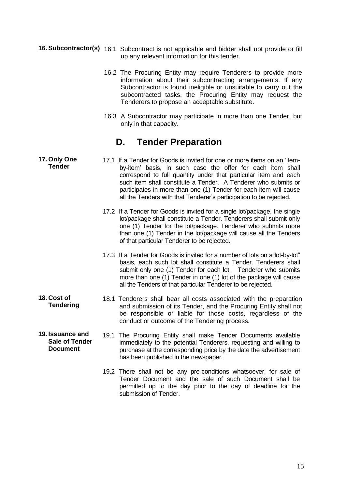- <span id="page-14-0"></span>**16. Subcontractor(s)** 16.1 Subcontract is not applicable and bidder shall not provide or fill up any relevant information for this tender.
	- 16.2 The Procuring Entity may require Tenderers to provide more information about their subcontracting arrangements. If any Subcontractor is found ineligible or unsuitable to carry out the subcontracted tasks, the Procuring Entity may request the Tenderers to propose an acceptable substitute.
	- 16.3 A Subcontractor may participate in more than one Tender, but only in that capacity.

#### <span id="page-14-1"></span>**D. Tender Preparation**

- <span id="page-14-2"></span>**17. Only One Tender** 17.1 If a Tender for Goods is invited for one or more items on an 'itemby-item' basis, in such case the offer for each item shall correspond to full quantity under that particular item and each such item shall constitute a Tender. A Tenderer who submits or participates in more than one (1) Tender for each item will cause all the Tenders with that Tenderer's participation to be rejected.
	- 17.2 If a Tender for Goods is invited for a single lot/package, the single lot/package shall constitute a Tender. Tenderers shall submit only one (1) Tender for the lot/package. Tenderer who submits more than one (1) Tender in the lot/package will cause all the Tenders of that particular Tenderer to be rejected.
	- 17.3 If a Tender for Goods is invited for a number of lots on a"lot-by-lot" basis, each such lot shall constitute a Tender. Tenderers shall submit only one (1) Tender for each lot. Tenderer who submits more than one (1) Tender in one (1) lot of the package will cause all the Tenders of that particular Tenderer to be rejected.
	- **Tendering** 18.1 Tenderers shall bear all costs associated with the preparation and submission of its Tender, and the Procuring Entity shall not be responsible or liable for those costs, regardless of the conduct or outcome of the Tendering process.
- <span id="page-14-4"></span>**19. Issuance and Sale of Tender Document** 19.1 The Procuring Entity shall make Tender Documents available immediately to the potential Tenderers, requesting and willing to purchase at the corresponding price by the date the advertisement has been published in the newspaper.

<span id="page-14-3"></span>**18. Cost of** 

19.2 There shall not be any pre-conditions whatsoever, for sale of Tender Document and the sale of such Document shall be permitted up to the day prior to the day of deadline for the submission of Tender.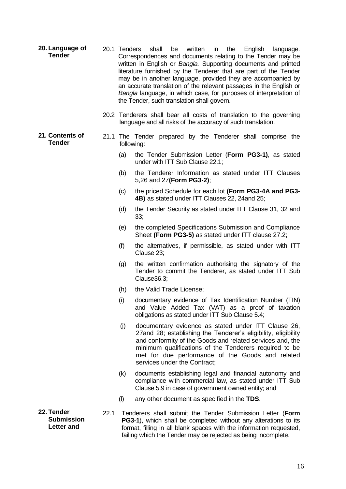- <span id="page-15-0"></span>**20. Language of Tender** 20.1 Tenders shall be written in the English language. Correspondences and documents relating to the Tender may be written in English or *Bangla.* Supporting documents and printed literature furnished by the Tenderer that are part of the Tender may be in another language, provided they are accompanied by an accurate translation of the relevant passages in the English or *Bangla* language, in which case, for purposes of interpretation of the Tender, such translation shall govern.
	- 20.2 Tenderers shall bear all costs of translation to the governing language and all risks of the accuracy of such translation.

#### <span id="page-15-1"></span>**21. Contents of Tender** 21.1 The Tender prepared by the Tenderer shall comprise the following:

- (a) the Tender Submission Letter (**Form PG3-1)**, as stated under with ITT Sub Clause 22.1;
- (b) the Tenderer Information as stated under ITT Clauses 5,26 and 27**(Form PG3-2)**;
- (c) the priced Schedule for each lot **(Form PG3-4A and PG3- 4B)** as stated under ITT Clauses 22, 24and 25;
- (d) the Tender Security as stated under ITT Clause 31, 32 and 33;
- (e) the completed Specifications Submission and Compliance Sheet **(Form PG3-5)** as stated under ITT clause 27.2;
- (f) the alternatives, if permissible, as stated under with ITT Clause 23;
- (g) the written confirmation authorising the signatory of the Tender to commit the Tenderer, as stated under ITT Sub Clause36.3;
- (h) the Valid Trade License;
- (i) documentary evidence of Tax Identification Number (TIN) and Value Added Tax (VAT) as a proof of taxation obligations as stated under ITT Sub Clause 5.4;
- (j) documentary evidence as stated under ITT Clause 26, 27and 28; establishing the Tenderer's eligibility, eligibility and conformity of the Goods and related services and, the minimum qualifications of the Tenderers required to be met for due performance of the Goods and related services under the Contract;
- (k) documents establishing legal and financial autonomy and compliance with commercial law, as stated under ITT Sub Clause 5.9 in case of government owned entity; and
- (l) any other document as specified in the **TDS**.
- 22.1 Tenderers shall submit the Tender Submission Letter (**Form PG3-1**), which shall be completed without any alterations to its format, filling in all blank spaces with the information requested, failing which the Tender may be rejected as being incomplete.

<span id="page-15-2"></span>**22. Tender Submission Letter and** 

16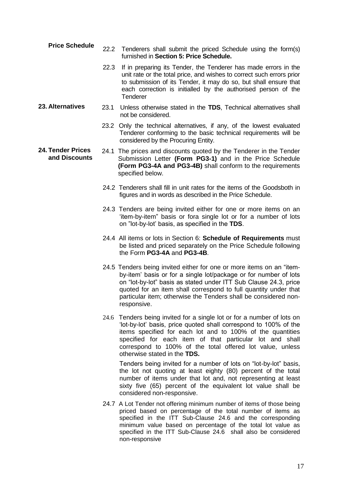- **Price Schedule** 22.2 Tenderers shall submit the priced Schedule using the form(s) furnished in **Section 5: Price Schedule.**
	- 22.3 If in preparing its Tender, the Tenderer has made errors in the unit rate or the total price, and wishes to correct such errors prior to submission of its Tender, it may do so, but shall ensure that each correction is initialled by the authorised person of the **Tenderer**
- <span id="page-16-0"></span>**23. Alternatives** 23.1 Unless otherwise stated in the **TDS**, Technical alternatives shall not be considered.
	- 23.2 Only the technical alternatives, if any, of the lowest evaluated Tenderer conforming to the basic technical requirements will be considered by the Procuring Entity.

#### <span id="page-16-1"></span>**24. Tender Prices and Discounts** 24.1 The prices and discounts quoted by the Tenderer in the Tender Submission Letter **(Form PG3-1)** and in the Price Schedule **(Form PG3-4A and PG3-4B)** shall conform to the requirements specified below.

- 24.2 Tenderers shall fill in unit rates for the items of the Goodsboth in figures and in words as described in the Price Schedule.
- 24.3 Tenders are being invited either for one or more items on an 'item-by-item" basis or fora single lot or for a number of lots on "lot-by-lot' basis, as specified in the **TDS**.
- 24.4 All items or lots in Section 6: **Schedule of Requirements** must be listed and priced separately on the Price Schedule following the Form **PG3-4A** and **PG3-4B**.
- 24.5 Tenders being invited either for one or more items on an "itemby-item' basis or for a single lot/package or for number of lots on "lot-by-lot" basis as stated under ITT Sub Clause 24.3, price quoted for an item shall correspond to full quantity under that particular item; otherwise the Tenders shall be considered nonresponsive.
- 24.6 Tenders being invited for a single lot or for a number of lots on 'lot-by-lot' basis, price quoted shall correspond to 100% of the items specified for each lot and to 100% of the quantities specified for each item of that particular lot and shall correspond to 100% of the total offered lot value, unless otherwise stated in the **TDS.**

Tenders being invited for a number of lots on "lot-by-lot" basis, the lot not quoting at least eighty (80) percent of the total number of items under that lot and, not representing at least sixty five (65) percent of the equivalent lot value shall be considered non-responsive.

24.7 A Lot Tender not offering minimum number of items of those being priced based on percentage of the total number of items as specified in the ITT Sub-Clause 24.6 and the corresponding minimum value based on percentage of the total lot value as specified in the ITT Sub-Clause 24.6 shall also be considered non-responsive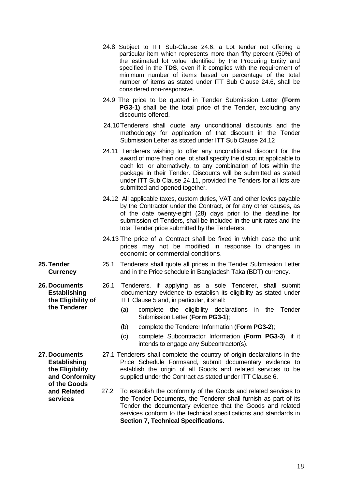- 24.8 Subject to ITT Sub-Clause 24.6, a Lot tender not offering a particular item which represents more than fifty percent (50%) of the estimated lot value identified by the Procuring Entity and specified in the **TDS**, even if it complies with the requirement of minimum number of items based on percentage of the total number of items as stated under ITT Sub Clause 24.6, shall be considered non-responsive.
- 24.9 The price to be quoted in Tender Submission Letter **(Form PG3-1)** shall be the total price of the Tender, excluding any discounts offered.
- 24.10Tenderers shall quote any unconditional discounts and the methodology for application of that discount in the Tender Submission Letter as stated under ITT Sub Clause 24.12
- 24.11 Tenderers wishing to offer any unconditional discount for the award of more than one lot shall specify the discount applicable to each lot, or alternatively, to any combination of lots within the package in their Tender. Discounts will be submitted as stated under ITT Sub Clause 24.11, provided the Tenders for all lots are submitted and opened together.
- 24.12 All applicable taxes, custom duties, VAT and other levies payable by the Contractor under the Contract, or for any other causes, as of the date twenty-eight (28) days prior to the deadline for submission of Tenders, shall be included in the unit rates and the total Tender price submitted by the Tenderers.
- 24.13 The price of a Contract shall be fixed in which case the unit prices may not be modified in response to changes in economic or commercial conditions.
- 25.1 Tenderers shall quote all prices in the Tender Submission Letter and in the Price schedule in Bangladesh Taka (BDT) currency.
- 26.1 Tenderers, if applying as a sole Tenderer, shall submit documentary evidence to establish its eligibility as stated under ITT Clause 5 and, in particular, it shall:
	- (a) complete the eligibility declarations in the Tender Submission Letter (**Form PG3-1**);
	- (b) complete the Tenderer Information (**Form PG3-2**);
	- (c) complete Subcontractor Information (**Form PG3-3**), if it intends to engage any Subcontractor(s).
- 27.1 Tenderers shall complete the country of origin declarations in the Price Schedule Formsand, submit documentary evidence to establish the origin of all Goods and related services to be supplied under the Contract as stated under ITT Clause 6.
	- 27.2 To establish the conformity of the Goods and related services to the Tender Documents, the Tenderer shall furnish as part of its Tender the documentary evidence that the Goods and related services conform to the technical specifications and standards in **Section 7, Technical Specifications.**
- <span id="page-17-0"></span>**25. Tender Currency**
- <span id="page-17-1"></span>**26. Documents Establishing the Eligibility of the Tenderer**
- <span id="page-17-2"></span>**27. Documents Establishing the Eligibility and Conformity of the Goods and Related services**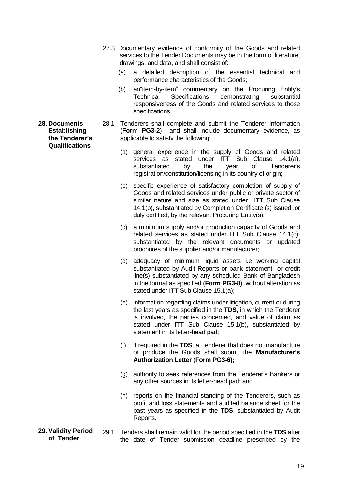<span id="page-18-0"></span>**28. Documents Establishing the Tenderer's Qualifications**

- 27.3 Documentary evidence of conformity of the Goods and related services to the Tender Documents may be in the form of literature, drawings, and data, and shall consist of:
	- (a) a detailed description of the essential technical and performance characteristics of the Goods;
	- (b) an"item-by-item" commentary on the Procuring Entity's Technical Specifications demonstrating substantial responsiveness of the Goods and related services to those specifications.
- 28.1 Tenderers shall complete and submit the Tenderer Information (**Form PG3-2**) and shall include documentary evidence, as applicable to satisfy the following:
	- (a) general experience in the supply of Goods and related services as stated under ITT Sub Clause 14.1(a). substantiated by the year of Tenderer's registration/constitution/licensing in its country of origin;
	- (b) specific experience of satisfactory completion of supply of Goods and related services under public or private sector of similar nature and size as stated under ITT Sub Clause 14.1(b), substantiated by Completion Certificate (s) issued ,or duly certified, by the relevant Procuring Entity(s);
	- (c) a minimum supply and/or production capacity of Goods and related services as stated under ITT Sub Clause 14.1(c), substantiated by the relevant documents or updated brochures of the supplier and/or manufacturer;
	- (d) adequacy of minimum liquid assets i.e working capital substantiated by Audit Reports or bank statement or credit line(s) substantiated by any scheduled Bank of Bangladesh in the format as specified (**Form PG3-8**), without alteration as stated under ITT Sub Clause 15.1(a);
	- (e) information regarding claims under litigation, current or during the last years as specified in the **TDS**, in which the Tenderer is involved, the parties concerned, and value of claim as stated under ITT Sub Clause 15.1(b), substantiated by statement in its letter-head pad;
	- (f) if required in the **TDS**, a Tenderer that does not manufacture or produce the Goods shall submit the **Manufacturer's Authorization Letter** (**Form PG3-6);**
	- (g) authority to seek references from the Tenderer's Bankers or any other sources in its letter-head pad; and
	- (h) reports on the financial standing of the Tenderers, such as profit and loss statements and audited balance sheet for the past years as specified in the **TDS**, substantiated by Audit Reports.
- <span id="page-18-1"></span>**29. Validity Period of Tender** 29.1 Tenders shall remain valid for the period specified in the **TDS** after the date of Tender submission deadline prescribed by the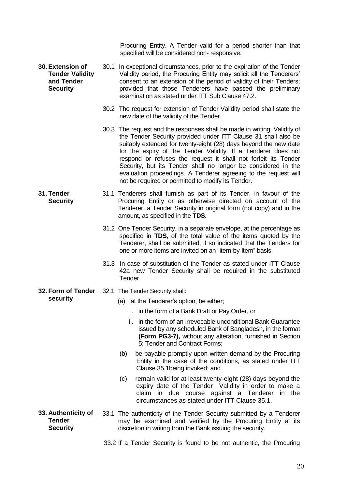Procuring Entity. A Tender valid for a period shorter than that specified will be considered non- responsive.

<span id="page-19-0"></span>**30. Extension of Tender Validity and Tender Security** 30.1 In exceptional circumstances, prior to the expiration of the Tender Validity period, the Procuring Entity may solicit all the Tenderers' consent to an extension of the period of validity of their Tenders; provided that those Tenderers have passed the preliminary examination as stated under ITT Sub Clause 47.2.

- 30.2 The request for extension of Tender Validity period shall state the new date of the validity of the Tender.
- 30.3 The request and the responses shall be made in writing. Validity of the Tender Security provided under ITT Clause 31 shall also be suitably extended for twenty-eight (28) days beyond the new date for the expiry of the Tender Validity. If a Tenderer does not respond or refuses the request it shall not forfeit its Tender Security, but its Tender shall no longer be considered in the evaluation proceedings. A Tenderer agreeing to the request will not be required or permitted to modify its Tender.
- <span id="page-19-1"></span>**31. Tender Security** 31.1 Tenderers shall furnish as part of its Tender, in favour of the Procuring Entity or as otherwise directed on account of the Tenderer, a Tender Security in original form (not copy) and in the amount, as specified in the **TDS.**
	- 31.2 One Tender Security, in a separate envelope, at the percentage as specified in **TDS**, of the total value of the items quoted by the Tenderer, shall be submitted, if so indicated that the Tenders for one or more items are invited on an "item-by-item" basis.
	- 31.3 In case of substitution of the Tender as stated under ITT Clause 42a new Tender Security shall be required in the substituted Tender.
- <span id="page-19-2"></span>**32. Form of Tender security**
	- 32.1 The Tender Security shall:
		- (a) at the Tenderer's option, be either;
			- i. in the form of a Bank Draft or Pay Order, or
			- ii. in the form of an irrevocable unconditional Bank Guarantee issued by any scheduled Bank of Bangladesh, in the format **(Form PG3-7),** without any alteration, furnished in Section 5: Tender and Contract Forms;
		- (b) be payable promptly upon written demand by the Procuring Entity in the case of the conditions, as stated under ITT Clause 35.1being invoked; and
		- (c) remain valid for at least twenty-eight (28) days beyond the expiry date of the Tender Validity in order to make a claim in due course against a Tenderer in the circumstances as stated under ITT Clause 35.1.
- <span id="page-19-3"></span>**33. Authenticity of Tender Security** 33.1 The authenticity of the Tender Security submitted by a Tenderer may be examined and verified by the Procuring Entity at its discretion in writing from the Bank issuing the security.

<sup>33.2</sup> If a Tender Security is found to be not authentic, the Procuring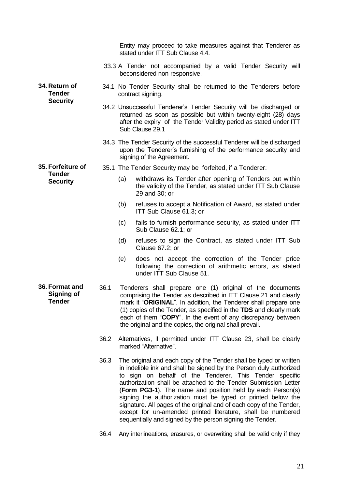<span id="page-20-2"></span><span id="page-20-1"></span><span id="page-20-0"></span>

|                                                   |      |     | Entity may proceed to take measures against that Tenderer as<br>stated under ITT Sub Clause 4.4.                                                                                                                                                                                                                                                                                                                                                                                                                                                                                                         |
|---------------------------------------------------|------|-----|----------------------------------------------------------------------------------------------------------------------------------------------------------------------------------------------------------------------------------------------------------------------------------------------------------------------------------------------------------------------------------------------------------------------------------------------------------------------------------------------------------------------------------------------------------------------------------------------------------|
|                                                   |      |     | 33.3 A Tender not accompanied by a valid Tender Security will<br>beconsidered non-responsive.                                                                                                                                                                                                                                                                                                                                                                                                                                                                                                            |
| 34. Return of<br><b>Tender</b><br><b>Security</b> |      |     | 34.1 No Tender Security shall be returned to the Tenderers before<br>contract signing.                                                                                                                                                                                                                                                                                                                                                                                                                                                                                                                   |
|                                                   |      |     | 34.2 Unsuccessful Tenderer's Tender Security will be discharged or<br>returned as soon as possible but within twenty-eight (28) days<br>after the expiry of the Tender Validity period as stated under ITT<br>Sub Clause 29.1                                                                                                                                                                                                                                                                                                                                                                            |
|                                                   |      |     | 34.3 The Tender Security of the successful Tenderer will be discharged<br>upon the Tenderer's furnishing of the performance security and<br>signing of the Agreement.                                                                                                                                                                                                                                                                                                                                                                                                                                    |
| 35. Forfeiture of                                 |      |     | 35.1 The Tender Security may be forfeited, if a Tenderer:                                                                                                                                                                                                                                                                                                                                                                                                                                                                                                                                                |
| <b>Tender</b><br><b>Security</b>                  |      | (a) | withdraws its Tender after opening of Tenders but within<br>the validity of the Tender, as stated under ITT Sub Clause<br>29 and 30; or                                                                                                                                                                                                                                                                                                                                                                                                                                                                  |
|                                                   |      | (b) | refuses to accept a Notification of Award, as stated under<br>ITT Sub Clause 61.3; or                                                                                                                                                                                                                                                                                                                                                                                                                                                                                                                    |
|                                                   |      | (c) | fails to furnish performance security, as stated under ITT<br>Sub Clause 62.1; or                                                                                                                                                                                                                                                                                                                                                                                                                                                                                                                        |
|                                                   |      | (d) | refuses to sign the Contract, as stated under ITT Sub<br>Clause 67.2; or                                                                                                                                                                                                                                                                                                                                                                                                                                                                                                                                 |
|                                                   |      | (e) | does not accept the correction of the Tender price<br>following the correction of arithmetic errors, as stated<br>under ITT Sub Clause 51.                                                                                                                                                                                                                                                                                                                                                                                                                                                               |
| 36. Format and<br>Signing of<br>Tender            | 36.1 |     | Tenderers shall prepare one (1) original of the documents<br>comprising the Tender as described in ITT Clause 21 and clearly<br>mark it "ORIGINAL". In addition, the Tenderer shall prepare one<br>(1) copies of the Tender, as specified in the TDS and clearly mark<br>each of them "COPY". In the event of any discrepancy between<br>the original and the copies, the original shall prevail.                                                                                                                                                                                                        |
|                                                   | 36.2 |     | Alternatives, if permitted under ITT Clause 23, shall be clearly<br>marked "Alternative".                                                                                                                                                                                                                                                                                                                                                                                                                                                                                                                |
|                                                   | 36.3 |     | The original and each copy of the Tender shall be typed or written<br>in indelible ink and shall be signed by the Person duly authorized<br>to sign on behalf of the Tenderer. This Tender specific<br>authorization shall be attached to the Tender Submission Letter<br>(Form PG3-1). The name and position held by each Person(s)<br>signing the authorization must be typed or printed below the<br>signature. All pages of the original and of each copy of the Tender,<br>except for un-amended printed literature, shall be numbered<br>sequentially and signed by the person signing the Tender. |
|                                                   | 36.4 |     | Any interlineations, erasures, or overwriting shall be valid only if they                                                                                                                                                                                                                                                                                                                                                                                                                                                                                                                                |

21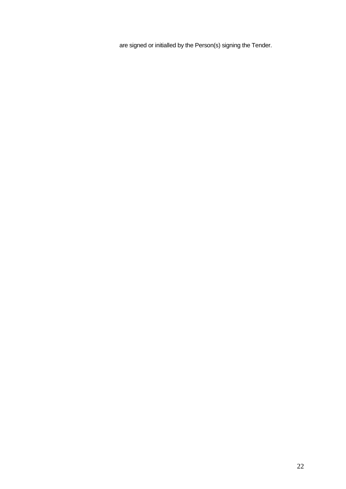are signed or initialled by the Person(s) signing the Tender.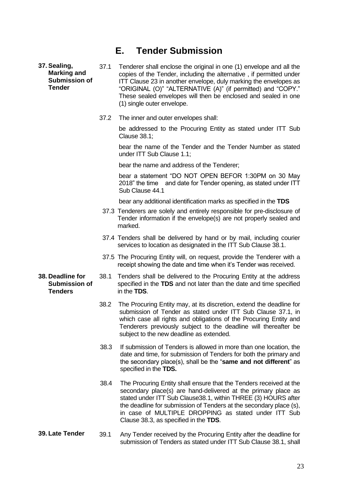#### **E. Tender Submission**

<span id="page-22-1"></span><span id="page-22-0"></span>**37. Sealing, Marking and Submission of Tender**

37.1 Tenderer shall enclose the original in one (1) envelope and all the copies of the Tender, including the alternative , if permitted under ITT Clause 23 in another envelope, duly marking the envelopes as "ORIGINAL (O)" "ALTERNATIVE (A)" (if permitted) and "COPY." These sealed envelopes will then be enclosed and sealed in one (1) single outer envelope.

37.2 The inner and outer envelopes shall:

be addressed to the Procuring Entity as stated under ITT Sub Clause 38.1;

bear the name of the Tender and the Tender Number as stated under ITT Sub Clause 1.1;

bear the name and address of the Tenderer:

bear a statement "DO NOT OPEN BEFOR 1:30PM on 30 May 2018" the time and date for Tender opening, as stated under ITT Sub Clause 44.1

(e) bear any additional identification marks as specified in the **TDS**

- 37.3 Tenderers are solely and entirely responsible for pre-disclosure of Tender information if the envelope(s) are not properly sealed and marked.
- 37.4 Tenders shall be delivered by hand or by mail, including courier services to location as designated in the ITT Sub Clause 38.1.
- 37.5 The Procuring Entity will, on request, provide the Tenderer with a receipt showing the date and time when it's Tender was received.
- <span id="page-22-2"></span>**38. Deadline for Submission of Tenders**
	- 38.1 Tenders shall be delivered to the Procuring Entity at the address specified in the **TDS** and not later than the date and time specified in the **TDS**.
	- 38.2 The Procuring Entity may, at its discretion, extend the deadline for submission of Tender as stated under ITT Sub Clause 37.1, in which case all rights and obligations of the Procuring Entity and Tenderers previously subject to the deadline will thereafter be subject to the new deadline as extended.
	- 38.3 If submission of Tenders is allowed in more than one location, the date and time, for submission of Tenders for both the primary and the secondary place(s), shall be the "**same and not different**" as specified in the **TDS.**
	- 38.4 The Procuring Entity shall ensure that the Tenders received at the secondary place(s) are hand-delivered at the primary place as stated under ITT Sub Clause38.1, within THREE (3) HOURS after the deadline for submission of Tenders at the secondary place (s), in case of MULTIPLE DROPPING as stated under ITT Sub Clause 38.3, as specified in the **TDS**.
- <span id="page-22-3"></span>**39. Late Tender** 39.1 Any Tender received by the Procuring Entity after the deadline for submission of Tenders as stated under ITT Sub Clause 38.1, shall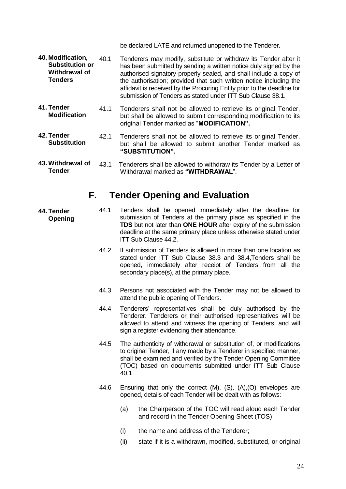be declared LATE and returned unopened to the Tenderer.

- <span id="page-23-0"></span>**40. Modification, Substitution or Withdrawal of Tenders** 40.1 Tenderers may modify, substitute or withdraw its Tender after it has been submitted by sending a written notice duly signed by the authorised signatory properly sealed, and shall include a copy of the authorisation; provided that such written notice including the affidavit is received by the Procuring Entity prior to the deadline for submission of Tenders as stated under ITT Sub Clause 38.1.
- <span id="page-23-1"></span>**41. Tender Modification** 41.1 Tenderers shall not be allowed to retrieve its original Tender, but shall be allowed to submit corresponding modification to its original Tender marked as "**MODIFICATION".**
- <span id="page-23-2"></span>**42. Tender Substitution** 42.1 Tenderers shall not be allowed to retrieve its original Tender, but shall be allowed to submit another Tender marked as **"SUBSTITUTION".**
- <span id="page-23-3"></span>**43. Withdrawal of Tender** 43.1 Tenderers shall be allowed to withdraw its Tender by a Letter of Withdrawal marked as **"WITHDRAWAL**".

#### <span id="page-23-4"></span>**F. Tender Opening and Evaluation**

- 44.1 Tenders shall be opened immediately after the deadline for submission of Tenders at the primary place as specified in the **TDS** but not later than **ONE HOUR** after expiry of the submission deadline at the same primary place unless otherwise stated under ITT Sub Clause 44.2.
	- 44.2 If submission of Tenders is allowed in more than one location as stated under ITT Sub Clause 38.3 and 38.4,Tenders shall be opened, immediately after receipt of Tenders from all the secondary place(s), at the primary place.
	- 44.3 Persons not associated with the Tender may not be allowed to attend the public opening of Tenders.
	- 44.4 Tenderers' representatives shall be duly authorised by the Tenderer. Tenderers or their authorised representatives will be allowed to attend and witness the opening of Tenders, and will sign a register evidencing their attendance.
	- 44.5 The authenticity of withdrawal or substitution of, or modifications to original Tender, if any made by a Tenderer in specified manner, shall be examined and verified by the Tender Opening Committee (TOC) based on documents submitted under ITT Sub Clause 40.1.
	- 44.6 Ensuring that only the correct (M), (S), (A),(O) envelopes are opened, details of each Tender will be dealt with as follows:
		- (a) the Chairperson of the TOC will read aloud each Tender and record in the Tender Opening Sheet (TOS);
		- (i) the name and address of the Tenderer;
		- (ii) state if it is a withdrawn, modified, substituted, or original

<span id="page-23-5"></span>**44. Tender Opening**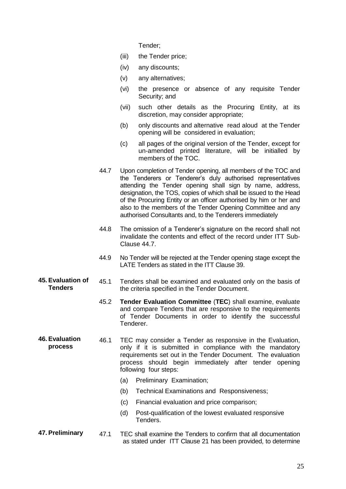Tender;

- (iii) the Tender price;
- (iv) any discounts;
- (v) any alternatives;
- (vi) the presence or absence of any requisite Tender Security; and
- (vii) such other details as the Procuring Entity, at its discretion, may consider appropriate;
- (b) only discounts and alternative read aloud at the Tender opening will be considered in evaluation;
- (c) all pages of the original version of the Tender, except for un-amended printed literature, will be initialled by members of the TOC.
- 44.7 Upon completion of Tender opening, all members of the TOC and the Tenderers or Tenderer's duly authorised representatives attending the Tender opening shall sign by name, address, designation, the TOS, copies of which shall be issued to the Head of the Procuring Entity or an officer authorised by him or her and also to the members of the Tender Opening Committee and any authorised Consultants and, to the Tenderers immediately
- 44.8 The omission of a Tenderer's signature on the record shall not invalidate the contents and effect of the record under ITT Sub-Clause 44.7.
- 44.9 No Tender will be rejected at the Tender opening stage except the LATE Tenders as stated in the ITT Clause 39.
- <span id="page-24-0"></span>**45. Evaluation of Tenders** 45.1 Tenders shall be examined and evaluated only on the basis of the criteria specified in the Tender Document.
	- 45.2 **Tender Evaluation Committee** (**TEC**) shall examine, evaluate and compare Tenders that are responsive to the requirements of Tender Documents in order to identify the successful Tenderer.
- <span id="page-24-1"></span>**46. Evaluation process** 46.1 TEC may consider a Tender as responsive in the Evaluation, only if it is submitted in compliance with the mandatory requirements set out in the Tender Document. The evaluation process should begin immediately after tender opening following four steps:
	- (a) Preliminary Examination;
	- (b) Technical Examinations and Responsiveness;
	- (c) Financial evaluation and price comparison;
	- (d) Post-qualification of the lowest evaluated responsive Tenders.
- <span id="page-24-2"></span>**47. Preliminary** 47.1 TEC shall examine the Tenders to confirm that all documentation as stated under ITT Clause 21 has been provided, to determine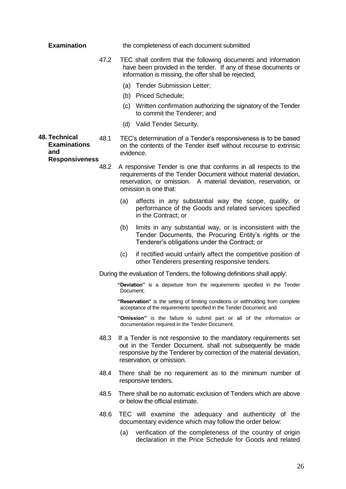<span id="page-25-0"></span>

| <b>Examination</b>                                                          |      | the completeness of each document submitted |                                                                                                                                                                                                                                   |
|-----------------------------------------------------------------------------|------|---------------------------------------------|-----------------------------------------------------------------------------------------------------------------------------------------------------------------------------------------------------------------------------------|
|                                                                             | 47.2 |                                             | TEC shall confirm that the following documents and information<br>have been provided in the tender. If any of these documents or<br>information is missing, the offer shall be rejected;                                          |
|                                                                             |      |                                             | (a) Tender Submission Letter;                                                                                                                                                                                                     |
|                                                                             |      |                                             | (b) Priced Schedule;                                                                                                                                                                                                              |
|                                                                             |      | (c)                                         | Written confirmation authorizing the signatory of the Tender<br>to commit the Tenderer; and                                                                                                                                       |
|                                                                             |      |                                             | (d) Valid Tender Security.                                                                                                                                                                                                        |
| <b>48. Technical</b><br><b>Examinations</b><br>and<br><b>Responsiveness</b> | 48.1 | evidence.                                   | TEC's determination of a Tender's responsiveness is to be based<br>on the contents of the Tender itself without recourse to extrinsic                                                                                             |
|                                                                             | 48.2 |                                             | A responsive Tender is one that conforms in all respects to the<br>requirements of the Tender Document without material deviation,<br>reservation, or omission. A material deviation, reservation, or<br>omission is one that:    |
|                                                                             |      | (a)                                         | affects in any substantial way the scope, quality, or<br>performance of the Goods and related services specified<br>in the Contract; or                                                                                           |
|                                                                             |      | (b)                                         | limits in any substantial way, or is inconsistent with the<br>Tender Documents, the Procuring Entity's rights or the<br>Tenderer's obligations under the Contract; or                                                             |
|                                                                             |      | (c)                                         | if rectified would unfairly affect the competitive position of<br>other Tenderers presenting responsive tenders.                                                                                                                  |
|                                                                             |      |                                             | During the evaluation of Tenders, the following definitions shall apply:                                                                                                                                                          |
|                                                                             |      | Document;                                   | "Deviation" is a departure from the requirements specified in the Tender                                                                                                                                                          |
|                                                                             |      |                                             | "Reservation" is the setting of limiting conditions or withholding from complete<br>acceptance of the requirements specified in the Tender Document; and                                                                          |
|                                                                             |      |                                             | "Omission" is the failure to submit part or all of the information or<br>documentation required in the Tender Document.                                                                                                           |
|                                                                             | 48.3 |                                             | If a Tender is not responsive to the mandatory requirements set<br>out in the Tender Document, shall not subsequently be made<br>responsive by the Tenderer by correction of the material deviation,<br>reservation, or omission. |
|                                                                             | 48.4 |                                             | There shall be no requirement as to the minimum number of<br>responsive tenders.                                                                                                                                                  |
|                                                                             | 48.5 |                                             | There shall be no automatic exclusion of Tenders which are above<br>or below the official estimate.                                                                                                                               |
|                                                                             | 48.6 |                                             | TEC will examine the adequacy and authenticity of the<br>documentary evidence which may follow the order below:                                                                                                                   |
|                                                                             |      | (a)                                         | verification of the completeness of the country of origin<br>declaration in the Price Schedule for Goods and related                                                                                                              |
|                                                                             |      |                                             |                                                                                                                                                                                                                                   |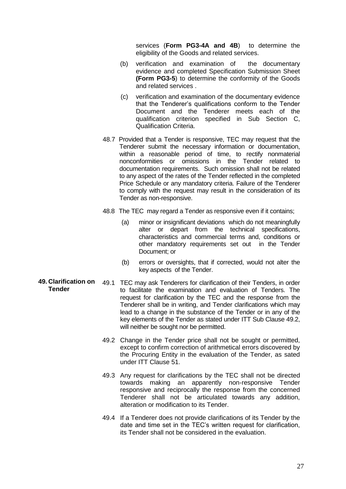services (**Form PG3-4A and 4B**) to determine the eligibility of the Goods and related services.

- (b) verification and examination of the documentary evidence and completed Specification Submission Sheet **(Form PG3-5**) to determine the conformity of the Goods and related services .
- (c) verification and examination of the documentary evidence that the Tenderer's qualifications conform to the Tender Document and the Tenderer meets each of the qualification criterion specified in Sub Section C, Qualification Criteria.
- 48.7 Provided that a Tender is responsive, TEC may request that the Tenderer submit the necessary information or documentation, within a reasonable period of time, to rectify nonmaterial nonconformities or omissions in the Tender related to documentation requirements. Such omission shall not be related to any aspect of the rates of the Tender reflected in the completed Price Schedule or any mandatory criteria. Failure of the Tenderer to comply with the request may result in the consideration of its Tender as non-responsive.
- 48.8 The TEC may regard a Tender as responsive even if it contains;
	- (a) minor or insignificant deviations which do not meaningfully alter or depart from the technical specifications, characteristics and commercial terms and, conditions or other mandatory requirements set out in the Tender Document; or
	- (b) errors or oversights, that if corrected, would not alter the key aspects of the Tender.
- <span id="page-26-0"></span>**49. Clarification on**  49.1 TEC may ask Tenderers for clarification of their Tenders, in order **Tender** to facilitate the examination and evaluation of Tenders. The request for clarification by the TEC and the response from the Tenderer shall be in writing, and Tender clarifications which may lead to a change in the substance of the Tender or in any of the key elements of the Tender as stated under ITT Sub Clause 49.2, will neither be sought nor be permitted.
	- 49.2 Change in the Tender price shall not be sought or permitted, except to confirm correction of arithmetical errors discovered by the Procuring Entity in the evaluation of the Tender, as sated under ITT Clause 51.
	- 49.3 Any request for clarifications by the TEC shall not be directed towards making an apparently non-responsive Tender responsive and reciprocally the response from the concerned Tenderer shall not be articulated towards any addition, alteration or modification to its Tender.
	- 49.4 If a Tenderer does not provide clarifications of its Tender by the date and time set in the TEC's written request for clarification, its Tender shall not be considered in the evaluation.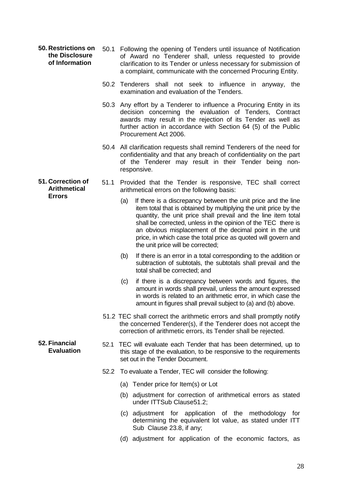- <span id="page-27-0"></span>**50. Restrictions on the Disclosure of Information** 50.1 Following the opening of Tenders until issuance of Notification of Award no Tenderer shall, unless requested to provide clarification to its Tender or unless necessary for submission of a complaint, communicate with the concerned Procuring Entity.
	- 50.2 Tenderers shall not seek to influence in anyway, the examination and evaluation of the Tenders.
	- 50.3 Any effort by a Tenderer to influence a Procuring Entity in its decision concerning the evaluation of Tenders, Contract awards may result in the rejection of its Tender as well as further action in accordance with Section 64 (5) of the Public Procurement Act 2006.
	- 50.4 All clarification requests shall remind Tenderers of the need for confidentiality and that any breach of confidentiality on the part of the Tenderer may result in their Tender being nonresponsive.
- <span id="page-27-1"></span>**51. Correction of Arithmetical Errors** 51.1 Provided that the Tender is responsive, TEC shall correct arithmetical errors on the following basis:
	- (a) If there is a discrepancy between the unit price and the line item total that is obtained by multiplying the unit price by the quantity, the unit price shall prevail and the line item total shall be corrected, unless in the opinion of the TEC there is an obvious misplacement of the decimal point in the unit price, in which case the total price as quoted will govern and the unit price will be corrected;
	- (b) If there is an error in a total corresponding to the addition or subtraction of subtotals, the subtotals shall prevail and the total shall be corrected; and
	- (c) if there is a discrepancy between words and figures, the amount in words shall prevail, unless the amount expressed in words is related to an arithmetic error, in which case the amount in figures shall prevail subject to (a) and (b) above.
	- 51.2 TEC shall correct the arithmetic errors and shall promptly notify the concerned Tenderer(s), if the Tenderer does not accept the correction of arithmetic errors, its Tender shall be rejected.
	- 52.1 TEC will evaluate each Tender that has been determined, up to this stage of the evaluation, to be responsive to the requirements set out in the Tender Document.
		- 52.2 To evaluate a Tender, TEC will consider the following:
			- (a) Tender price for Item(s) or Lot
			- (b) adjustment for correction of arithmetical errors as stated under ITTSub Clause51.2;
			- (c) adjustment for application of the methodology for determining the equivalent lot value, as stated under ITT Sub Clause 23.8, if any;
			- (d) adjustment for application of the economic factors, as

<span id="page-27-2"></span>**52. Financial Evaluation**

28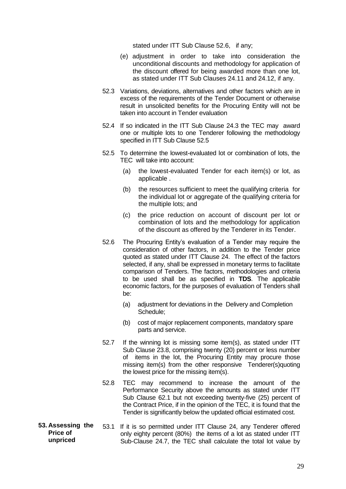stated under ITT Sub Clause 52.6, if any;

- (e) adjustment in order to take into consideration the unconditional discounts and methodology for application of the discount offered for being awarded more than one lot, as stated under ITT Sub Clauses 24.11 and 24.12, if any.
- 52.3 Variations, deviations, alternatives and other factors which are in excess of the requirements of the Tender Document or otherwise result in unsolicited benefits for the Procuring Entity will not be taken into account in Tender evaluation
- 52.4 If so indicated in the ITT Sub Clause 24.3 the TEC may award one or multiple lots to one Tenderer following the methodology specified in ITT Sub Clause 52.5
- 52.5 To determine the lowest-evaluated lot or combination of lots, the TEC will take into account:
	- (a) the lowest-evaluated Tender for each item(s) or lot, as applicable .
	- (b) the resources sufficient to meet the qualifying criteria for the individual lot or aggregate of the qualifying criteria for the multiple lots; and
	- (c) the price reduction on account of discount per lot or combination of lots and the methodology for application of the discount as offered by the Tenderer in its Tender.
- 52.6 The Procuring Entity's evaluation of a Tender may require the consideration of other factors, in addition to the Tender price quoted as stated under ITT Clause 24. The effect of the factors selected, if any, shall be expressed in monetary terms to facilitate comparison of Tenders. The factors, methodologies and criteria to be used shall be as specified in **TDS**. The applicable economic factors, for the purposes of evaluation of Tenders shall be:
	- (a) adjustment for deviations in the Delivery and Completion Schedule;
	- (b) cost of major replacement components, mandatory spare parts and service.
- 52.7 If the winning lot is missing some item(s), as stated under ITT Sub Clause 23.8, comprising twenty (20) percent or less number of items in the lot, the Procuring Entity may procure those missing item(s) from the other responsive Tenderer(s)quoting the lowest price for the missing item(s).
- 52.8 TEC may recommend to increase the amount of the Performance Security above the amounts as stated under ITT Sub Clause 62.1 but not exceeding twenty-five (25) percent of the Contract Price, if in the opinion of the TEC, it is found that the Tender is significantly below the updated official estimated cost.
- <span id="page-28-0"></span>**53. Assessing the Price of unpriced**  53.1 If it is so permitted under ITT Clause 24, any Tenderer offered only eighty percent (80%) the items of a lot as stated under ITT Sub-Clause 24.7, the TEC shall calculate the total lot value by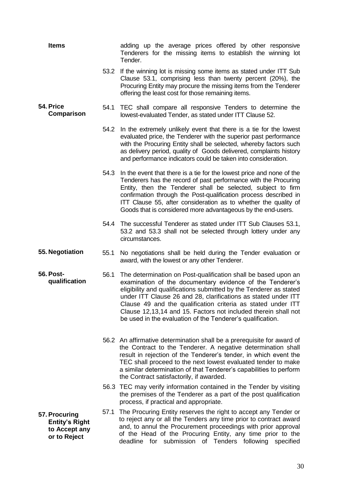<span id="page-29-3"></span><span id="page-29-2"></span><span id="page-29-1"></span><span id="page-29-0"></span>

| <b>Items</b>                                                                    | adding up the average prices offered by other responsive<br>Tenderers for the missing items to establish the winning lot<br>Tender.                                                                                                                                                                                                                                                                                                                                 |
|---------------------------------------------------------------------------------|---------------------------------------------------------------------------------------------------------------------------------------------------------------------------------------------------------------------------------------------------------------------------------------------------------------------------------------------------------------------------------------------------------------------------------------------------------------------|
|                                                                                 | 53.2 If the winning lot is missing some items as stated under ITT Sub<br>Clause 53.1, comprising less than twenty percent (20%), the<br>Procuring Entity may procure the missing items from the Tenderer<br>offering the least cost for those remaining items.                                                                                                                                                                                                      |
| 54. Price<br>Comparison                                                         | TEC shall compare all responsive Tenders to determine the<br>54.1<br>lowest-evaluated Tender, as stated under ITT Clause 52.                                                                                                                                                                                                                                                                                                                                        |
|                                                                                 | 54.2 In the extremely unlikely event that there is a tie for the lowest<br>evaluated price, the Tenderer with the superior past performance<br>with the Procuring Entity shall be selected, whereby factors such<br>as delivery period, quality of Goods delivered, complaints history<br>and performance indicators could be taken into consideration.                                                                                                             |
|                                                                                 | 54.3 In the event that there is a tie for the lowest price and none of the<br>Tenderers has the record of past performance with the Procuring<br>Entity, then the Tenderer shall be selected, subject to firm<br>confirmation through the Post-qualification process described in<br>ITT Clause 55, after consideration as to whether the quality of<br>Goods that is considered more advantageous by the end-users.                                                |
|                                                                                 | 54.4<br>The successful Tenderer as stated under ITT Sub Clauses 53.1,<br>53.2 and 53.3 shall not be selected through lottery under any<br>circumstances.                                                                                                                                                                                                                                                                                                            |
| 55. Negotiation<br>55.1                                                         | No negotiations shall be held during the Tender evaluation or<br>award, with the lowest or any other Tenderer.                                                                                                                                                                                                                                                                                                                                                      |
| <b>56. Post-</b><br>56.1<br>qualification                                       | The determination on Post-qualification shall be based upon an<br>examination of the documentary evidence of the Tenderer's<br>eligibility and qualifications submitted by the Tenderer as stated<br>under ITT Clause 26 and 28, clarifications as stated under ITT<br>Clause 49 and the qualification criteria as stated under ITT<br>Clause 12,13,14 and 15. Factors not included therein shall not<br>be used in the evaluation of the Tenderer's qualification. |
|                                                                                 | 56.2 An affirmative determination shall be a prerequisite for award of<br>the Contract to the Tenderer. A negative determination shall<br>result in rejection of the Tenderer's tender, in which event the<br>TEC shall proceed to the next lowest evaluated tender to make<br>a similar determination of that Tenderer's capabilities to perform<br>the Contract satisfactorily, if awarded.                                                                       |
|                                                                                 | 56.3 TEC may verify information contained in the Tender by visiting<br>the premises of the Tenderer as a part of the post qualification<br>process, if practical and appropriate.                                                                                                                                                                                                                                                                                   |
| 57.1<br>57. Procuring<br><b>Entity's Right</b><br>to Accept any<br>or to Reject | The Procuring Entity reserves the right to accept any Tender or<br>to reject any or all the Tenders any time prior to contract award<br>and, to annul the Procurement proceedings with prior approval<br>of the Head of the Procuring Entity, any time prior to the<br>deadline<br>for submission of Tenders<br>following<br>specified                                                                                                                              |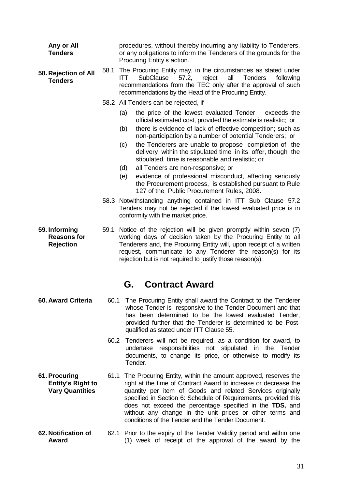<span id="page-30-1"></span><span id="page-30-0"></span>

| Any or All<br><b>Tenders</b>                                        |      | procedures, without thereby incurring any liability to Tenderers,<br>or any obligations to inform the Tenderers of the grounds for the<br>Procuring Entity's action.                                                                                                                                                                                                                                                                            |  |  |
|---------------------------------------------------------------------|------|-------------------------------------------------------------------------------------------------------------------------------------------------------------------------------------------------------------------------------------------------------------------------------------------------------------------------------------------------------------------------------------------------------------------------------------------------|--|--|
| 58. Rejection of All<br><b>Tenders</b>                              | 58.1 | The Procuring Entity may, in the circumstances as stated under<br><b>SubClause</b><br>57.2,<br>all<br>ITT.<br>reject<br><b>Tenders</b><br>following<br>recommendations from the TEC only after the approval of such<br>recommendations by the Head of the Procuring Entity.                                                                                                                                                                     |  |  |
|                                                                     |      | 58.2 All Tenders can be rejected, if -                                                                                                                                                                                                                                                                                                                                                                                                          |  |  |
|                                                                     |      | the price of the lowest evaluated Tender<br>(a)<br>exceeds the<br>official estimated cost, provided the estimate is realistic; or<br>there is evidence of lack of effective competition; such as<br>(b)                                                                                                                                                                                                                                         |  |  |
|                                                                     |      | non-participation by a number of potential Tenderers; or<br>the Tenderers are unable to propose completion of the<br>(c)<br>delivery within the stipulated time in its offer, though the<br>stipulated time is reasonable and realistic; or                                                                                                                                                                                                     |  |  |
|                                                                     |      | (d)<br>all Tenders are non-responsive; or                                                                                                                                                                                                                                                                                                                                                                                                       |  |  |
|                                                                     |      | evidence of professional misconduct, affecting seriously<br>(e)<br>the Procurement process, is established pursuant to Rule<br>127 of the Public Procurement Rules, 2008.                                                                                                                                                                                                                                                                       |  |  |
|                                                                     |      | 58.3 Notwithstanding anything contained in ITT Sub Clause 57.2<br>Tenders may not be rejected if the lowest evaluated price is in<br>conformity with the market price.                                                                                                                                                                                                                                                                          |  |  |
| 59. Informing<br><b>Reasons for</b><br><b>Rejection</b>             | 59.1 | Notice of the rejection will be given promptly within seven (7)<br>working days of decision taken by the Procuring Entity to all<br>Tenderers and, the Procuring Entity will, upon receipt of a written<br>request, communicate to any Tenderer the reason(s) for its<br>rejection but is not required to justify those reason(s).                                                                                                              |  |  |
|                                                                     |      | <b>Contract Award</b><br>G.                                                                                                                                                                                                                                                                                                                                                                                                                     |  |  |
| 60. Award Criteria                                                  | 60.1 | The Procuring Entity shall award the Contract to the Tenderer<br>whose Tender is responsive to the Tender Document and that<br>has been determined to be the lowest evaluated Tender,<br>provided further that the Tenderer is determined to be Post-<br>qualified as stated under ITT Clause 55.                                                                                                                                               |  |  |
|                                                                     | 60.2 | Tenderers will not be required, as a condition for award, to<br>undertake responsibilities not stipulated in the Tender<br>documents, to change its price, or otherwise to modify its<br>Tender.                                                                                                                                                                                                                                                |  |  |
| 61. Procuring<br><b>Entity's Right to</b><br><b>Vary Quantities</b> | 61.1 | The Procuring Entity, within the amount approved, reserves the<br>right at the time of Contract Award to increase or decrease the<br>quantity per item of Goods and related Services originally<br>specified in Section 6: Schedule of Requirements, provided this<br>does not exceed the percentage specified in the TDS, and<br>without any change in the unit prices or other terms and<br>conditions of the Tender and the Tender Document. |  |  |

<span id="page-30-5"></span><span id="page-30-4"></span><span id="page-30-3"></span><span id="page-30-2"></span>**62. Notification of Award** 62.1 Prior to the expiry of the Tender Validity period and within one (1) week of receipt of the approval of the award by the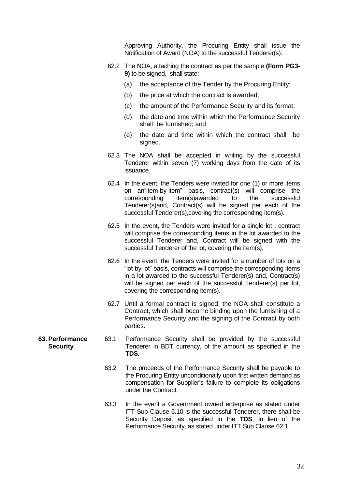Approving Authority, the Procuring Entity shall issue the Notification of Award (NOA) to the successful Tenderer(s).

- 62.2 The NOA, attaching the contract as per the sample **(Form PG3- 9)** to be signed, shall state:
	- (a) the acceptance of the Tender by the Procuring Entity;
	- (b) the price at which the contract is awarded;
	- (c) the amount of the Performance Security and its format;
	- (d) the date and time within which the Performance Security shall be furnished; and
	- (e) the date and time within which the contract shall be signed.
- 62.3 The NOA shall be accepted in writing by the successful Tenderer within seven (7) working days from the date of its issuance.
- 62.4 In the event, the Tenders were invited for one (1) or more items on an them-by-item" basis, contract(s) will comprise the corresponding item(s) awarded to the successful  $corresponding$   $item(s)$  awarded to the Tenderer(s)and, Contract(s) will be signed per each of the successful Tenderer(s), covering the corresponding item(s).
- 62.5 In the event, the Tenders were invited for a single lot , contract will comprise the corresponding items in the lot awarded to the successful Tenderer and, Contract will be signed with the successful Tenderer of the lot, covering the item(s).
- 62.6 In the event, the Tenders were invited for a number of lots on a "lot-by-lot" basis, contracts will comprise the corresponding items in a lot awarded to the successful Tenderer(s) and, Contract(s) will be signed per each of the successful Tenderer(s) per lot, covering the corresponding item(s).
- 62.7 Until a formal contract is signed, the NOA shall constitute a Contract, which shall become binding upon the furnishing of a Performance Security and the signing of the Contract by both parties.
- <span id="page-31-0"></span>**63. Performance Security** 63.1 Performance Security shall be provided by the successful Tenderer in BDT currency, of the amount as specified in the **TDS.**
	- 63.2 The proceeds of the Performance Security shall be payable to the Procuring Entity unconditionally upon first written demand as compensation for Supplier's failure to complete its obligations under the Contract.
	- 63.3 In the event a Government owned enterprise as stated under ITT Sub Clause 5.10 is the successful Tenderer, there shall be Security Deposit as specified in the **TDS**, in lieu of the Performance Security, as stated under ITT Sub Clause 62.1.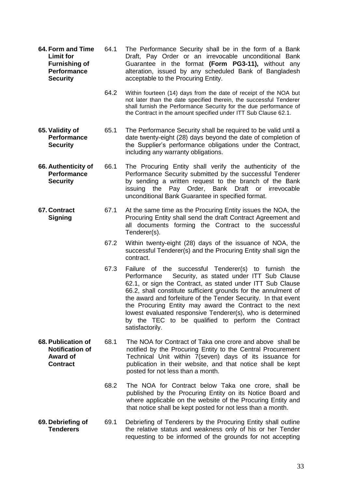- <span id="page-32-0"></span>**64. Form and Time Limit for Furnishing of Performance Security** 64.1 The Performance Security shall be in the form of a Bank Draft, Pay Order or an irrevocable unconditional Bank Guarantee in the format **(Form PG3-11),** without any alteration, issued by any scheduled Bank of Bangladesh acceptable to the Procuring Entity.
	- 64.2 Within fourteen (14) days from the date of receipt of the NOA but not later than the date specified therein, the successful Tenderer shall furnish the Performance Security for the due performance of the Contract in the amount specified under ITT Sub Clause 62.1.
- <span id="page-32-1"></span>**65. Validity of Performance Security** 65.1 The Performance Security shall be required to be valid until a date twenty-eight (28) days beyond the date of completion of the Supplier's performance obligations under the Contract, including any warranty obligations.
- <span id="page-32-2"></span>**66. Authenticity of Performance Security** 66.1 The Procuring Entity shall verify the authenticity of the Performance Security submitted by the successful Tenderer by sending a written request to the branch of the Bank issuing the Pay Order, Bank Draft or irrevocable unconditional Bank Guarantee in specified format.
- <span id="page-32-3"></span>**67. Contract Signing** 67.1 At the same time as the Procuring Entity issues the NOA, the Procuring Entity shall send the draft Contract Agreement and all documents forming the Contract to the successful Tenderer(s).
	- 67.2 Within twenty-eight (28) days of the issuance of NOA, the successful Tenderer(s) and the Procuring Entity shall sign the contract.
	- 67.3 Failure of the successful Tenderer(s) to furnish the Performance Security, as stated under ITT Sub Clause 62.1, or sign the Contract, as stated under ITT Sub Clause 66.2, shall constitute sufficient grounds for the annulment of the award and forfeiture of the Tender Security. In that event the Procuring Entity may award the Contract to the next lowest evaluated responsive Tenderer(s), who is determined by the TEC to be qualified to perform the Contract satisfactorily.
- <span id="page-32-4"></span>**68. Publication of Notification of Award of Contract** 68.1 The NOA for Contract of Taka one crore and above shall be notified by the Procuring Entity to the Central Procurement Technical Unit within 7(seven) days of its issuance for publication in their website, and that notice shall be kept posted for not less than a month.
	- 68.2 The NOA for Contract below Taka one crore, shall be published by the Procuring Entity on its Notice Board and where applicable on the website of the Procuring Entity and that notice shall be kept posted for not less than a month.
- <span id="page-32-5"></span>**69. Debriefing of Tenderers** 69.1 Debriefing of Tenderers by the Procuring Entity shall outline the relative status and weakness only of his or her Tender requesting to be informed of the grounds for not accepting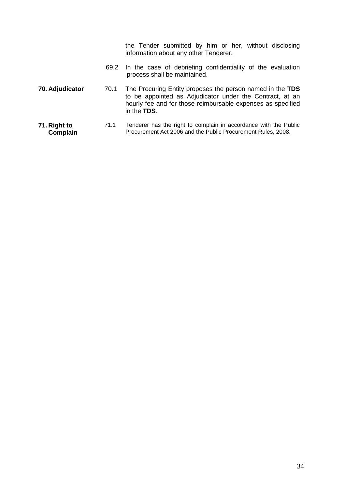<span id="page-33-1"></span><span id="page-33-0"></span>

|                          |      | the Tender submitted by him or her, without disclosing<br>information about any other Tenderer.                                                                                                     |
|--------------------------|------|-----------------------------------------------------------------------------------------------------------------------------------------------------------------------------------------------------|
|                          |      | 69.2 In the case of debriefing confidentiality of the evaluation<br>process shall be maintained.                                                                                                    |
| 70. Adjudicator          | 70.1 | The Procuring Entity proposes the person named in the TDS<br>to be appointed as Adjudicator under the Contract, at an<br>hourly fee and for those reimbursable expenses as specified<br>in the TDS. |
| 71. Right to<br>Complain | 71.1 | Tenderer has the right to complain in accordance with the Public<br>Procurement Act 2006 and the Public Procurement Rules, 2008.                                                                    |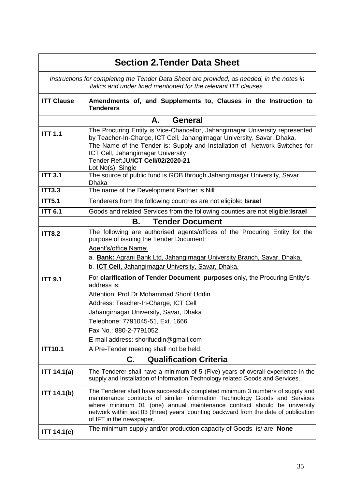<span id="page-34-3"></span><span id="page-34-2"></span><span id="page-34-1"></span><span id="page-34-0"></span>

|                   | <b>Section 2. Tender Data Sheet</b>                                                                                                                                                                                                                                                                                                                         |  |  |
|-------------------|-------------------------------------------------------------------------------------------------------------------------------------------------------------------------------------------------------------------------------------------------------------------------------------------------------------------------------------------------------------|--|--|
|                   | Instructions for completing the Tender Data Sheet are provided, as needed, in the notes in<br><i>italics and under lined mentioned for the relevant ITT clauses.</i>                                                                                                                                                                                        |  |  |
| <b>ITT Clause</b> | Amendments of, and Supplements to, Clauses in the Instruction to<br><b>Tenderers</b>                                                                                                                                                                                                                                                                        |  |  |
|                   | <b>General</b><br>А.                                                                                                                                                                                                                                                                                                                                        |  |  |
| <b>ITT 1.1</b>    | The Procuring Entity is Vice-Chancellor, Jahangirnagar University represented<br>by Teacher-In-Charge, ICT Cell, Jahangirnagar University, Savar, Dhaka.<br>The Name of the Tender is: Supply and Installation of Network Switches for<br>ICT Cell, Jahangirnagar University<br>Tender Ref: JU/ICT Cell/02/2020-21<br>Lot No(s): Single                     |  |  |
| <b>ITT 3.1</b>    | The source of public fund is GOB through Jahangirnagar University, Savar,<br><b>Dhaka</b>                                                                                                                                                                                                                                                                   |  |  |
| <b>ITT3.3</b>     | The name of the Development Partner is Nill                                                                                                                                                                                                                                                                                                                 |  |  |
| <b>ITT5.1</b>     | Tenderers from the following countries are not eligible: Israel                                                                                                                                                                                                                                                                                             |  |  |
| <b>ITT 6.1</b>    | Goods and related Services from the following counties are not eligible: Israel                                                                                                                                                                                                                                                                             |  |  |
|                   | <b>Tender Document</b><br>В.                                                                                                                                                                                                                                                                                                                                |  |  |
| <b>ITT8.2</b>     | The following are authorised agents/offices of the Procuring Entity for the<br>purpose of issuing the Tender Document:<br>Agent's/office Name:<br>a. Bank: Agrani Bank Ltd, Jahangirnagar University Branch, Savar, Dhaka.<br>b. ICT Cell, Jahangirnagar University, Savar, Dhaka.                                                                          |  |  |
| <b>ITT 9.1</b>    | For <b>clarification of Tender Document purposes</b> only, the Procuring Entity's                                                                                                                                                                                                                                                                           |  |  |
|                   | address is:<br>Attention: Prof.Dr.Mohammad Shorif Uddin<br>Address: Teacher-In-Charge, ICT Cell<br>Jahangirnagar University, Savar, Dhaka<br>Telephone: 7791045-51, Ext. 1666<br>Fax No.: 880-2-7791052<br>E-mail address: shorifuddin@gmail.com                                                                                                            |  |  |
| <b>ITT10.1</b>    | A Pre-Tender meeting shall not be held.                                                                                                                                                                                                                                                                                                                     |  |  |
|                   | <b>Qualification Criteria</b><br>C.                                                                                                                                                                                                                                                                                                                         |  |  |
| ITT 14.1(a)       | The Tenderer shall have a minimum of 5 (Five) years of overall experience in the<br>supply and Installation of Information Technology related Goods and Services.                                                                                                                                                                                           |  |  |
| ITT 14.1(b)       | The Tenderer shall have successfully completed minimum 3 numbers of supply and<br>maintenance contracts of similar Information Technology Goods and Services<br>where minimum 01 (one) annual maintenance contract should be university<br>network within last 03 (three) years' counting backward from the date of publication<br>of IFT in the newspaper. |  |  |
| ITT 14.1(c)       | The minimum supply and/or production capacity of Goods is/ are: None                                                                                                                                                                                                                                                                                        |  |  |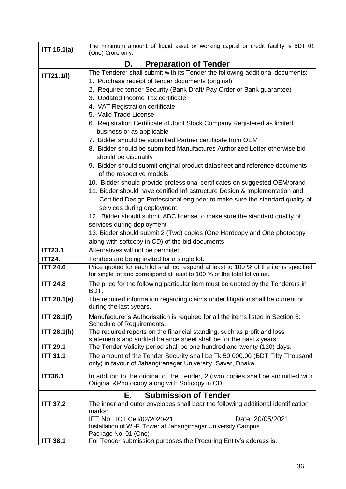<span id="page-35-0"></span>

| ITT 15.1(a)                                                                                 | The minimum amount of liquid asset or working capital or credit facility is BDT 01<br>(One) Crore only.                                    |  |  |
|---------------------------------------------------------------------------------------------|--------------------------------------------------------------------------------------------------------------------------------------------|--|--|
|                                                                                             | <b>Preparation of Tender</b><br>D.                                                                                                         |  |  |
| The Tenderer shall submit with its Tender the following additional documents:<br>ITT21.1(1) |                                                                                                                                            |  |  |
|                                                                                             | 1. Purchase receipt of tender documents (original)                                                                                         |  |  |
|                                                                                             | 2. Required tender Security (Bank Draft/ Pay Order or Bank guarantee)                                                                      |  |  |
|                                                                                             | 3. Updated Income Tax certificate                                                                                                          |  |  |
|                                                                                             | 4. VAT Registration certificate                                                                                                            |  |  |
|                                                                                             | 5. Valid Trade License                                                                                                                     |  |  |
|                                                                                             | 6. Registration Certificate of Joint Stock Company Registered as limited                                                                   |  |  |
|                                                                                             | business or as applicable                                                                                                                  |  |  |
|                                                                                             | 7. Bidder should be submitted Partner certificate from OEM                                                                                 |  |  |
|                                                                                             | 8. Bidder should be submitted Manufactures Authorized Letter otherwise bid<br>should be disqualify                                         |  |  |
|                                                                                             | 9. Bidder should submit original product datasheet and reference documents                                                                 |  |  |
|                                                                                             | of the respective models                                                                                                                   |  |  |
|                                                                                             | 10. Bidder should provide professional certificates on suggested OEM/brand                                                                 |  |  |
|                                                                                             | 11. Bidder should have certified Infrastructure Design & Implementation and                                                                |  |  |
|                                                                                             | Certified Design Professional engineer to make sure the standard quality of                                                                |  |  |
|                                                                                             | services during deployment                                                                                                                 |  |  |
|                                                                                             | 12. Bidder should submit ABC license to make sure the standard quality of<br>services during deployment                                    |  |  |
|                                                                                             | 13. Bidder should submit 2 (Two) copies (One Hardcopy and One photocopy                                                                    |  |  |
|                                                                                             | along with softcopy in CD) of the bid documents                                                                                            |  |  |
| <b>ITT23.1</b>                                                                              | Alternatives will not be permitted.                                                                                                        |  |  |
| <b>ITT24.</b>                                                                               | Tenders are being invited for a single lot.                                                                                                |  |  |
| <b>ITT 24.6</b>                                                                             | Price quoted for each lot shall correspond at least to 100 % of the items specified                                                        |  |  |
|                                                                                             | for single lot and correspond at least to 100 % of the total lot value.                                                                    |  |  |
| <b>ITT 24.8</b>                                                                             | The price for the following particular item must be quoted by the Tenderers in<br>BDT.                                                     |  |  |
| $\overline{\text{ITT}}$ 28.1(e)                                                             | The required information regarding claims under litigation shall be current or<br>during the last <i>syears</i> .                          |  |  |
| <b>ITT 28.1(f)</b>                                                                          | Manufacturer's Authorisation is required for all the items listed in Section 6:<br>Schedule of Requirements.                               |  |  |
| ITT 28.1(h)                                                                                 | The required reports on the financial standing, such as profit and loss                                                                    |  |  |
|                                                                                             | statements and audited balance sheet shall be for the past 3 years.                                                                        |  |  |
| <b>ITT 29.1</b>                                                                             | The Tender Validity period shall be one hundred and twenty (120) days.                                                                     |  |  |
| <b>ITT 31.1</b>                                                                             | The amount of the Tender Security shall be Tk 50,000.00 (BDT Fifty Thousand<br>only) in favour of Jahangiranagar University, Savar, Dhaka. |  |  |
| <b>ITT36.1</b>                                                                              | In addition to the original of the Tender, 2 (two) copies shall be submitted with                                                          |  |  |
|                                                                                             | Original & Photocopy along with Softcopy in CD.                                                                                            |  |  |
|                                                                                             | <b>Submission of Tender</b><br>Е.                                                                                                          |  |  |
| <b>ITT 37.2</b>                                                                             | The inner and outer envelopes shall bear the following additional identification                                                           |  |  |
|                                                                                             | marks:                                                                                                                                     |  |  |
|                                                                                             | IFT No.: ICT Cell/02/2020-21<br>Date: 20/05/2021<br>Installation of Wi-Fi Tower at Jahangirnagar University Campus.                        |  |  |
|                                                                                             | Package No: 01 (One)                                                                                                                       |  |  |
| <b>ITT 38.1</b>                                                                             | For Tender submission purposes, the Procuring Entity's address is:                                                                         |  |  |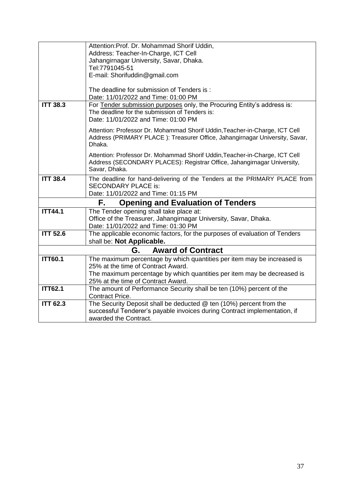|                 | Attention: Prof. Dr. Mohammad Shorif Uddin,                                                        |  |  |  |  |  |  |
|-----------------|----------------------------------------------------------------------------------------------------|--|--|--|--|--|--|
|                 | Address: Teacher-In-Charge, ICT Cell                                                               |  |  |  |  |  |  |
|                 | Jahangirnagar University, Savar, Dhaka.                                                            |  |  |  |  |  |  |
|                 | Tel:7791045-51                                                                                     |  |  |  |  |  |  |
|                 | E-mail: Shorifuddin@gmail.com                                                                      |  |  |  |  |  |  |
|                 |                                                                                                    |  |  |  |  |  |  |
|                 | The deadline for submission of Tenders is:<br>Date: 11/01/2022 and Time: 01:00 PM                  |  |  |  |  |  |  |
| <b>ITT 38.3</b> | For Tender submission purposes only, the Procuring Entity's address is:                            |  |  |  |  |  |  |
|                 | The deadline for the submission of Tenders is:                                                     |  |  |  |  |  |  |
|                 | Date: 11/01/2022 and Time: 01:00 PM                                                                |  |  |  |  |  |  |
|                 | Attention: Professor Dr. Mohammad Shorif Uddin, Teacher-in-Charge, ICT Cell                        |  |  |  |  |  |  |
|                 | Address (PRIMARY PLACE): Treasurer Office, Jahangirnagar University, Savar,                        |  |  |  |  |  |  |
|                 | Dhaka.                                                                                             |  |  |  |  |  |  |
|                 | Attention: Professor Dr. Mohammad Shorif Uddin, Teacher-in-Charge, ICT Cell                        |  |  |  |  |  |  |
|                 | Address (SECONDARY PLACES): Registrar Office, Jahangirnagar University,                            |  |  |  |  |  |  |
|                 | Savar, Dhaka.                                                                                      |  |  |  |  |  |  |
| <b>ITT 38.4</b> | The deadline for hand-delivering of the Tenders at the PRIMARY PLACE from                          |  |  |  |  |  |  |
|                 | <b>SECONDARY PLACE is:</b>                                                                         |  |  |  |  |  |  |
|                 | Date: 11/01/2022 and Time: 01:15 PM                                                                |  |  |  |  |  |  |
|                 | <b>Opening and Evaluation of Tenders</b><br>F.                                                     |  |  |  |  |  |  |
| <b>ITT44.1</b>  | The Tender opening shall take place at:                                                            |  |  |  |  |  |  |
|                 | Office of the Treasurer, Jahangirnagar University, Savar, Dhaka.                                   |  |  |  |  |  |  |
|                 | Date: 11/01/2022 and Time: 01:30 PM                                                                |  |  |  |  |  |  |
| <b>ITT 52.6</b> | The applicable economic factors, for the purposes of evaluation of Tenders                         |  |  |  |  |  |  |
|                 | shall be: Not Applicable.                                                                          |  |  |  |  |  |  |
|                 | <b>Award of Contract</b><br>G.                                                                     |  |  |  |  |  |  |
| <b>ITT60.1</b>  | The maximum percentage by which quantities per item may be increased is                            |  |  |  |  |  |  |
|                 | 25% at the time of Contract Award.                                                                 |  |  |  |  |  |  |
|                 | The maximum percentage by which quantities per item may be decreased is                            |  |  |  |  |  |  |
|                 | 25% at the time of Contract Award.                                                                 |  |  |  |  |  |  |
| <b>ITT62.1</b>  | The amount of Performance Security shall be ten (10%) percent of the                               |  |  |  |  |  |  |
|                 | <b>Contract Price.</b>                                                                             |  |  |  |  |  |  |
| <b>ITT 62.3</b> | The Security Deposit shall be deducted $@$ ten (10%) percent from the                              |  |  |  |  |  |  |
|                 | successful Tenderer's payable invoices during Contract implementation, if<br>awarded the Contract. |  |  |  |  |  |  |
|                 |                                                                                                    |  |  |  |  |  |  |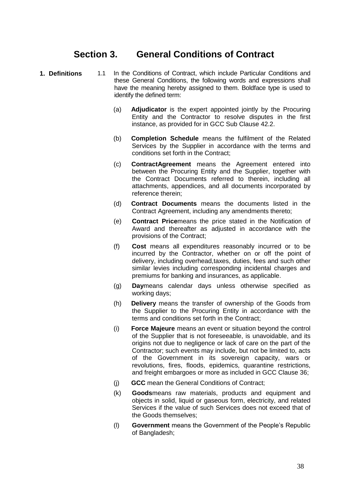## **Section 3. General Conditions of Contract**

- **1. Definitions** 1.1 In the Conditions of Contract, which include Particular Conditions and these General Conditions, the following words and expressions shall have the meaning hereby assigned to them. Boldface type is used to identify the defined term:
	- (a) **Adjudicator** is the expert appointed jointly by the Procuring Entity and the Contractor to resolve disputes in the first instance, as provided for in GCC Sub Clause 42.2.
	- (b) **Completion Schedule** means the fulfilment of the Related Services by the Supplier in accordance with the terms and conditions set forth in the Contract;
	- (c) **ContractAgreement** means the Agreement entered into between the Procuring Entity and the Supplier, together with the Contract Documents referred to therein, including all attachments, appendices, and all documents incorporated by reference therein;
	- (d) **Contract Documents** means the documents listed in the Contract Agreement, including any amendments thereto;
	- (e) **Contract Price**means the price stated in the Notification of Award and thereafter as adjusted in accordance with the provisions of the Contract;
	- (f) **Cost** means all expenditures reasonably incurred or to be incurred by the Contractor, whether on or off the point of delivery, including overhead,taxes, duties, fees and such other similar levies including corresponding incidental charges and premiums for banking and insurances, as applicable.
	- (g) **Day**means calendar days unless otherwise specified as working days;
	- (h) **Delivery** means the transfer of ownership of the Goods from the Supplier to the Procuring Entity in accordance with the terms and conditions set forth in the Contract;
	- (i) **Force Majeure** means an event or situation beyond the control of the Supplier that is not foreseeable, is unavoidable, and its origins not due to negligence or lack of care on the part of the Contractor; such events may include, but not be limited to, acts of the Government in its sovereign capacity, wars or revolutions, fires, floods, epidemics, quarantine restrictions, and freight embargoes or more as included in GCC Clause 36;
	- (j) **GCC** mean the General Conditions of Contract;
	- (k) **Goods**means raw materials, products and equipment and objects in solid, liquid or gaseous form, electricity, and related Services if the value of such Services does not exceed that of the Goods themselves;
	- (l) **Government** means the Government of the People's Republic of Bangladesh;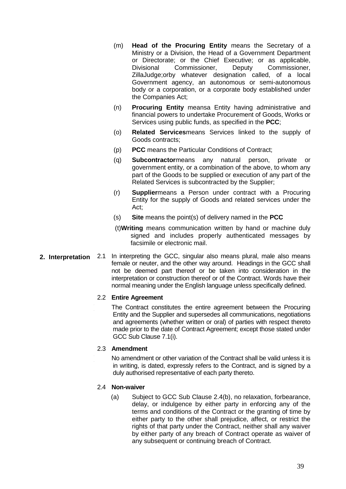- (m) **Head of the Procuring Entity** means the Secretary of a Ministry or a Division, the Head of a Government Department or Directorate; or the Chief Executive; or as applicable, Divisional Commissioner, Deputy Commissioner, ZillaJudge;orby whatever designation called, of a local Government agency, an autonomous or semi-autonomous body or a corporation, or a corporate body established under the Companies Act;
- (n) **Procuring Entity** meansa Entity having administrative and financial powers to undertake Procurement of Goods, Works or Services using public funds, as specified in the **PCC**;
- (o) **Related Services**means Services linked to the supply of Goods contracts;
- (p) **PCC** means the Particular Conditions of Contract;
- (q) **Subcontractor**means any natural person, private or government entity, or a combination of the above, to whom any part of the Goods to be supplied or execution of any part of the Related Services is subcontracted by the Supplier;
- (r) **Supplier**means a Person under contract with a Procuring Entity for the supply of Goods and related services under the Act;
- (s) **Site** means the point(s) of delivery named in the **PCC**
- (t)**Writing** means communication written by hand or machine duly signed and includes properly authenticated messages by facsimile or electronic mail.
- **2. Interpretation** 2.1 In interpreting the GCC, singular also means plural, male also means female or neuter, and the other way around. Headings in the GCC shall not be deemed part thereof or be taken into consideration in the interpretation or construction thereof or of the Contract. Words have their normal meaning under the English language unless specifically defined.

#### 2.2 **Entire Agreement**

The Contract constitutes the entire agreement between the Procuring Entity and the Supplier and supersedes all communications, negotiations and agreements (whether written or oral) of parties with respect thereto made prior to the date of Contract Agreement; except those stated under GCC Sub Clause 7.1(i).

#### 2.3 **Amendment**

No amendment or other variation of the Contract shall be valid unless it is in writing, is dated, expressly refers to the Contract, and is signed by a duly authorised representative of each party thereto.

#### 2.4 **Non-waiver**

(a) Subject to GCC Sub Clause 2.4(b), no relaxation, forbearance, delay, or indulgence by either party in enforcing any of the terms and conditions of the Contract or the granting of time by either party to the other shall prejudice, affect, or restrict the rights of that party under the Contract, neither shall any waiver by either party of any breach of Contract operate as waiver of any subsequent or continuing breach of Contract.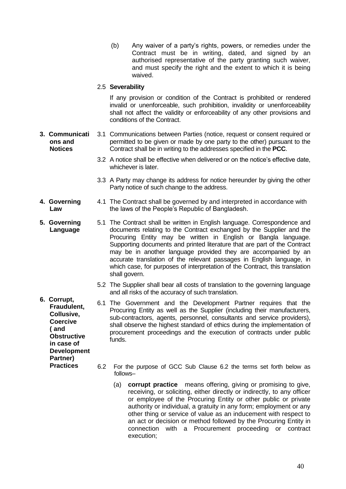- (b) Any waiver of a party's rights, powers, or remedies under the Contract must be in writing, dated, and signed by an authorised representative of the party granting such waiver, and must specify the right and the extent to which it is being waived.
- 2.5 **Severability**

If any provision or condition of the Contract is prohibited or rendered invalid or unenforceable, such prohibition, invalidity or unenforceability shall not affect the validity or enforceability of any other provisions and conditions of the Contract.

- **3. Communicati ons and Notices** 3.1 Communications between Parties (notice, request or consent required or permitted to be given or made by one party to the other) pursuant to the Contract shall be in writing to the addresses specified in the **PCC**.
	- 3.2 A notice shall be effective when delivered or on the notice's effective date, whichever is later.
	- 3.3 A Party may change its address for notice hereunder by giving the other Party notice of such change to the address.
- **4. Governing Law** 4.1 The Contract shall be governed by and interpreted in accordance with the laws of the People's Republic of Bangladesh.
- **5. Governing Language** 5.1 The Contract shall be written in English language. Correspondence and documents relating to the Contract exchanged by the Supplier and the Procuring Entity may be written in English or Bangla language. Supporting documents and printed literature that are part of the Contract may be in another language provided they are accompanied by an accurate translation of the relevant passages in English language, in which case, for purposes of interpretation of the Contract, this translation shall govern.
	- 5.2 The Supplier shall bear all costs of translation to the governing language and all risks of the accuracy of such translation.
	- 6.1 The Government and the Development Partner requires that the Procuring Entity as well as the Supplier (including their manufacturers, sub-contractors, agents, personnel, consultants and service providers), shall observe the highest standard of ethics during the implementation of procurement proceedings and the execution of contracts under public funds.
		- 6.2 For the purpose of GCC Sub Clause 6.2 the terms set forth below as follows–
			- (a) **corrupt practice** means offering, giving or promising to give, receiving, or soliciting, either directly or indirectly, to any officer or employee of the Procuring Entity or other public or private authority or individual, a gratuity in any form; employment or any other thing or service of value as an inducement with respect to an act or decision or method followed by the Procuring Entity in connection with a Procurement proceeding or contract execution;
- **6. Corrupt, Fraudulent, Collusive, Coercive ( and Obstructive in case of Development Partner) Practices**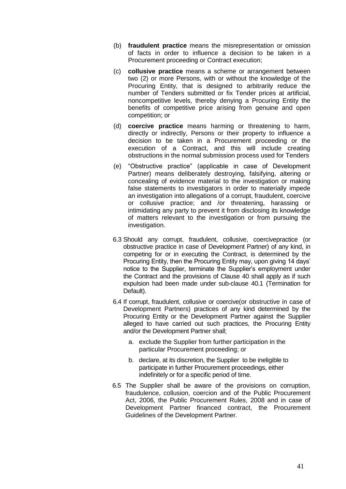- (b) **fraudulent practice** means the misrepresentation or omission of facts in order to influence a decision to be taken in a Procurement proceeding or Contract execution;
- (c) **collusive practice** means a scheme or arrangement between two (2) or more Persons, with or without the knowledge of the Procuring Entity, that is designed to arbitrarily reduce the number of Tenders submitted or fix Tender prices at artificial, noncompetitive levels, thereby denying a Procuring Entity the benefits of competitive price arising from genuine and open competition; or
- (d) **coercive practice** means harming or threatening to harm, directly or indirectly, Persons or their property to influence a decision to be taken in a Procurement proceeding or the execution of a Contract, and this will include creating obstructions in the normal submission process used for Tenders
- (e) "Obstructive practice" (applicable in case of Development Partner) means deliberately destroying, falsifying, altering or concealing of evidence material to the investigation or making false statements to investigators in order to materially impede an investigation into allegations of a corrupt, fraudulent, coercive or collusive practice; and /or threatening, harassing or intimidating any party to prevent it from disclosing its knowledge of matters relevant to the investigation or from pursuing the investigation.
- 6.3 Should any corrupt, fraudulent, collusive, coercivepractice (or obstructive practice in case of Development Partner) of any kind, in competing for or in executing the Contract, is determined by the Procuring Entity, then the Procuring Entity may, upon giving 14 days' notice to the Supplier, terminate the Supplier's employment under the Contract and the provisions of Clause 40 shall apply as if such expulsion had been made under sub-clause 40.1 (Termination for Default).
- 6.4 If corrupt, fraudulent, collusive or coercive(or obstructive in case of Development Partners) practices of any kind determined by the Procuring Entity or the Development Partner against the Supplier alleged to have carried out such practices, the Procuring Entity and/or the Development Partner shall;
	- a. exclude the Supplier from further participation in the particular Procurement proceeding; or
	- b. declare, at its discretion, the Supplier to be ineligible to participate in further Procurement proceedings, either indefinitely or for a specific period of time.
- 6.5 The Supplier shall be aware of the provisions on corruption, fraudulence, collusion, coercion and of the Public Procurement Act, 2006, the Public Procurement Rules, 2008 and in case of Development Partner financed contract, the Procurement Guidelines of the Development Partner.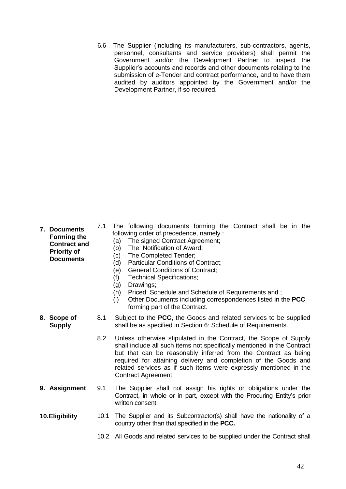6.6 The Supplier (including its manufacturers, sub-contractors, agents, personnel, consultants and service providers) shall permit the Government and/or the Development Partner to inspect the Supplier's accounts and records and other documents relating to the submission of e-Tender and contract performance, and to have them audited by auditors appointed by the Government and/or the Development Partner, if so required.

| 7. Documents<br><b>Forming the</b><br><b>Contract and</b><br><b>Priority of</b><br><b>Documents</b> | 7.1  | The following documents forming the Contract shall be in the<br>following order of precedence, namely:<br>The signed Contract Agreement;<br>(a)<br>(b)<br>The Notification of Award;<br>The Completed Tender;<br>(c)<br>Particular Conditions of Contract;<br>(d)<br>(e)<br><b>General Conditions of Contract;</b><br><b>Technical Specifications;</b><br>(f)<br>Drawings;<br>(g)<br>(h)<br>Priced Schedule and Schedule of Requirements and;<br>Other Documents including correspondences listed in the PCC<br>(i)<br>forming part of the Contract. |
|-----------------------------------------------------------------------------------------------------|------|------------------------------------------------------------------------------------------------------------------------------------------------------------------------------------------------------------------------------------------------------------------------------------------------------------------------------------------------------------------------------------------------------------------------------------------------------------------------------------------------------------------------------------------------------|
| 8. Scope of<br><b>Supply</b>                                                                        | 8.1  | Subject to the <b>PCC</b> , the Goods and related services to be supplied<br>shall be as specified in Section 6: Schedule of Requirements.                                                                                                                                                                                                                                                                                                                                                                                                           |
|                                                                                                     | 8.2  | Unless otherwise stipulated in the Contract, the Scope of Supply<br>shall include all such items not specifically mentioned in the Contract<br>but that can be reasonably inferred from the Contract as being<br>required for attaining delivery and completion of the Goods and<br>related services as if such items were expressly mentioned in the<br>Contract Agreement.                                                                                                                                                                         |
| 9. Assignment                                                                                       | 9.1  | The Supplier shall not assign his rights or obligations under the<br>Contract, in whole or in part, except with the Procuring Entity's prior<br>written consent.                                                                                                                                                                                                                                                                                                                                                                                     |
| 10. Eligibility                                                                                     | 10.1 | The Supplier and its Subcontractor(s) shall have the nationality of a<br>country other than that specified in the PCC.                                                                                                                                                                                                                                                                                                                                                                                                                               |
|                                                                                                     |      |                                                                                                                                                                                                                                                                                                                                                                                                                                                                                                                                                      |

10.2 All Goods and related services to be supplied under the Contract shall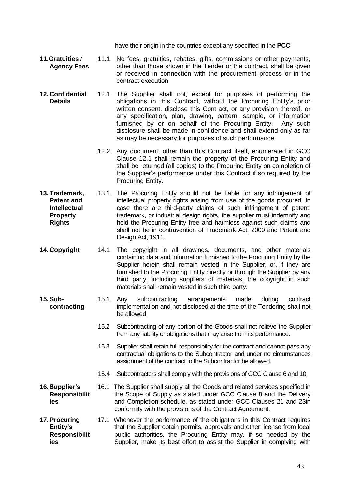have their origin in the countries except any specified in the **PCC**.

- **11.Gratuities / Agency Fees** 11.1 No fees, gratuities, rebates, gifts, commissions or other payments, other than those shown in the Tender or the contract, shall be given or received in connection with the procurement process or in the contract execution.
- **12. Confidential Details** 12.1 The Supplier shall not, except for purposes of performing the obligations in this Contract, without the Procuring Entity's prior written consent, disclose this Contract, or any provision thereof, or any specification, plan, drawing, pattern, sample, or information furnished by or on behalf of the Procuring Entity. Any such disclosure shall be made in confidence and shall extend only as far as may be necessary for purposes of such performance.
	- 12.2 Any document, other than this Contract itself, enumerated in GCC Clause 12.1 shall remain the property of the Procuring Entity and shall be returned (all copies) to the Procuring Entity on completion of the Supplier's performance under this Contract if so required by the Procuring Entity.
- **13. Trademark, Patent and Intellectual Property Rights** 13.1 The Procuring Entity should not be liable for any infringement of intellectual property rights arising from use of the goods procured. In case there are third-party claims of such infringement of patent, trademark, or industrial design rights, the supplier must indemnify and hold the Procuring Entity free and harmless against such claims and shall not be in contravention of Trademark Act, 2009 and Patent and Design Act, 1911.
- **14. Copyright** 14.1 The copyright in all drawings, documents, and other materials containing data and information furnished to the Procuring Entity by the Supplier herein shall remain vested in the Supplier, or, if they are furnished to the Procuring Entity directly or through the Supplier by any third party, including suppliers of materials, the copyright in such materials shall remain vested in such third party.
- **15.Subcontracting** 15.1 Any subcontracting arrangements made during contract implementation and not disclosed at the time of the Tendering shall not be allowed.
	- 15.2 Subcontracting of any portion of the Goods shall not relieve the Supplier from any liability or obligations that may arise from its performance.
	- 15.3 Supplier shall retain full responsibility for the contract and cannot pass any contractual obligations to the Subcontractor and under no circumstances assignment of the contract to the Subcontractor be allowed.
	- 15.4 Subcontractors shall comply with the provisions of GCC Clause 6 and 10.
- **16.Supplier's Responsibilit ies** 16.1 The Supplier shall supply all the Goods and related services specified in the Scope of Supply as stated under GCC Clause 8 and the Delivery and Completion schedule, as stated under GCC Clauses 21 and 23in conformity with the provisions of the Contract Agreement.
- **17.Procuring Entity's Responsibilit ies** 17.1 Whenever the performance of the obligations in this Contract requires that the Supplier obtain permits, approvals and other license from local public authorities, the Procuring Entity may, if so needed by the Supplier, make its best effort to assist the Supplier in complying with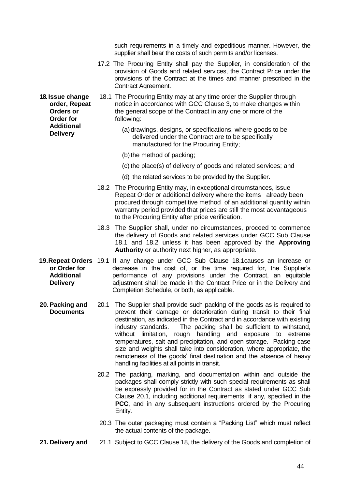such requirements in a timely and expeditious manner. However, the supplier shall bear the costs of such permits and/or licenses.

- 17.2 The Procuring Entity shall pay the Supplier, in consideration of the provision of Goods and related services, the Contract Price under the provisions of the Contract at the times and manner prescribed in the Contract Agreement.
- **18. Issue change**  18.1 The Procuring Entity may at any time order the Supplier through notice in accordance with GCC Clause 3, to make changes within the general scope of the Contract in any one or more of the following:
	- (a) drawings, designs, or specifications, where goods to be delivered under the Contract are to be specifically manufactured for the Procuring Entity;
	- (b)the method of packing;
	- (c) the place(s) of delivery of goods and related services; and
	- (d) the related services to be provided by the Supplier.
	- 18.2 The Procuring Entity may, in exceptional circumstances, issue Repeat Order or additional delivery where the items already been procured through competitive method of an additional quantity within warranty period provided that prices are still the most advantageous to the Procuring Entity after price verification.
	- 18.3 The Supplier shall, under no circumstances, proceed to commence the delivery of Goods and related services under GCC Sub Clause 18.1 and 18.2 unless it has been approved by the **Approving Authority** or authority next higher, as appropriate.
- **19. Repeat Orders** 19.1 If any change under GCC Sub Clause 18.1 causes an increase or **or Order for Additional Delivery** decrease in the cost of, or the time required for, the Supplier's performance of any provisions under the Contract, an equitable adjustment shall be made in the Contract Price or in the Delivery and Completion Schedule, or both, as applicable.
- **20.Packing and Documents** 20.1 The Supplier shall provide such packing of the goods as is required to prevent their damage or deterioration during transit to their final destination, as indicated in the Contract and in accordance with existing industry standards. The packing shall be sufficient to withstand, without limitation, rough handling and exposure to extreme temperatures, salt and precipitation, and open storage. Packing case size and weights shall take into consideration, where appropriate, the remoteness of the goods' final destination and the absence of heavy handling facilities at all points in transit.
	- 20.2 The packing, marking, and documentation within and outside the packages shall comply strictly with such special requirements as shall be expressly provided for in the Contract as stated under GCC Sub Clause 20.1, including additional requirements, if any, specified in the **PCC**, and in any subsequent instructions ordered by the Procuring Entity.
	- 20.3 The outer packaging must contain a "Packing List" which must reflect the actual contents of the package.
- **21. Delivery and** 21.1 Subject to GCC Clause 18, the delivery of the Goods and completion of

**order, Repeat Orders or Order for Additional Delivery**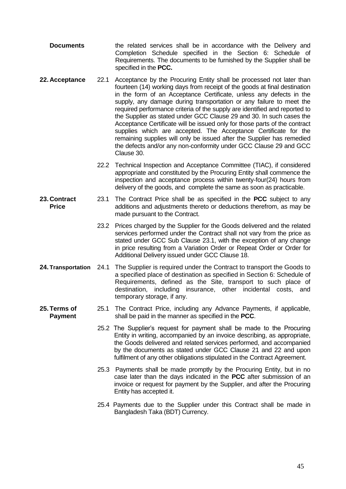- **Documents** the related services shall be in accordance with the Delivery and Completion Schedule specified in the Section 6: Schedule of Requirements. The documents to be furnished by the Supplier shall be specified in the **PCC.**
- **22. Acceptance** 22.1 Acceptance by the Procuring Entity shall be processed not later than fourteen (14) working days from receipt of the goods at final destination in the form of an Acceptance Certificate, unless any defects in the supply, any damage during transportation or any failure to meet the required performance criteria of the supply are identified and reported to the Supplier as stated under GCC Clause 29 and 30. In such cases the Acceptance Certificate will be issued only for those parts of the contract supplies which are accepted. The Acceptance Certificate for the remaining supplies will only be issued after the Supplier has remedied the defects and/or any non-conformity under GCC Clause 29 and GCC Clause 30.
	- 22.2 Technical Inspection and Acceptance Committee (TIAC), if considered appropriate and constituted by the Procuring Entity shall commence the inspection and acceptance process within twenty-four(24) hours from delivery of the goods, and complete the same as soon as practicable.
- **23. Contract Price** 23.1 The Contract Price shall be as specified in the **PCC** subject to any additions and adjustments thereto or deductions therefrom, as may be made pursuant to the Contract.
	- 23.2 Prices charged by the Supplier for the Goods delivered and the related services performed under the Contract shall not vary from the price as stated under GCC Sub Clause 23.1, with the exception of any change in price resulting from a Variation Order or Repeat Order or Order for Additional Delivery issued under GCC Clause 18.
- **24. Transportation** 24.1 The Supplier is required under the Contract to transport the Goods to a specified place of destination as specified in Section 6: Schedule of Requirements, defined as the Site, transport to such place of destination, including insurance, other incidental costs, and temporary storage, if any.
- **25. Terms of Payment** 25.1 The Contract Price, including any Advance Payments, if applicable, shall be paid in the manner as specified in the **PCC**.
	- 25.2 The Supplier's request for payment shall be made to the Procuring Entity in writing, accompanied by an invoice describing, as appropriate, the Goods delivered and related services performed, and accompanied by the documents as stated under GCC Clause 21 and 22 and upon fulfilment of any other obligations stipulated in the Contract Agreement.
	- 25.3 Payments shall be made promptly by the Procuring Entity, but in no case later than the days indicated in the **PCC** after submission of an invoice or request for payment by the Supplier, and after the Procuring Entity has accepted it.
	- 25.4 Payments due to the Supplier under this Contract shall be made in Bangladesh Taka (BDT) Currency.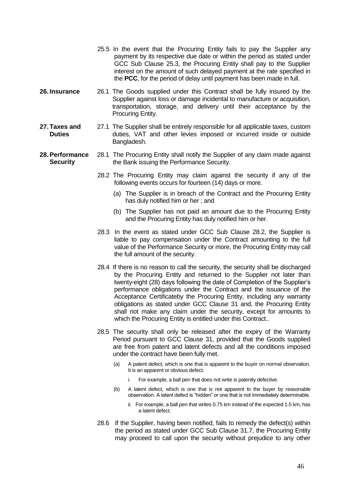- 25.5 In the event that the Procuring Entity fails to pay the Supplier any payment by its respective due date or within the period as stated under GCC Sub Clause 25.3, the Procuring Entity shall pay to the Supplier interest on the amount of such delayed payment at the rate specified in the **PCC**, for the period of delay until payment has been made in full.
- **26. Insurance** 26.1 The Goods supplied under this Contract shall be fully insured by the Supplier against loss or damage incidental to manufacture or acquisition, transportation, storage, and delivery until their acceptance by the Procuring Entity.
- **27. Taxes and Duties** 27.1 The Supplier shall be entirely responsible for all applicable taxes, custom duties, VAT and other levies imposed or incurred inside or outside Bangladesh.
- **28.Performance Security** 28.1 The Procuring Entity shall notify the Supplier of any claim made against the Bank issuing the Performance Security.
	- 28.2 The Procuring Entity may claim against the security if any of the following events occurs for fourteen (14) days or more.
		- (a) The Supplier is in breach of the Contract and the Procuring Entity has duly notified him or her ; and
		- (b) The Supplier has not paid an amount due to the Procuring Entity and the Procuring Entity has duly notified him or her.
	- 28.3 In the event as stated under GCC Sub Clause 28.2, the Supplier is liable to pay compensation under the Contract amounting to the full value of the Performance Security or more, the Procuring Entity may call the full amount of the security.
	- 28.4 If there is no reason to call the security, the security shall be discharged by the Procuring Entity and returned to the Supplier not later than twenty-eight (28) days following the date of Completion of the Supplier's performance obligations under the Contract and the issuance of the Acceptance Certificateby the Procuring Entity, including any warranty obligations as stated under GCC Clause 31 and, the Procuring Entity shall not make any claim under the security, except for amounts to which the Procuring Entity is entitled under this Contract..
	- 28.5 The security shall only be released after the expiry of the Warranty Period pursuant to GCC Clause 31, provided that the Goods supplied are free from patent and latent defects and all the conditions imposed under the contract have been fully met.
		- (a) A patent defect, which is one that is apparent to the buyer on normal observation. It is an apparent or obvious defect.
			- i. For example, a ball pen that does not write is patently defective.
		- (b) A latent defect, which is one that is not apparent to the buyer by reasonable observation. A latent defect is "hidden" or one that is not immediately determinable.
			- ii. For example, a ball pen that writes 0.75 km instead of the expected 1.5 km, has a latent defect.
	- 28.6 If the Supplier, having been notified, fails to remedy the defect(s) within the period as stated under GCC Sub Clause 31.7, the Procuring Entity may proceed to call upon the security without prejudice to any other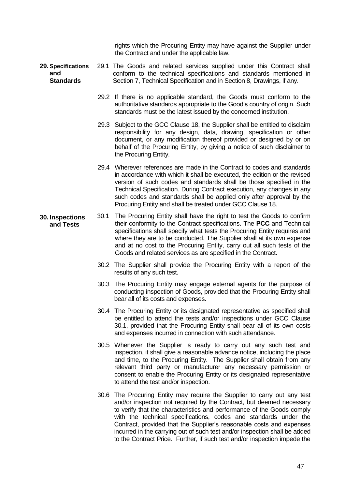rights which the Procuring Entity may have against the Supplier under the Contract and under the applicable law.

- **29. Specifications and Standards** 29.1 The Goods and related services supplied under this Contract shall conform to the technical specifications and standards mentioned in Section 7, Technical Specification and in Section 8, Drawings, if any.
	- 29.2 If there is no applicable standard, the Goods must conform to the authoritative standards appropriate to the Good's country of origin. Such standards must be the latest issued by the concerned institution.
	- 29.3 Subject to the GCC Clause 18, the Supplier shall be entitled to disclaim responsibility for any design, data, drawing, specification or other document, or any modification thereof provided or designed by or on behalf of the Procuring Entity, by giving a notice of such disclaimer to the Procuring Entity.
	- 29.4 Wherever references are made in the Contract to codes and standards in accordance with which it shall be executed, the edition or the revised version of such codes and standards shall be those specified in the Technical Specification. During Contract execution, any changes in any such codes and standards shall be applied only after approval by the Procuring Entity and shall be treated under GCC Clause 18.
- **30. Inspections and Tests** 30.1 The Procuring Entity shall have the right to test the Goods to confirm their conformity to the Contract specifications. The **PCC** and Technical specifications shall specify what tests the Procuring Entity requires and where they are to be conducted. The Supplier shall at its own expense and at no cost to the Procuring Entity, carry out all such tests of the Goods and related services as are specified in the Contract.
	- 30.2 The Supplier shall provide the Procuring Entity with a report of the results of any such test.
	- 30.3 The Procuring Entity may engage external agents for the purpose of conducting inspection of Goods, provided that the Procuring Entity shall bear all of its costs and expenses.
	- 30.4 The Procuring Entity or its designated representative as specified shall be entitled to attend the tests and/or inspections under GCC Clause 30.1, provided that the Procuring Entity shall bear all of its own costs and expenses incurred in connection with such attendance.
	- 30.5 Whenever the Supplier is ready to carry out any such test and inspection, it shall give a reasonable advance notice, including the place and time, to the Procuring Entity. The Supplier shall obtain from any relevant third party or manufacturer any necessary permission or consent to enable the Procuring Entity or its designated representative to attend the test and/or inspection.
	- 30.6 The Procuring Entity may require the Supplier to carry out any test and/or inspection not required by the Contract, but deemed necessary to verify that the characteristics and performance of the Goods comply with the technical specifications, codes and standards under the Contract, provided that the Supplier's reasonable costs and expenses incurred in the carrying out of such test and/or inspection shall be added to the Contract Price. Further, if such test and/or inspection impede the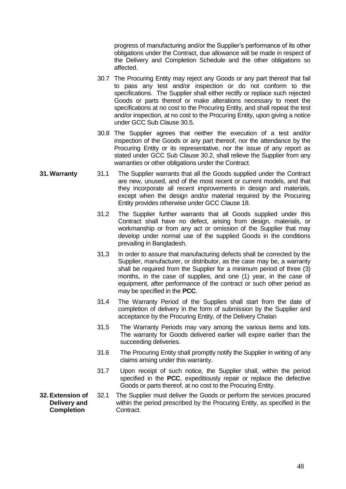progress of manufacturing and/or the Supplier's performance of its other obligations under the Contract, due allowance will be made in respect of the Delivery and Completion Schedule and the other obligations so affected.

- 30.7 The Procuring Entity may reject any Goods or any part thereof that fail to pass any test and/or inspection or do not conform to the specifications. The Supplier shall either rectify or replace such rejected Goods or parts thereof or make alterations necessary to meet the specifications at no cost to the Procuring Entity, and shall repeat the test and/or inspection, at no cost to the Procuring Entity, upon giving a notice under GCC Sub Clause 30.5.
- 30.8 The Supplier agrees that neither the execution of a test and/or inspection of the Goods or any part thereof, nor the attendance by the Procuring Entity or its representative, nor the issue of any report as stated under GCC Sub Clause 30.2, shall relieve the Supplier from any warranties or other obligations under the Contract.
- **31.Warranty** 31.1 The Supplier warrants that all the Goods supplied under the Contract are new, unused, and of the most recent or current models, and that they incorporate all recent improvements in design and materials, except when the design and/or material required by the Procuring Entity provides otherwise under GCC Clause 18.
	- 31.2 The Supplier further warrants that all Goods supplied under this Contract shall have no defect, arising from design, materials, or workmanship or from any act or omission of the Supplier that may develop under normal use of the supplied Goods in the conditions prevailing in Bangladesh.
	- 31.3 In order to assure that manufacturing defects shall be corrected by the Supplier, manufacturer, or distributor, as the case may be, a warranty shall be required from the Supplier for a minimum period of three (3) months, in the case of supplies, and one (1) year, in the case of equipment, after performance of the contract or such other period as may be specified in the **PCC**.
	- 31.4 The Warranty Period of the Supplies shall start from the date of completion of delivery in the form of submission by the Supplier and acceptance by the Procuring Entity, of the Delivery Chalan
	- 31.5 The Warranty Periods may vary among the various items and lots. The warranty for Goods delivered earlier will expire earlier than the succeeding deliveries.
	- 31.6 The Procuring Entity shall promptly notify the Supplier in writing of any claims arising under this warranty.
	- 31.7 Upon receipt of such notice, the Supplier shall, within the period specified in the **PCC**, expeditiously repair or replace the defective Goods or parts thereof, at no cost to the Procuring Entity.
- **32.Extension of Delivery and Completion**  32.1 The Supplier must deliver the Goods or perform the services procured within the period prescribed by the Procuring Entity, as specified in the Contract.
	- 48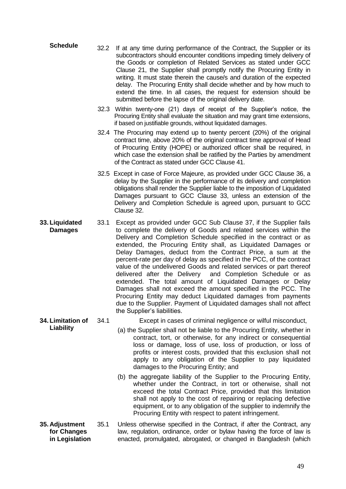- **Schedule** 32.2 If at any time during performance of the Contract, the Supplier or its subcontractors should encounter conditions impeding timely delivery of the Goods or completion of Related Services as stated under GCC Clause 21, the Supplier shall promptly notify the Procuring Entity in writing. It must state therein the cause/s and duration of the expected delay. The Procuring Entity shall decide whether and by how much to extend the time. In all cases, the request for extension should be submitted before the lapse of the original delivery date.
	- 32.3 Within twenty-one (21) days of receipt of the Supplier's notice, the Procuring Entity shall evaluate the situation and may grant time extensions, if based on justifiable grounds, without liquidated damages.
	- 32.4 The Procuring may extend up to twenty percent (20%) of the original contract time, above 20% of the original contract time approval of Head of Procuring Entity (HOPE) or authorized officer shall be required, in which case the extension shall be ratified by the Parties by amendment of the Contract as stated under GCC Clause 41.
	- 32.5 Except in case of Force Majeure, as provided under GCC Clause 36, a delay by the Supplier in the performance of its delivery and completion obligations shall render the Supplier liable to the imposition of Liquidated Damages pursuant to GCC Clause 33, unless an extension of the Delivery and Completion Schedule is agreed upon, pursuant to GCC Clause 32.
- **33. Liquidated Damages** 33.1 Except as provided under GCC Sub Clause 37, if the Supplier fails to complete the delivery of Goods and related services within the Delivery and Completion Schedule specified in the contract or as extended, the Procuring Entity shall, as Liquidated Damages or Delay Damages, deduct from the Contract Price, a sum at the percent-rate per day of delay as specified in the PCC, of the contract value of the undelivered Goods and related services or part thereof delivered after the Delivery and Completion Schedule or as extended. The total amount of Liquidated Damages or Delay Damages shall not exceed the amount specified in the PCC. The Procuring Entity may deduct Liquidated damages from payments due to the Supplier. Payment of Liquidated damages shall not affect the Supplier's liabilities.
- **34. Limitation of Liability** 34.1 Except in cases of criminal negligence or wilful misconduct,
	- (a) the Supplier shall not be liable to the Procuring Entity, whether in contract, tort, or otherwise, for any indirect or consequential loss or damage, loss of use, loss of production, or loss of profits or interest costs, provided that this exclusion shall not apply to any obligation of the Supplier to pay liquidated damages to the Procuring Entity; and
	- (b) the aggregate liability of the Supplier to the Procuring Entity, whether under the Contract, in tort or otherwise, shall not exceed the total Contract Price, provided that this limitation shall not apply to the cost of repairing or replacing defective equipment, or to any obligation of the supplier to indemnify the Procuring Entity with respect to patent infringement.
- **35. Adjustment for Changes in Legislation** 35.1 Unless otherwise specified in the Contract, if after the Contract, any law, regulation, ordinance, order or bylaw having the force of law is enacted, promulgated, abrogated, or changed in Bangladesh (which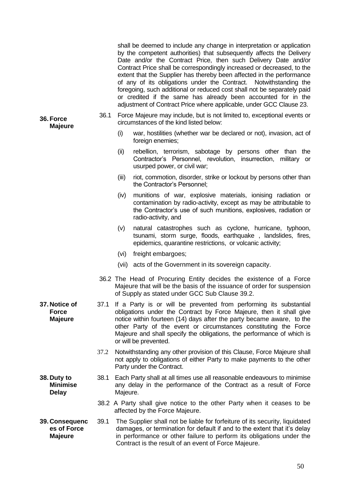|                                                 |      |                                                                                                                    | shall be deemed to include any change in interpretation or application<br>by the competent authorities) that subsequently affects the Delivery<br>Date and/or the Contract Price, then such Delivery Date and/or<br>Contract Price shall be correspondingly increased or decreased, to the<br>extent that the Supplier has thereby been affected in the performance<br>of any of its obligations under the Contract. Notwithstanding the<br>foregoing, such additional or reduced cost shall not be separately paid<br>or credited if the same has already been accounted for in the<br>adjustment of Contract Price where applicable, under GCC Clause 23. |  |  |
|-------------------------------------------------|------|--------------------------------------------------------------------------------------------------------------------|-------------------------------------------------------------------------------------------------------------------------------------------------------------------------------------------------------------------------------------------------------------------------------------------------------------------------------------------------------------------------------------------------------------------------------------------------------------------------------------------------------------------------------------------------------------------------------------------------------------------------------------------------------------|--|--|
| 36. Force<br><b>Majeure</b>                     | 36.1 | Force Majeure may include, but is not limited to, exceptional events or<br>circumstances of the kind listed below: |                                                                                                                                                                                                                                                                                                                                                                                                                                                                                                                                                                                                                                                             |  |  |
|                                                 |      | (i)                                                                                                                | war, hostilities (whether war be declared or not), invasion, act of<br>foreign enemies;                                                                                                                                                                                                                                                                                                                                                                                                                                                                                                                                                                     |  |  |
|                                                 |      | (ii)                                                                                                               | rebellion, terrorism, sabotage by persons other than the<br>Contractor's Personnel, revolution, insurrection, military or<br>usurped power, or civil war;                                                                                                                                                                                                                                                                                                                                                                                                                                                                                                   |  |  |
|                                                 |      | (iii)                                                                                                              | riot, commotion, disorder, strike or lockout by persons other than<br>the Contractor's Personnel;                                                                                                                                                                                                                                                                                                                                                                                                                                                                                                                                                           |  |  |
|                                                 |      | (iv)                                                                                                               | munitions of war, explosive materials, ionising radiation or<br>contamination by radio-activity, except as may be attributable to<br>the Contractor's use of such munitions, explosives, radiation or<br>radio-activity, and                                                                                                                                                                                                                                                                                                                                                                                                                                |  |  |
|                                                 |      | (v)                                                                                                                | natural catastrophes such as cyclone, hurricane, typhoon,<br>tsunami, storm surge, floods, earthquake, landslides, fires,<br>epidemics, quarantine restrictions, or volcanic activity;                                                                                                                                                                                                                                                                                                                                                                                                                                                                      |  |  |
|                                                 |      | (vi)                                                                                                               | freight embargoes;                                                                                                                                                                                                                                                                                                                                                                                                                                                                                                                                                                                                                                          |  |  |
|                                                 |      | (vii)                                                                                                              | acts of the Government in its sovereign capacity.                                                                                                                                                                                                                                                                                                                                                                                                                                                                                                                                                                                                           |  |  |
|                                                 |      |                                                                                                                    | 36.2 The Head of Procuring Entity decides the existence of a Force<br>Majeure that will be the basis of the issuance of order for suspension<br>of Supply as stated under GCC Sub Clause 39.2.                                                                                                                                                                                                                                                                                                                                                                                                                                                              |  |  |
| 37. Notice of<br><b>Force</b><br><b>Majeure</b> | 37.1 |                                                                                                                    | If a Party is or will be prevented from performing its substantial<br>obligations under the Contract by Force Majeure, then it shall give<br>notice within fourteen (14) days after the party became aware, to the<br>other Party of the event or circumstances constituting the Force<br>Majeure and shall specify the obligations, the performance of which is<br>or will be prevented.                                                                                                                                                                                                                                                                   |  |  |
|                                                 | 37.2 |                                                                                                                    | Notwithstanding any other provision of this Clause, Force Majeure shall<br>not apply to obligations of either Party to make payments to the other<br>Party under the Contract.                                                                                                                                                                                                                                                                                                                                                                                                                                                                              |  |  |
| 38. Duty to<br><b>Minimise</b><br><b>Delay</b>  | 38.1 | Majeure.                                                                                                           | Each Party shall at all times use all reasonable endeavours to minimise<br>any delay in the performance of the Contract as a result of Force                                                                                                                                                                                                                                                                                                                                                                                                                                                                                                                |  |  |
|                                                 |      |                                                                                                                    | 38.2 A Party shall give notice to the other Party when it ceases to be<br>affected by the Force Majeure.                                                                                                                                                                                                                                                                                                                                                                                                                                                                                                                                                    |  |  |
| 39. Consequenc<br>es of Force<br><b>Majeure</b> | 39.1 |                                                                                                                    | The Supplier shall not be liable for forfeiture of its security, liquidated<br>damages, or termination for default if and to the extent that it's delay<br>in performance or other failure to perform its obligations under the<br>Contract is the result of an event of Force Majeure.                                                                                                                                                                                                                                                                                                                                                                     |  |  |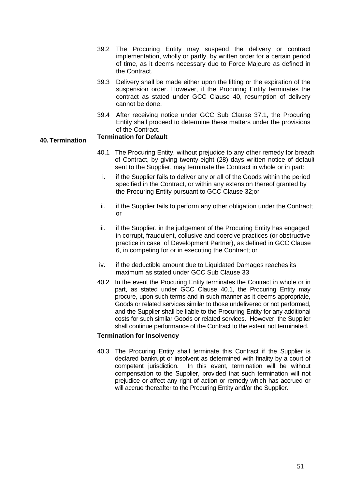- 39.2 The Procuring Entity may suspend the delivery or contract implementation, wholly or partly, by written order for a certain period of time, as it deems necessary due to Force Majeure as defined in the Contract.
- 39.3 Delivery shall be made either upon the lifting or the expiration of the suspension order. However, if the Procuring Entity terminates the contract as stated under GCC Clause 40, resumption of delivery cannot be done.
- 39.4 After receiving notice under GCC Sub Clause 37.1, the Procuring Entity shall proceed to determine these matters under the provisions of the Contract.

### **40. Termination Termination for Default**

- 40.1 The Procuring Entity, without prejudice to any other remedy for breach of Contract, by giving twenty-eight (28) days written notice of default sent to the Supplier, may terminate the Contract in whole or in part:
	- i. if the Supplier fails to deliver any or all of the Goods within the period specified in the Contract, or within any extension thereof granted by the Procuring Entity pursuant to GCC Clause 32;or
	- ii. if the Supplier fails to perform any other obligation under the Contract; or
- iii. if the Supplier, in the judgement of the Procuring Entity has engaged in corrupt, fraudulent, collusive and coercive practices (or obstructive practice in case of Development Partner), as defined in GCC Clause 6, in competing for or in executing the Contract; or
- iv. if the deductible amount due to Liquidated Damages reaches its maximum as stated under GCC Sub Clause 33
- 40.2 In the event the Procuring Entity terminates the Contract in whole or in part, as stated under GCC Clause 40.1, the Procuring Entity may procure, upon such terms and in such manner as it deems appropriate, Goods or related services similar to those undelivered or not performed, and the Supplier shall be liable to the Procuring Entity for any additional costs for such similar Goods or related services. However, the Supplier shall continue performance of the Contract to the extent not terminated.

#### **Termination for Insolvency**

40.3 The Procuring Entity shall terminate this Contract if the Supplier is declared bankrupt or insolvent as determined with finality by a court of competent jurisdiction. In this event, termination will be without compensation to the Supplier, provided that such termination will not prejudice or affect any right of action or remedy which has accrued or will accrue thereafter to the Procuring Entity and/or the Supplier.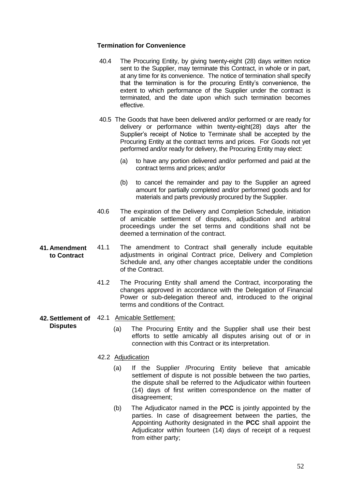#### **Termination for Convenience**

- 40.4 The Procuring Entity, by giving twenty-eight (28) days written notice sent to the Supplier, may terminate this Contract, in whole or in part. at any time for its convenience. The notice of termination shall specify that the termination is for the procuring Entity's convenience, the extent to which performance of the Supplier under the contract is terminated, and the date upon which such termination becomes effective.
- 40.5 The Goods that have been delivered and/or performed or are ready for delivery or performance within twenty-eight(28) days after the Supplier's receipt of Notice to Terminate shall be accepted by the Procuring Entity at the contract terms and prices. For Goods not yet performed and/or ready for delivery, the Procuring Entity may elect:
	- (a) to have any portion delivered and/or performed and paid at the contract terms and prices; and/or
	- (b) to cancel the remainder and pay to the Supplier an agreed amount for partially completed and/or performed goods and for materials and parts previously procured by the Supplier.
- 40.6 The expiration of the Delivery and Completion Schedule, initiation of amicable settlement of disputes, adjudication and arbitral proceedings under the set terms and conditions shall not be deemed a termination of the contract.
- **41. Amendment to Contract** 41.1 The amendment to Contract shall generally include equitable adjustments in original Contract price, Delivery and Completion Schedule and, any other changes acceptable under the conditions of the Contract.
	- 41.2 The Procuring Entity shall amend the Contract, incorporating the changes approved in accordance with the Delegation of Financial Power or sub-delegation thereof and, introduced to the original terms and conditions of the Contract.

#### **42.Settlement of**  42.1 Amicable Settlement:

**Disputes**

- - (a) The Procuring Entity and the Supplier shall use their best efforts to settle amicably all disputes arising out of or in connection with this Contract or its interpretation.

#### 42.2 Adjudication

- (a) If the Supplier /Procuring Entity believe that amicable settlement of dispute is not possible between the two parties, the dispute shall be referred to the Adjudicator within fourteen (14) days of first written correspondence on the matter of disagreement;
- (b) The Adjudicator named in the **PCC** is jointly appointed by the parties. In case of disagreement between the parties, the Appointing Authority designated in the **PCC** shall appoint the Adjudicator within fourteen (14) days of receipt of a request from either party;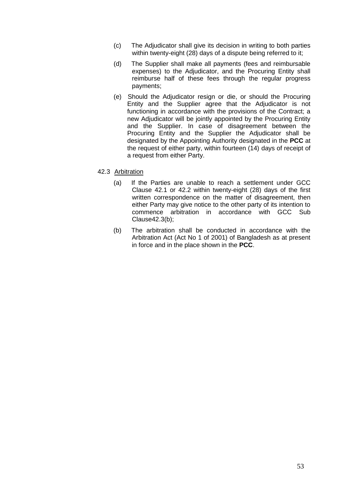- (c) The Adjudicator shall give its decision in writing to both parties within twenty-eight (28) days of a dispute being referred to it;
- (d) The Supplier shall make all payments (fees and reimbursable expenses) to the Adjudicator, and the Procuring Entity shall reimburse half of these fees through the regular progress payments;
- (e) Should the Adjudicator resign or die, or should the Procuring Entity and the Supplier agree that the Adjudicator is not functioning in accordance with the provisions of the Contract; a new Adjudicator will be jointly appointed by the Procuring Entity and the Supplier. In case of disagreement between the Procuring Entity and the Supplier the Adjudicator shall be designated by the Appointing Authority designated in the **PCC** at the request of either party, within fourteen  $(14)$  days of receipt of a request from either Party.

#### 42.3 Arbitration

- (a) If the Parties are unable to reach a settlement under GCC Clause 42.1 or 42.2 within twenty-eight (28) days of the first written correspondence on the matter of disagreement, then either Party may give notice to the other party of its intention to commence arbitration in accordance with GCC Sub Clause42.3(b);
- (b) The arbitration shall be conducted in accordance with the Arbitration Act (Act No 1 of 2001) of Bangladesh as at present in force and in the place shown in the **PCC**.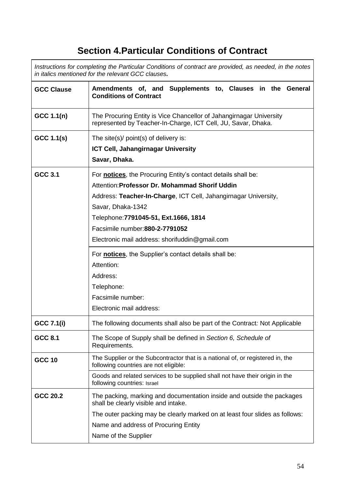# **Section 4.Particular Conditions of Contract**

*Instructions for completing the Particular Conditions of contract are provided, as needed, in the notes in italics mentioned for the relevant GCC clauses.*

| <b>GCC Clause</b> | Amendments of, and Supplements to, Clauses in the General<br><b>Conditions of Contract</b>                                           |  |  |  |  |  |  |  |
|-------------------|--------------------------------------------------------------------------------------------------------------------------------------|--|--|--|--|--|--|--|
| GCC 1.1(n)        | The Procuring Entity is Vice Chancellor of Jahangirnagar University<br>represented by Teacher-In-Charge, ICT Cell, JU, Savar, Dhaka. |  |  |  |  |  |  |  |
| GCC 1.1(s)        | The site(s)/ $point(s)$ of delivery is:                                                                                              |  |  |  |  |  |  |  |
|                   | ICT Cell, Jahangirnagar University                                                                                                   |  |  |  |  |  |  |  |
|                   | Savar, Dhaka.                                                                                                                        |  |  |  |  |  |  |  |
| <b>GCC 3.1</b>    | For <b>notices</b> , the Procuring Entity's contact details shall be:                                                                |  |  |  |  |  |  |  |
|                   | Attention: Professor Dr. Mohammad Shorif Uddin                                                                                       |  |  |  |  |  |  |  |
|                   | Address: Teacher-In-Charge, ICT Cell, Jahangirnagar University,                                                                      |  |  |  |  |  |  |  |
|                   | Savar, Dhaka-1342                                                                                                                    |  |  |  |  |  |  |  |
|                   | Telephone: 7791045-51, Ext. 1666, 1814                                                                                               |  |  |  |  |  |  |  |
|                   | Facsimile number: 880-2-7791052                                                                                                      |  |  |  |  |  |  |  |
|                   | Electronic mail address: shorifuddin@gmail.com                                                                                       |  |  |  |  |  |  |  |
|                   | For <b>notices</b> , the Supplier's contact details shall be:                                                                        |  |  |  |  |  |  |  |
|                   | Attention:                                                                                                                           |  |  |  |  |  |  |  |
|                   | Address:                                                                                                                             |  |  |  |  |  |  |  |
|                   | Telephone:                                                                                                                           |  |  |  |  |  |  |  |
|                   | Facsimile number:                                                                                                                    |  |  |  |  |  |  |  |
|                   | Electronic mail address:                                                                                                             |  |  |  |  |  |  |  |
| <b>GCC 7.1(i)</b> | The following documents shall also be part of the Contract: Not Applicable                                                           |  |  |  |  |  |  |  |
| GCC 8.1           | The Scope of Supply shall be defined in Section 6, Schedule of<br>Requirements.                                                      |  |  |  |  |  |  |  |
| <b>GCC 10</b>     | The Supplier or the Subcontractor that is a national of, or registered in, the<br>following countries are not eligible:              |  |  |  |  |  |  |  |
|                   | Goods and related services to be supplied shall not have their origin in the<br>following countries: Israel                          |  |  |  |  |  |  |  |
| GCC 20.2          | The packing, marking and documentation inside and outside the packages<br>shall be clearly visible and intake.                       |  |  |  |  |  |  |  |
|                   | The outer packing may be clearly marked on at least four slides as follows:                                                          |  |  |  |  |  |  |  |
|                   | Name and address of Procuring Entity                                                                                                 |  |  |  |  |  |  |  |
|                   | Name of the Supplier                                                                                                                 |  |  |  |  |  |  |  |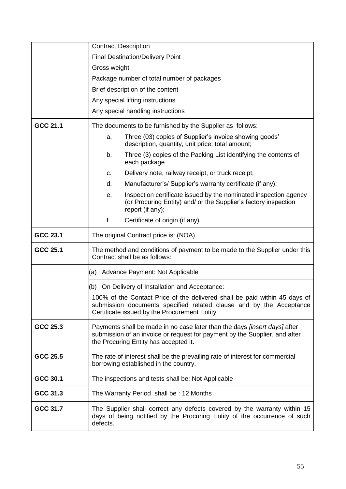|          | <b>Contract Description</b>                                                                                                                                                                             |  |  |  |  |  |
|----------|---------------------------------------------------------------------------------------------------------------------------------------------------------------------------------------------------------|--|--|--|--|--|
|          | <b>Final Destination/Delivery Point</b>                                                                                                                                                                 |  |  |  |  |  |
|          | Gross weight                                                                                                                                                                                            |  |  |  |  |  |
|          | Package number of total number of packages                                                                                                                                                              |  |  |  |  |  |
|          | Brief description of the content                                                                                                                                                                        |  |  |  |  |  |
|          | Any special lifting instructions                                                                                                                                                                        |  |  |  |  |  |
|          | Any special handling instructions                                                                                                                                                                       |  |  |  |  |  |
| GCC 21.1 | The documents to be furnished by the Supplier as follows:                                                                                                                                               |  |  |  |  |  |
|          | Three (03) copies of Supplier's invoice showing goods'<br>a.<br>description, quantity, unit price, total amount;                                                                                        |  |  |  |  |  |
|          | b.<br>Three (3) copies of the Packing List identifying the contents of<br>each package                                                                                                                  |  |  |  |  |  |
|          | Delivery note, railway receipt, or truck receipt;<br>C.                                                                                                                                                 |  |  |  |  |  |
|          | Manufacturer's/ Supplier's warranty certificate (if any);<br>d.                                                                                                                                         |  |  |  |  |  |
|          | Inspection certificate issued by the nominated inspection agency<br>е.<br>(or Procuring Entity) and/ or the Supplier's factory inspection<br>report (if any);                                           |  |  |  |  |  |
|          | f.<br>Certificate of origin (if any).                                                                                                                                                                   |  |  |  |  |  |
| GCC 23.1 | The original Contract price is: (NOA)                                                                                                                                                                   |  |  |  |  |  |
| GCC 25.1 | The method and conditions of payment to be made to the Supplier under this<br>Contract shall be as follows:                                                                                             |  |  |  |  |  |
|          | Advance Payment: Not Applicable<br>(a)                                                                                                                                                                  |  |  |  |  |  |
|          | (b) On Delivery of Installation and Acceptance:                                                                                                                                                         |  |  |  |  |  |
|          | 100% of the Contact Price of the delivered shall be paid within 45 days of<br>submission documents specified related clause and by the Acceptance<br>Certificate issued by the Procurement Entity.      |  |  |  |  |  |
| GCC 25.3 | Payments shall be made in no case later than the days <i>[insert days]</i> after<br>submission of an invoice or request for payment by the Supplier, and after<br>the Procuring Entity has accepted it. |  |  |  |  |  |
| GCC 25.5 | The rate of interest shall be the prevailing rate of interest for commercial<br>borrowing established in the country.                                                                                   |  |  |  |  |  |
| GCC 30.1 | The inspections and tests shall be: Not Applicable                                                                                                                                                      |  |  |  |  |  |
| GCC 31.3 | The Warranty Period shall be: 12 Months                                                                                                                                                                 |  |  |  |  |  |
| GCC 31.7 | The Supplier shall correct any defects covered by the warranty within 15<br>days of being notified by the Procuring Entity of the occurrence of such<br>defects.                                        |  |  |  |  |  |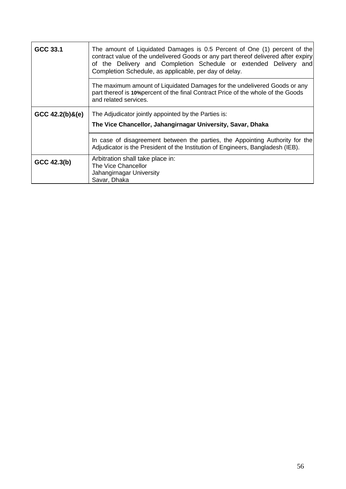| GCC 33.1               | The amount of Liquidated Damages is 0.5 Percent of One (1) percent of the<br>contract value of the undelivered Goods or any part thereof delivered after expiry<br>of the Delivery and Completion Schedule or extended Delivery and<br>Completion Schedule, as applicable, per day of delay. |  |  |  |  |  |
|------------------------|----------------------------------------------------------------------------------------------------------------------------------------------------------------------------------------------------------------------------------------------------------------------------------------------|--|--|--|--|--|
|                        | The maximum amount of Liquidated Damages for the undelivered Goods or any<br>part thereof is 10% percent of the final Contract Price of the whole of the Goods<br>and related services.                                                                                                      |  |  |  |  |  |
| $GCC\ 42.2(b)$ & $(e)$ | The Adjudicator jointly appointed by the Parties is:<br>The Vice Chancellor, Jahangirnagar University, Savar, Dhaka                                                                                                                                                                          |  |  |  |  |  |
|                        | In case of disagreement between the parties, the Appointing Authority for the<br>Adjudicator is the President of the Institution of Engineers, Bangladesh (IEB).                                                                                                                             |  |  |  |  |  |
| GCC 42.3(b)            | Arbitration shall take place in:<br>The Vice Chancellor<br>Jahangirnagar University<br>Savar, Dhaka                                                                                                                                                                                          |  |  |  |  |  |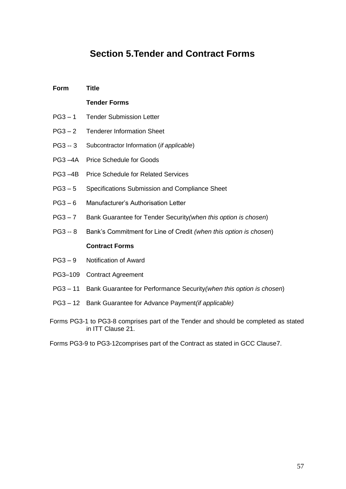# **Section 5.Tender and Contract Forms**

| Form                                                                            | <b>Title</b>                                                                                             |  |  |
|---------------------------------------------------------------------------------|----------------------------------------------------------------------------------------------------------|--|--|
|                                                                                 | <b>Tender Forms</b>                                                                                      |  |  |
| $PG3 - 1$                                                                       | <b>Tender Submission Letter</b>                                                                          |  |  |
| $PG3 - 2$                                                                       | <b>Tenderer Information Sheet</b>                                                                        |  |  |
| $PG3 - 3$                                                                       | Subcontractor Information (if applicable)                                                                |  |  |
| $PG3 - 4A$                                                                      | <b>Price Schedule for Goods</b>                                                                          |  |  |
| $PG3 - 4B$                                                                      | <b>Price Schedule for Related Services</b>                                                               |  |  |
| $PG3-5$                                                                         | Specifications Submission and Compliance Sheet                                                           |  |  |
| $PG3-6$                                                                         | Manufacturer's Authorisation Letter                                                                      |  |  |
| $PG3 - 7$                                                                       | Bank Guarantee for Tender Security (when this option is chosen)                                          |  |  |
| $PG3 - 8$                                                                       | Bank's Commitment for Line of Credit (when this option is chosen)                                        |  |  |
|                                                                                 | <b>Contract Forms</b>                                                                                    |  |  |
| $PG3-9$                                                                         | Notification of Award                                                                                    |  |  |
| PG3-109                                                                         | <b>Contract Agreement</b>                                                                                |  |  |
| $PG3 - 11$                                                                      | Bank Guarantee for Performance Security (when this option is chosen)                                     |  |  |
| $PG3 - 12$                                                                      | Bank Guarantee for Advance Payment (if applicable)                                                       |  |  |
|                                                                                 | Forms PG3-1 to PG3-8 comprises part of the Tender and should be completed as stated<br>in ITT Clause 21. |  |  |
| Forms PG3-9 to PG3-12 comprises part of the Contract as stated in GCC Clause 7. |                                                                                                          |  |  |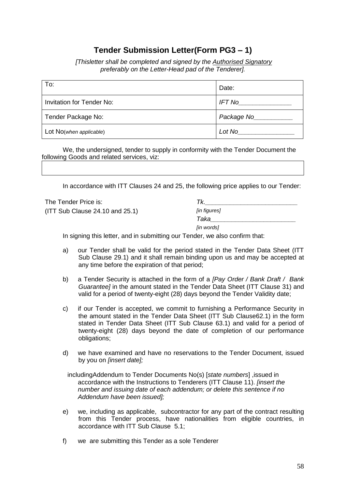## **Tender Submission Letter(Form PG3 – 1)**

*[Thisletter shall be completed and signed by the Authorised Signatory preferably on the Letter-Head pad of the Tenderer].*

| To:                              | Date:                               |
|----------------------------------|-------------------------------------|
| <b>Invitation for Tender No:</b> | $IFT$ No $\underline{\hspace{1cm}}$ |
| Tender Package No:               | Package Now Package                 |
| Lot No(when applicable)          | Lot No                              |

We, the undersigned, tender to supply in conformity with the Tender Document the following Goods and related services, viz:

In accordance with ITT Clauses 24 and 25, the following price applies to our Tender:

| The Tender Price is:            | Tk.          |
|---------------------------------|--------------|
| (ITT Sub Claude 24.10 and 25.1) | [in figures] |
|                                 | Taka         |
|                                 | [in words]   |

In signing this letter, and in submitting our Tender, we also confirm that:

- a) our Tender shall be valid for the period stated in the Tender Data Sheet (ITT Sub Clause 29.1) and it shall remain binding upon us and may be accepted at any time before the expiration of that period;
- b) a Tender Security is attached in the form of a *[Pay Order / Bank Draft / Bank Guarantee]* in the amount stated in the Tender Data Sheet (ITT Clause 31) and valid for a period of twenty-eight (28) days beyond the Tender Validity date;
- c) if our Tender is accepted, we commit to furnishing a Performance Security in the amount stated in the Tender Data Sheet (ITT Sub Clause62.1) in the form stated in Tender Data Sheet (ITT Sub Clause 63.1) and valid for a period of twenty-eight (28) days beyond the date of completion of our performance obligations;
- d) we have examined and have no reservations to the Tender Document, issued by you on *[insert date];*

includingAddendum to Tender Documents No(s) [*state numbers*] ,issued in accordance with the Instructions to Tenderers (ITT Clause 11). *[insert the number and issuing date of each addendum; or delete this sentence if no Addendum have been issued];*

- e) we, including as applicable, subcontractor for any part of the contract resulting from this Tender process, have nationalities from eligible countries, in accordance with ITT Sub Clause 5.1;
- f) we are submitting this Tender as a sole Tenderer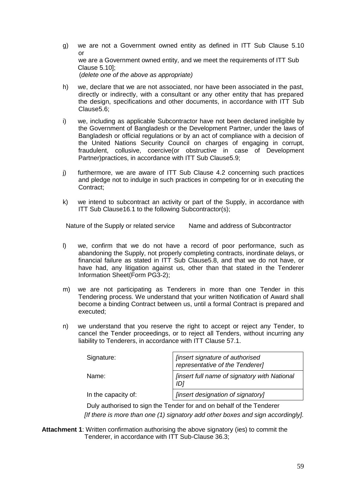- g) we are not a Government owned entity as defined in ITT Sub Clause 5.10 or we are a Government owned entity, and we meet the requirements of ITT Sub Clause 5.10]; (*delete one of the above as appropriate)*
- h) we, declare that we are not associated, nor have been associated in the past, directly or indirectly, with a consultant or any other entity that has prepared the design, specifications and other documents, in accordance with ITT Sub Clause5.6;
- i) we, including as applicable Subcontractor have not been declared ineligible by the Government of Bangladesh or the Development Partner, under the laws of Bangladesh or official regulations or by an act of compliance with a decision of the United Nations Security Council on charges of engaging in corrupt, fraudulent, collusive, coercive(or obstructive in case of Development Partner)practices, in accordance with ITT Sub Clause5.9;
- j) furthermore, we are aware of ITT Sub Clause 4.2 concerning such practices and pledge not to indulge in such practices in competing for or in executing the Contract;
- k) we intend to subcontract an activity or part of the Supply, in accordance with ITT Sub Clause16.1 to the following Subcontractor(s);

Nature of the Supply or related service Name and address of Subcontractor

- l) we, confirm that we do not have a record of poor performance, such as abandoning the Supply, not properly completing contracts, inordinate delays, or financial failure as stated in ITT Sub Clause5.8, and that we do not have, or have had, any litigation against us, other than that stated in the Tenderer Information Sheet(Form PG3-2);
- m) we are not participating as Tenderers in more than one Tender in this Tendering process. We understand that your written Notification of Award shall become a binding Contract between us, until a formal Contract is prepared and executed;
- n) we understand that you reserve the right to accept or reject any Tender, to cancel the Tender proceedings, or to reject all Tenders, without incurring any liability to Tenderers, in accordance with ITT Clause 57.1.

| Signature:          | [insert signature of authorised<br>representative of the Tenderer] |  |
|---------------------|--------------------------------------------------------------------|--|
| Name:               | <b>finsert full name of signatory with National</b><br>IDi         |  |
| In the capacity of: | [insert designation of signatory]                                  |  |

Duly authorised to sign the Tender for and on behalf of the Tenderer  *[If there is more than one (1) signatory add other boxes and sign accordingly].*

**Attachment 1**: Written confirmation authorising the above signatory (ies) to commit the Tenderer, in accordance with ITT Sub-Clause 36.3;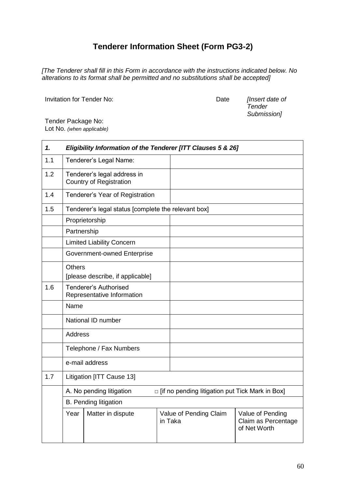## **Tenderer Information Sheet (Form PG3-2)**

*[The Tenderer shall fill in this Form in accordance with the instructions indicated below. No alterations to its format shall be permitted and no substitutions shall be accepted]*

Invitation for Tender No: Date *[Insert date of* 

*Tender Submission]*

Tender Package No: Lot No. *(when applicable)*

| 1.  | Eligibility Information of the Tenderer [ITT Clauses 5 & 26]                  |                                                               |  |                                   |                                                         |  |
|-----|-------------------------------------------------------------------------------|---------------------------------------------------------------|--|-----------------------------------|---------------------------------------------------------|--|
| 1.1 |                                                                               | Tenderer's Legal Name:                                        |  |                                   |                                                         |  |
| 1.2 |                                                                               | Tenderer's legal address in<br><b>Country of Registration</b> |  |                                   |                                                         |  |
| 1.4 |                                                                               | Tenderer's Year of Registration                               |  |                                   |                                                         |  |
| 1.5 |                                                                               | Tenderer's legal status [complete the relevant box]           |  |                                   |                                                         |  |
|     |                                                                               | Proprietorship                                                |  |                                   |                                                         |  |
|     | Partnership                                                                   |                                                               |  |                                   |                                                         |  |
|     |                                                                               | <b>Limited Liability Concern</b>                              |  |                                   |                                                         |  |
|     |                                                                               | Government-owned Enterprise                                   |  |                                   |                                                         |  |
|     | <b>Others</b>                                                                 |                                                               |  |                                   |                                                         |  |
|     |                                                                               | [please describe, if applicable]                              |  |                                   |                                                         |  |
| 1.6 | <b>Tenderer's Authorised</b><br>Representative Information                    |                                                               |  |                                   |                                                         |  |
|     | Name                                                                          |                                                               |  |                                   |                                                         |  |
|     |                                                                               | National ID number                                            |  |                                   |                                                         |  |
|     | <b>Address</b>                                                                |                                                               |  |                                   |                                                         |  |
|     |                                                                               | Telephone / Fax Numbers                                       |  |                                   |                                                         |  |
|     |                                                                               | e-mail address                                                |  |                                   |                                                         |  |
| 1.7 | Litigation [ITT Cause 13]                                                     |                                                               |  |                                   |                                                         |  |
|     | □ [if no pending litigation put Tick Mark in Box]<br>A. No pending litigation |                                                               |  |                                   |                                                         |  |
|     |                                                                               | <b>B.</b> Pending litigation                                  |  |                                   |                                                         |  |
|     | Year<br>Matter in dispute                                                     |                                                               |  | Value of Pending Claim<br>in Taka | Value of Pending<br>Claim as Percentage<br>of Net Worth |  |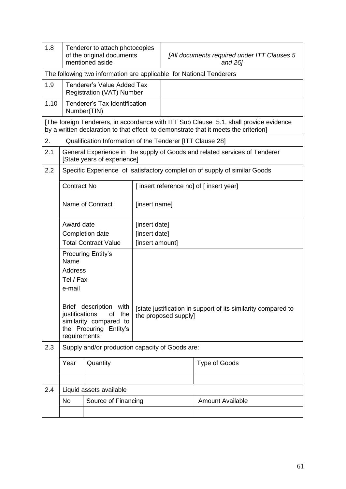| 1.8  | Tenderer to attach photocopies<br>of the original documents<br>mentioned aside |                                                                       |  | [All documents required under ITT Clauses 5<br>and 26]                                |                                                                                                                                                                              |  |
|------|--------------------------------------------------------------------------------|-----------------------------------------------------------------------|--|---------------------------------------------------------------------------------------|------------------------------------------------------------------------------------------------------------------------------------------------------------------------------|--|
|      | The following two information are applicable for National Tenderers            |                                                                       |  |                                                                                       |                                                                                                                                                                              |  |
| 1.9  |                                                                                | <b>Tenderer's Value Added Tax</b><br><b>Registration (VAT) Number</b> |  |                                                                                       |                                                                                                                                                                              |  |
| 1.10 |                                                                                | <b>Tenderer's Tax Identification</b><br>Number(TIN)                   |  |                                                                                       |                                                                                                                                                                              |  |
|      |                                                                                |                                                                       |  |                                                                                       | [The foreign Tenderers, in accordance with ITT Sub Clause 5.1, shall provide evidence<br>by a written declaration to that effect to demonstrate that it meets the criterion] |  |
| 2.   |                                                                                | Qualification Information of the Tenderer [ITT Clause 28]             |  |                                                                                       |                                                                                                                                                                              |  |
| 2.1  |                                                                                | [State years of experience]                                           |  |                                                                                       | General Experience in the supply of Goods and related services of Tenderer                                                                                                   |  |
| 2.2  |                                                                                |                                                                       |  |                                                                                       | Specific Experience of satisfactory completion of supply of similar Goods                                                                                                    |  |
|      | <b>Contract No</b>                                                             |                                                                       |  |                                                                                       | [insert reference no] of [insert year]                                                                                                                                       |  |
|      | Name of Contract                                                               |                                                                       |  | [insert name]                                                                         |                                                                                                                                                                              |  |
|      | Award date                                                                     |                                                                       |  | [insert date]                                                                         |                                                                                                                                                                              |  |
|      | Completion date                                                                |                                                                       |  | [insert date]                                                                         |                                                                                                                                                                              |  |
|      |                                                                                | <b>Total Contract Value</b>                                           |  | [insert amount]                                                                       |                                                                                                                                                                              |  |
|      | Name                                                                           | <b>Procuring Entity's</b>                                             |  |                                                                                       |                                                                                                                                                                              |  |
|      | Address                                                                        |                                                                       |  |                                                                                       |                                                                                                                                                                              |  |
|      | Tel / Fax                                                                      |                                                                       |  |                                                                                       |                                                                                                                                                                              |  |
|      | e-mail                                                                         |                                                                       |  |                                                                                       |                                                                                                                                                                              |  |
|      |                                                                                | Brief description with                                                |  |                                                                                       |                                                                                                                                                                              |  |
|      | justifications                                                                 | of<br>the                                                             |  | [state justification in support of its similarity compared to<br>the proposed supply] |                                                                                                                                                                              |  |
|      |                                                                                | similarity compared to                                                |  |                                                                                       |                                                                                                                                                                              |  |
|      | requirements                                                                   | the Procuring Entity's                                                |  |                                                                                       |                                                                                                                                                                              |  |
| 2.3  |                                                                                | Supply and/or production capacity of Goods are:                       |  |                                                                                       |                                                                                                                                                                              |  |
|      | Quantity<br>Year                                                               |                                                                       |  |                                                                                       | Type of Goods                                                                                                                                                                |  |
|      |                                                                                |                                                                       |  |                                                                                       |                                                                                                                                                                              |  |
| 2.4  |                                                                                | Liquid assets available                                               |  |                                                                                       |                                                                                                                                                                              |  |
|      | <b>No</b>                                                                      | Source of Financing                                                   |  |                                                                                       | <b>Amount Available</b>                                                                                                                                                      |  |
|      |                                                                                |                                                                       |  |                                                                                       |                                                                                                                                                                              |  |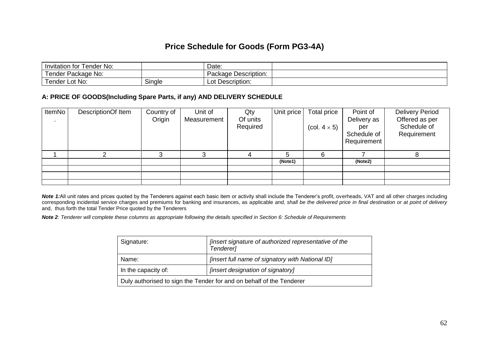### **Price Schedule for Goods (Form PG3-4A)**

| ⊺ender No:<br>tor<br>Invitation   |        | Date:                             |  |
|-----------------------------------|--------|-----------------------------------|--|
| ender<br><sup>.</sup> Package No: |        | Description:<br>'ackaɑe<br>$\sim$ |  |
| Lot No:<br>ender                  | Single | Description:<br>$\sim$<br>LUl     |  |

#### **A: PRICE OF GOODS(Including Spare Parts, if any) AND DELIVERY SCHEDULE**

| ItemNo | DescriptionOf Item | Country of<br>Origin | Unit of<br>Measurement | Qty<br>Of units<br>Required | Unit price | Total price<br>(col. $4 \times 5$ ) | Point of<br>Delivery as<br>per<br>Schedule of<br>Requirement | <b>Delivery Period</b><br>Offered as per<br>Schedule of<br>Requirement |
|--------|--------------------|----------------------|------------------------|-----------------------------|------------|-------------------------------------|--------------------------------------------------------------|------------------------------------------------------------------------|
|        |                    |                      | ◠                      |                             | 5          | 6                                   |                                                              |                                                                        |
|        |                    |                      |                        |                             | (Note1)    |                                     | (Note2)                                                      |                                                                        |
|        |                    |                      |                        |                             |            |                                     |                                                              |                                                                        |
|        |                    |                      |                        |                             |            |                                     |                                                              |                                                                        |
|        |                    |                      |                        |                             |            |                                     |                                                              |                                                                        |

*Note 1:*All unit rates and prices quoted by the Tenderers against each basic item or activity shall include the Tenderer's profit, overheads, VAT and all other charges including corresponding incidental service charges and premiums for banking and insurances, as applicable *and, shall be the delivered price in final destination or at point of delivery* and, thus forth the total Tender Price quoted by the Tenderers

*Note 2: Tenderer will complete these columns as appropriate following the details specified in Section 6: Schedule of Requirements*

| Signature:                                                           | [insert signature of authorized representative of the<br>Tenderer] |  |  |
|----------------------------------------------------------------------|--------------------------------------------------------------------|--|--|
| Name:                                                                | [insert full name of signatory with National ID]                   |  |  |
| In the capacity of:                                                  | [insert designation of signatory]                                  |  |  |
| Duly authorised to sign the Tender for and on behalf of the Tenderer |                                                                    |  |  |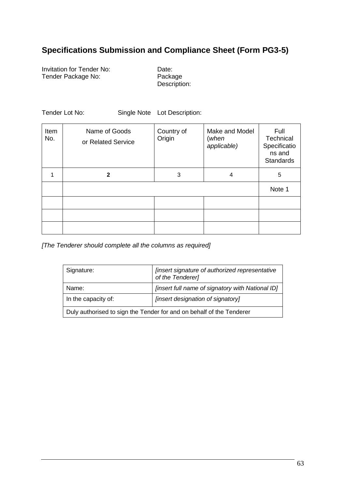## **Specifications Submission and Compliance Sheet (Form PG3-5)**

Invitation for Tender No: Date:<br>
Tender Package No: Package Tender Package No:

Description:

Tender Lot No: Single Note Lot Description:

| Item<br>No. | Name of Goods<br>or Related Service | Country of<br>Origin | Make and Model<br>(when<br>applicable) | Full<br>Technical<br>Specificatio<br>ns and<br><b>Standards</b> |
|-------------|-------------------------------------|----------------------|----------------------------------------|-----------------------------------------------------------------|
|             | 2                                   | 3                    | 4                                      | 5                                                               |
|             |                                     |                      |                                        | Note 1                                                          |
|             |                                     |                      |                                        |                                                                 |
|             |                                     |                      |                                        |                                                                 |
|             |                                     |                      |                                        |                                                                 |

*[The Tenderer should complete all the columns as required]*

| Signature:                                                           | [insert signature of authorized representative<br>of the Tenderer] |  |  |  |
|----------------------------------------------------------------------|--------------------------------------------------------------------|--|--|--|
| Name:                                                                | <i>finsert full name of signatory with National ID]</i>            |  |  |  |
| In the capacity of:                                                  | [insert designation of signatory]                                  |  |  |  |
| Duly authorised to sign the Tender for and on behalf of the Tenderer |                                                                    |  |  |  |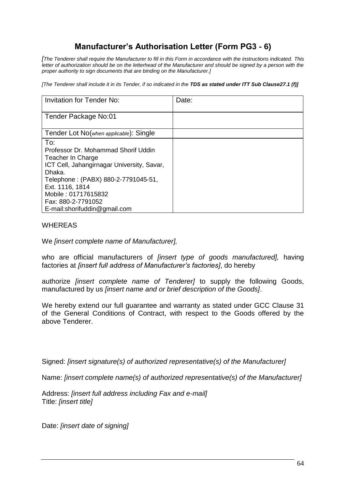## **Manufacturer's Authorisation Letter (Form PG3 - 6)**

*[The Tenderer shall require the Manufacturer to fill in this Form in accordance with the instructions indicated. This letter of authorization should be on the letterhead of the Manufacturer and should be signed by a person with the proper authority to sign documents that are binding on the Manufacturer.]*

*[The Tenderer shall include it in its Tender, if so indicated in the TDS as stated under ITT Sub Clause27.1 (f)]*

| <b>Invitation for Tender No:</b>                                                                                                                                                                                                                               | Date: |
|----------------------------------------------------------------------------------------------------------------------------------------------------------------------------------------------------------------------------------------------------------------|-------|
| Tender Package No:01                                                                                                                                                                                                                                           |       |
| Tender Lot No(when applicable): Single                                                                                                                                                                                                                         |       |
| To:<br>Professor Dr. Mohammad Shorif Uddin<br>Teacher In Charge<br>ICT Cell, Jahangirnagar University, Savar,<br>Dhaka.<br>Telephone: (PABX) 880-2-7791045-51,<br>Ext. 1116, 1814<br>Mobile: 01717615832<br>Fax: 880-2-7791052<br>E-mail:shorifuddin@gmail.com |       |

#### WHEREAS

We *[insert complete name of Manufacturer],*

who are official manufacturers of *[insert type of goods manufactured],* having factories at *[insert full address of Manufacturer's factories]*, do hereby

authorize *[insert complete name of Tenderer]* to supply the following Goods, manufactured by us *[insert name and or brief description of the Goods]*.

We hereby extend our full guarantee and warranty as stated under GCC Clause 31 of the General Conditions of Contract, with respect to the Goods offered by the above Tenderer.

Signed: *[insert signature(s) of authorized representative(s) of the Manufacturer]* 

Name: *[insert complete name(s) of authorized representative(s) of the Manufacturer]*

Address: *[insert full address including Fax and e-mail]* Title: *[insert title]*

Date: *[insert date of signing]*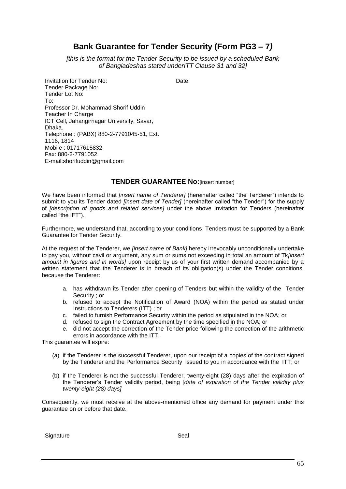### **Bank Guarantee for Tender Security (Form PG3 – 7***)*

*[this is the format for the Tender Security to be issued by a scheduled Bank of Bangladeshas stated underITT Clause 31 and 32]*

Invitation for Tender No: Date:

Tender Package No: Tender Lot No: To: Professor Dr. Mohammad Shorif Uddin Teacher In Charge ICT Cell, Jahangirnagar University, Savar, Dhaka. Telephone : (PABX) 880-2-7791045-51, Ext. 1116, 1814 Mobile : 01717615832 Fax: 880-2-7791052 E-mail:shorifuddin@gmail.com

#### **TENDER GUARANTEE No:**[insert number]

We have been informed that *[insert name of Tenderer]* (hereinafter called "the Tenderer") intends to submit to you its Tender dated *[insert date of Tender]* (hereinafter called "the Tender") for the supply of *[description of goods and related services]* under the above Invitation for Tenders (hereinafter called "the IFT").

Furthermore, we understand that, according to your conditions, Tenders must be supported by a Bank Guarantee for Tender Security.

At the request of the Tenderer, we *[insert name of Bank]* hereby irrevocably unconditionally undertake to pay you, without cavil or argument, any sum or sums not exceeding in total an amount of Tk*[insert amount in figures and in words]* upon receipt by us of your first written demand accompanied by a written statement that the Tenderer is in breach of its obligation(s) under the Tender conditions, because the Tenderer:

- a. has withdrawn its Tender after opening of Tenders but within the validity of the Tender Security ; or
- b. refused to accept the Notification of Award (NOA) within the period as stated under Instructions to Tenderers (ITT) ; or
- c. failed to furnish Performance Security within the period as stipulated in the NOA; or
- d. refused to sign the Contract Agreement by the time specified in the NOA; or
- e. did not accept the correction of the Tender price following the correction of the arithmetic errors in accordance with the ITT.

This guarantee will expire:

- (a) if the Tenderer is the successful Tenderer, upon our receipt of a copies of the contract signed by the Tenderer and the Performance Security issued to you in accordance with the ITT; or
- (b) if the Tenderer is not the successful Tenderer, twenty-eight (28) days after the expiration of the Tenderer's Tender validity period, being [*date of expiration of the Tender validity plus twenty-eight (28) days]*

Consequently, we must receive at the above-mentioned office any demand for payment under this guarantee on or before that date.

Signature Seal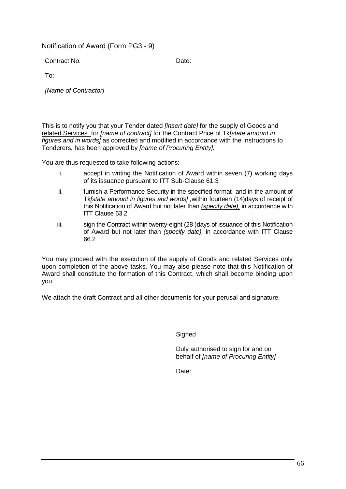#### Notification of Award (Form PG3 - 9)

Contract No: Date:

To:

*[Name of Contractor]*

This is to notify you that your Tender dated *[insert date]* for the supply of Goods and related Services for *[name of contract]* for the Contract Price of Tk*[state amount in figures and in words]* as corrected and modified in accordance with the Instructions to Tenderers, has been approved by *[name of Procuring Entity].*

You are thus requested to take following actions:

- i. accept in writing the Notification of Award within seven (7) working days of its issuance pursuant to ITT Sub-Clause 61.3
- ii. furnish a Performance Security in the specified format and in the amount of Tk*[state amount in figures and words] ,*within fourteen (14)days of receipt of this Notification of Award but not later than *(specify date),* in accordance with ITT Clause 63.2
- iii. sign the Contract within twenty-eight (28 )days of issuance of this Notification of Award but not later than *(specify date),* in accordance with ITT Clause 66.2

You may proceed with the execution of the supply of Goods and related Services only upon completion of the above tasks. You may also please note that this Notification of Award shall constitute the formation of this Contract, which shall become binding upon you.

We attach the draft Contract and all other documents for your perusal and signature.

**Signed** 

Duly authorised to sign for and on behalf of *[name of Procuring Entity]*

Date: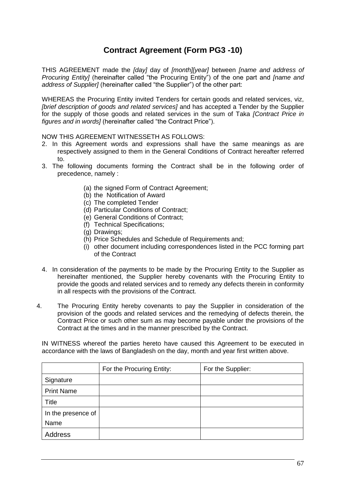## **Contract Agreement (Form PG3 -10)**

THIS AGREEMENT made the *[day]* day of *[month][year]* between *[name and address of Procuring Entity]* (hereinafter called "the Procuring Entity") of the one part and *[name and address of Supplier]* (hereinafter called "the Supplier") of the other part:

WHEREAS the Procuring Entity invited Tenders for certain goods and related services, viz, *[brief description of goods and related services]* and has accepted a Tender by the Supplier for the supply of those goods and related services in the sum of Taka *[Contract Price in figures and in words]* (hereinafter called "the Contract Price").

NOW THIS AGREEMENT WITNESSETH AS FOLLOWS:

- 2. In this Agreement words and expressions shall have the same meanings as are respectively assigned to them in the General Conditions of Contract hereafter referred to.
- 3. The following documents forming the Contract shall be in the following order of precedence, namely :
	- (a) the signed Form of Contract Agreement;
	- (b) the Notification of Award
	- (c) The completed Tender
	- (d) Particular Conditions of Contract;
	- (e) General Conditions of Contract;
	- (f) Technical Specifications;
	- (g) Drawings;
	- (h) Price Schedules and Schedule of Requirements and;
	- (i) other document including correspondences listed in the PCC forming part of the Contract
- 4. In consideration of the payments to be made by the Procuring Entity to the Supplier as hereinafter mentioned, the Supplier hereby covenants with the Procuring Entity to provide the goods and related services and to remedy any defects therein in conformity in all respects with the provisions of the Contract.
- 4. The Procuring Entity hereby covenants to pay the Supplier in consideration of the provision of the goods and related services and the remedying of defects therein, the Contract Price or such other sum as may become payable under the provisions of the Contract at the times and in the manner prescribed by the Contract.

IN WITNESS whereof the parties hereto have caused this Agreement to be executed in accordance with the laws of Bangladesh on the day, month and year first written above.

|                    | For the Procuring Entity: | For the Supplier: |
|--------------------|---------------------------|-------------------|
| Signature          |                           |                   |
| <b>Print Name</b>  |                           |                   |
| Title              |                           |                   |
| In the presence of |                           |                   |
| Name               |                           |                   |
| Address            |                           |                   |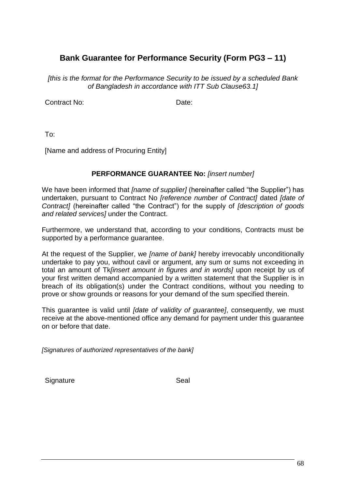## **Bank Guarantee for Performance Security (Form PG3 – 11)**

*[this is the format for the Performance Security to be issued by a scheduled Bank of Bangladesh in accordance with ITT Sub Clause63.1]*

Contract No: Date:

To:

[Name and address of Procuring Entity]

#### **PERFORMANCE GUARANTEE No:** *[insert number]*

We have been informed that *[name of supplier]* (hereinafter called "the Supplier") has undertaken, pursuant to Contract No *[reference number of Contract]* dated *[date of Contract]* (hereinafter called "the Contract") for the supply of *[description of goods and related services]* under the Contract.

Furthermore, we understand that, according to your conditions, Contracts must be supported by a performance guarantee.

At the request of the Supplier, we *[name of bank]* hereby irrevocably unconditionally undertake to pay you, without cavil or argument, any sum or sums not exceeding in total an amount of Tk*[insert amount in figures and in words]* upon receipt by us of your first written demand accompanied by a written statement that the Supplier is in breach of its obligation(s) under the Contract conditions, without you needing to prove or show grounds or reasons for your demand of the sum specified therein.

This guarantee is valid until *[date of validity of guarantee]*, consequently, we must receive at the above-mentioned office any demand for payment under this guarantee on or before that date.

*[Signatures of authorized representatives of the bank]*

Signature Seal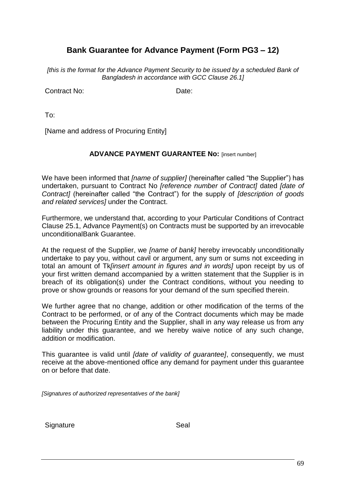## **Bank Guarantee for Advance Payment (Form PG3 – 12)**

*[this is the format for the Advance Payment Security to be issued by a scheduled Bank of Bangladesh in accordance with GCC Clause 26.1]*

Contract No: Date:

To:

[Name and address of Procuring Entity]

#### **ADVANCE PAYMENT GUARANTEE No:** [insert number]

We have been informed that *[name of supplier]* (hereinafter called "the Supplier") has undertaken, pursuant to Contract No *[reference number of Contract]* dated *[date of Contract]* (hereinafter called "the Contract") for the supply of *[description of goods and related services]* under the Contract.

Furthermore, we understand that, according to your Particular Conditions of Contract Clause 25.1, Advance Payment(s) on Contracts must be supported by an irrevocable unconditionalBank Guarantee.

At the request of the Supplier, we *[name of bank]* hereby irrevocably unconditionally undertake to pay you, without cavil or argument, any sum or sums not exceeding in total an amount of Tk*[insert amount in figures and in words]* upon receipt by us of your first written demand accompanied by a written statement that the Supplier is in breach of its obligation(s) under the Contract conditions, without you needing to prove or show grounds or reasons for your demand of the sum specified therein.

We further agree that no change, addition or other modification of the terms of the Contract to be performed, or of any of the Contract documents which may be made between the Procuring Entity and the Supplier, shall in any way release us from any liability under this guarantee, and we hereby waive notice of any such change, addition or modification.

This guarantee is valid until *[date of validity of guarantee]*, consequently, we must receive at the above-mentioned office any demand for payment under this guarantee on or before that date.

*[Signatures of authorized representatives of the bank]*

Signature Seal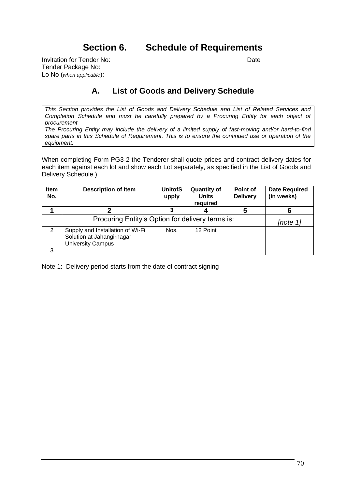## **Section 6. Schedule of Requirements**

Invitation for Tender No: **Date** Tender Package No: Lo No (*when applicable*):

### **A. List of Goods and Delivery Schedule**

*This Section provides the List of Goods and Delivery Schedule and List of Related Services and Completion Schedule and must be carefully prepared by a Procuring Entity for each object of procurement*

*The Procuring Entity may include the delivery of a limited supply of fast-moving and/or hard-to-find spare parts in this Schedule of Requirement. This is to ensure the continued use or operation of the equipment.* 

When completing Form PG3-2 the Tenderer shall quote prices and contract delivery dates for each item against each lot and show each Lot separately, as specified in the List of Goods and Delivery Schedule.)

| Item<br>No. | <b>Description of Item</b>                                                                | <b>UnitofS</b><br>upply | <b>Quantity of</b><br><b>Units</b><br>required | Point of<br><b>Delivery</b> | <b>Date Required</b><br>(in weeks) |
|-------------|-------------------------------------------------------------------------------------------|-------------------------|------------------------------------------------|-----------------------------|------------------------------------|
|             |                                                                                           |                         |                                                |                             | 6                                  |
|             | Procuring Entity's Option for delivery terms is:                                          |                         |                                                | [note 1]                    |                                    |
| 2           | Supply and Installation of Wi-Fi<br>Solution at Jahangirnagar<br><b>University Campus</b> | Nos.                    | 12 Point                                       |                             |                                    |
| 3           |                                                                                           |                         |                                                |                             |                                    |

Note 1: Delivery period starts from the date of contract signing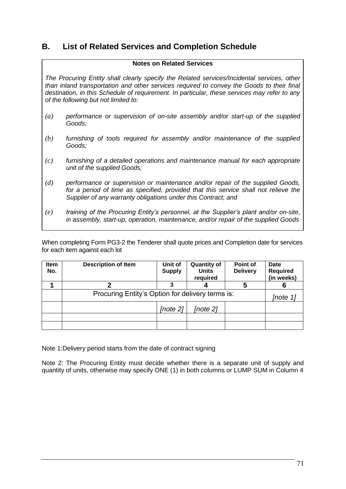### **B. List of Related Services and Completion Schedule**

#### **Notes on Related Services**

*The Procuring Entity shall clearly specify the Related services/Incidental services, other than inland transportation and other services required to convey the Goods to their final destination, in this Schedule of requirement. In particular, these services may refer to any of the following but not limited to:*

- *(a) performance or supervision of on-site assembly and/or start-up of the supplied Goods;*
- *(b) furnishing of tools required for assembly and/or maintenance of the supplied Goods;*
- *(c) furnishing of a detailed operations and maintenance manual for each appropriate unit of the supplied Goods;*
- *(d) performance or supervision or maintenance and/or repair of the supplied Goods,*  for a period of time as specified, provided that this service shall not relieve the *Supplier of any warranty obligations under this Contract; and*
- *(e) training of the Procuring Entity's personnel, at the Supplier's plant and/or on-site, in assembly, start-up, operation, maintenance, and/or repair of the supplied Goods*

When completing Form PG3-2 the Tenderer shall quote prices and Completion date for services for each item against each lot

| Item<br>No. | <b>Description of Item</b>                       | Unit of<br><b>Supply</b> | <b>Quantity of</b><br><b>Units</b><br>required | Point of<br><b>Delivery</b> | <b>Date</b><br><b>Required</b><br>(in weeks) |
|-------------|--------------------------------------------------|--------------------------|------------------------------------------------|-----------------------------|----------------------------------------------|
|             |                                                  |                          |                                                | 5                           |                                              |
|             | Procuring Entity's Option for delivery terms is: |                          |                                                | [note 1                     |                                              |
|             |                                                  | [note 2]                 | [note 2]                                       |                             |                                              |
|             |                                                  |                          |                                                |                             |                                              |
|             |                                                  |                          |                                                |                             |                                              |

Note 1:Delivery period starts from the date of contract signing

Note 2: The Procuring Entity must decide whether there is a separate unit of supply and quantity of units, otherwise may specify ONE (1) in both columns or LUMP SUM in Column 4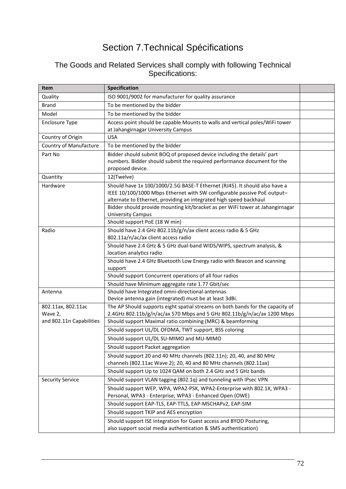# Section 7.Technical Spécifications

### The Goods and Related Services shall comply with following Technical Specifications:

| Item                     | <b>Specification</b>                                                                                  |  |
|--------------------------|-------------------------------------------------------------------------------------------------------|--|
| Quality                  | ISO 9001/9002 for manufacturer for quality assurance                                                  |  |
| <b>Brand</b>             | To be mentioned by the bidder                                                                         |  |
| Model                    | To be mentioned by the bidder                                                                         |  |
| <b>Enclosure Type</b>    | Access point should be capable Mounts to walls and vertical poles/WiFi tower                          |  |
|                          | at Jahangirnagar University Campus                                                                    |  |
| Country of Origin        | <b>USA</b>                                                                                            |  |
| Country of Manufacture   | To be mentioned by the bidder                                                                         |  |
| Part No                  | Bidder should submit BOQ of proposed device including the details' part                               |  |
|                          | numbers. Bidder should submit the required performance document for the                               |  |
|                          | proposed device.                                                                                      |  |
| Quantity                 | 12(Twelve)                                                                                            |  |
| Hardware                 | Should have 1x 100/1000/2.5G BASE-T Ethernet (RJ45). It should also have a                            |  |
|                          | IEEE 10/100/1000 Mbps Ethernet with SW configurable passive PoE output-                               |  |
|                          | alternate to Ethernet, providing an integrated high speed backhaul                                    |  |
|                          | Bidder should provide mounting kit/bracket as per WiFi tower at Jahangirnagar                         |  |
|                          | <b>University Campus</b><br>Should support PoE (18 W min)                                             |  |
|                          |                                                                                                       |  |
| Radio                    | Should have 2.4 GHz 802.11b/g/n/ax client access radio & 5 GHz<br>802.11a/n/ac/ax client access radio |  |
|                          | Should have 2.4 GHz & 5 GHz dual-band WIDS/WIPS, spectrum analysis, &                                 |  |
|                          | location analytics radio                                                                              |  |
|                          | Should have 2.4 GHz Bluetooth Low Energy radio with Beacon and scanning                               |  |
|                          | support                                                                                               |  |
|                          | Should support Concurrent operations of all four radios                                               |  |
|                          | Should have Minimum aggregate rate 1.77 Gbit/sec                                                      |  |
| Antenna                  | Should have Integrated omni-directional antennas                                                      |  |
|                          | Device antenna gain (integrated) must be at least 3dBi.                                               |  |
| 802.11ax, 802.11ac       | The AP Should supports eight spatial streams on both bands for the capacity of                        |  |
| Wave 2,                  | 2.4GHz 802.11b/g/n/ac/ax 570 Mbps and 5 GHz 802.11b/g/n/ac/ax 1200 Mbps                               |  |
| and 802.11n Capabilities | Should support Maximal ratio combining (MRC) & beamforming                                            |  |
|                          | Should support UL/DL OFDMA, TWT support, BSS coloring                                                 |  |
|                          | Should support UL/DL SU-MIMO and MU-MIMO                                                              |  |
|                          | Should support Packet aggregation                                                                     |  |
|                          | Should support 20 and 40 MHz channels (802.11n); 20, 40, and 80 MHz                                   |  |
|                          | channels (802.11ac Wave 2); 20, 40 and 80 MHz channels (802.11ax)                                     |  |
|                          | Should support Up to 1024 QAM on both 2.4 GHz and 5 GHz bands                                         |  |
| <b>Security Service</b>  | Should support VLAN tagging (802.1q) and tunneling with IPsec VPN                                     |  |
|                          | Should support WEP, WPA, WPA2-PSK, WPA2-Enterprise with 802.1X, WPA3 -                                |  |
|                          | Personal, WPA3 - Enterprise, WPA3 - Enhanced Open (OWE)                                               |  |
|                          | Should support EAP-TLS, EAP-TTLS, EAP-MSCHAPv2, EAP-SIM                                               |  |
|                          | Should support TKIP and AES encryption                                                                |  |
|                          | Should support ISE integration for Guest access and BYOD Posturing,                                   |  |
|                          | also support social media authentication & SMS authentication)                                        |  |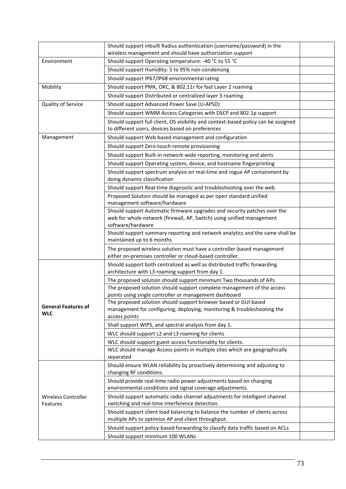|                                          | Should support inbuilt Radius authentication (username/password) in the                                                                                                |  |
|------------------------------------------|------------------------------------------------------------------------------------------------------------------------------------------------------------------------|--|
|                                          | wireless management and should have authorization support                                                                                                              |  |
| Environment                              | Should support Operating temperature: -40 °C to 55 °C                                                                                                                  |  |
|                                          | Should support Humidity: 5 to 95% non-condensing                                                                                                                       |  |
|                                          | Should support IP67/IP68 environmental rating                                                                                                                          |  |
| Mobility                                 | Should support PMK, OKC, & 802.11r for fast Layer 2 roaming                                                                                                            |  |
|                                          | Should support Distributed or centralized layer 3 roaming                                                                                                              |  |
| Quality of Service                       | Should support Advanced Power Save (U-APSD)                                                                                                                            |  |
|                                          | Should support WMM Access Categories with DSCP and 802.1p support                                                                                                      |  |
|                                          | Should support full client, OS visibility and context-based policy can be assigned                                                                                     |  |
|                                          | to different users, devices based on preferences                                                                                                                       |  |
| Management                               | Should support Web based management and configuration                                                                                                                  |  |
|                                          | Should support Zero-touch remote provisioning                                                                                                                          |  |
|                                          | Should support Built-in network-wide reporting, monitoring and alerts                                                                                                  |  |
|                                          | Should support Operating system, device, and hostname fingerprinting                                                                                                   |  |
|                                          | Should support spectrum analysis on real-time and rogue AP containment by                                                                                              |  |
|                                          | doing dynamic classification                                                                                                                                           |  |
|                                          | Should support Real-time diagnostic and troubleshooting over the web                                                                                                   |  |
|                                          | Proposed Solution should be managed as per open standard unified<br>management software/hardware                                                                       |  |
|                                          | Should support Automatic firmware upgrades and security patches over the<br>web for whole network (firewall, AP, Switch) using unified management<br>software/hardware |  |
|                                          | Should support summary reporting and network analytics and the same shall be<br>maintained up to 6 months                                                              |  |
|                                          | The proposed wireless solution must have a controller-based management<br>either on-premises controller or cloud-based controller.                                     |  |
|                                          | Should support both centralized as well as distributed traffic forwarding<br>architecture with L3 roaming support from day 1.                                          |  |
|                                          | The proposed solution should support minimum Two thousands of APs                                                                                                      |  |
|                                          | The proposed solution should support complete management of the access                                                                                                 |  |
| <b>General Features of</b><br><b>WLC</b> | points using single controller or management dashboard<br>The proposed solution should support browser based or GUI based                                              |  |
|                                          | management for configuring, deploying, monitoring & troubleshooting the                                                                                                |  |
|                                          | access points                                                                                                                                                          |  |
|                                          | Shall support WIPS, and spectral analysis from day 1.                                                                                                                  |  |
|                                          | WLC should support L2 and L3 roaming for clients                                                                                                                       |  |
|                                          | WLC should support guest-access functionality for clients.                                                                                                             |  |
|                                          | WLC should manage Access points in multiple sites which are geographically                                                                                             |  |
|                                          | separated                                                                                                                                                              |  |
| <b>Wireless Controller</b><br>Features   | Should ensure WLAN reliability by proactively determining and adjusting to<br>changing RF conditions.                                                                  |  |
|                                          | Should provide real-time radio power adjustments based on changing<br>environmental conditions and signal coverage adjustments.                                        |  |
|                                          | Should support automatic radio channel adjustments for intelligent channel<br>switching and real-time interference detection.                                          |  |
|                                          | Should support client load balancing to balance the number of clients across<br>multiple APs to optimize AP and client throughput.                                     |  |
|                                          | Should support policy-based forwarding to classify data traffic based on ACLs                                                                                          |  |
|                                          | Should support minimum 100 WLANs                                                                                                                                       |  |
|                                          |                                                                                                                                                                        |  |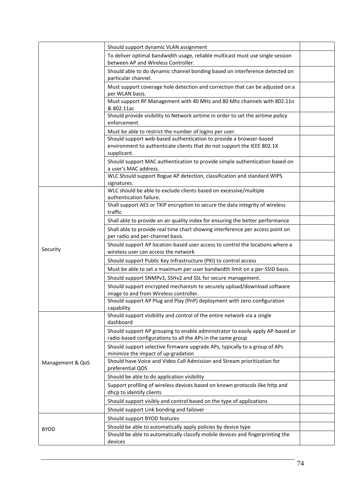| Should support dynamic VLAN assignment                                                                                                        |                                                                                                                                                                                                                                                                            |
|-----------------------------------------------------------------------------------------------------------------------------------------------|----------------------------------------------------------------------------------------------------------------------------------------------------------------------------------------------------------------------------------------------------------------------------|
| To deliver optimal bandwidth usage, reliable multicast must use single session<br>between AP and Wireless Controller.                         |                                                                                                                                                                                                                                                                            |
| Should able to do dynamic channel bonding based on interference detected on                                                                   |                                                                                                                                                                                                                                                                            |
| Must support coverage hole detection and correction that can be adjusted on a                                                                 |                                                                                                                                                                                                                                                                            |
| Must support RF Management with 40 MHz and 80 Mhz channels with 802.11n<br>& 802.11ac                                                         |                                                                                                                                                                                                                                                                            |
| Should provide visibility to Network airtime in order to set the airtime policy<br>enforcement                                                |                                                                                                                                                                                                                                                                            |
| Must be able to restrict the number of logins per user.                                                                                       |                                                                                                                                                                                                                                                                            |
| Should support web-based authentication to provide a browser-based<br>environment to authenticate clients that do not support the IEEE 802.1X |                                                                                                                                                                                                                                                                            |
| Should support MAC authentication to provide simple authentication based on<br>a user's MAC address.                                          |                                                                                                                                                                                                                                                                            |
| WLC Should support Rogue AP detection, classification and standard WIPS<br>signatures.                                                        |                                                                                                                                                                                                                                                                            |
| authentication failure.                                                                                                                       |                                                                                                                                                                                                                                                                            |
| traffic                                                                                                                                       |                                                                                                                                                                                                                                                                            |
| Shall able to provide an air quality index for ensuring the better performance                                                                |                                                                                                                                                                                                                                                                            |
| Shall able to provide real time chart showing interference per access point on<br>per radio and per-channel basis.                            |                                                                                                                                                                                                                                                                            |
| Should support AP location-based user access to control the locations where a<br>wireless user can access the network                         |                                                                                                                                                                                                                                                                            |
| Should support Public Key Infrastructure (PKI) to control access                                                                              |                                                                                                                                                                                                                                                                            |
| Must be able to set a maximum per-user bandwidth limit on a per-SSID basis.                                                                   |                                                                                                                                                                                                                                                                            |
|                                                                                                                                               |                                                                                                                                                                                                                                                                            |
| Should support encrypted mechanism to securely upload/download software<br>image to and from Wireless controller.                             |                                                                                                                                                                                                                                                                            |
| Should support AP Plug and Play (PnP) deployment with zero-configuration<br>capability                                                        |                                                                                                                                                                                                                                                                            |
| Should support visibility and control of the entire network via a single<br>dashboard                                                         |                                                                                                                                                                                                                                                                            |
| Should support AP grouping to enable administrator to easily apply AP-based or<br>radio-based configurations to all the APs in the same group |                                                                                                                                                                                                                                                                            |
| Should support selective firmware upgrade APs, typically to a group of APs<br>minimize the impact of up-gradation                             |                                                                                                                                                                                                                                                                            |
| Should have Voice and Video Call Admission and Stream prioritization for<br>preferential QOS                                                  |                                                                                                                                                                                                                                                                            |
| Should be able to do application visibility                                                                                                   |                                                                                                                                                                                                                                                                            |
| Support profiling of wireless devices based on known protocols like http and<br>dhcp to identify clients                                      |                                                                                                                                                                                                                                                                            |
| Should support visibly and control based on the type of applications                                                                          |                                                                                                                                                                                                                                                                            |
| Should support Link bonding and failover                                                                                                      |                                                                                                                                                                                                                                                                            |
| Should support BYOD features                                                                                                                  |                                                                                                                                                                                                                                                                            |
| Should be able to automatically apply policies by device type                                                                                 |                                                                                                                                                                                                                                                                            |
| Should be able to automatically classify mobile devices and fingerprinting the<br>devices                                                     |                                                                                                                                                                                                                                                                            |
|                                                                                                                                               | particular channel.<br>per WLAN basis.<br>supplicant.<br>WLC should be able to exclude clients based on excessive/multiple<br>Shall support AES or TKIP encryption to secure the data integrity of wireless<br>Should support SNMPv3, SSHv2 and SSL for secure management. |